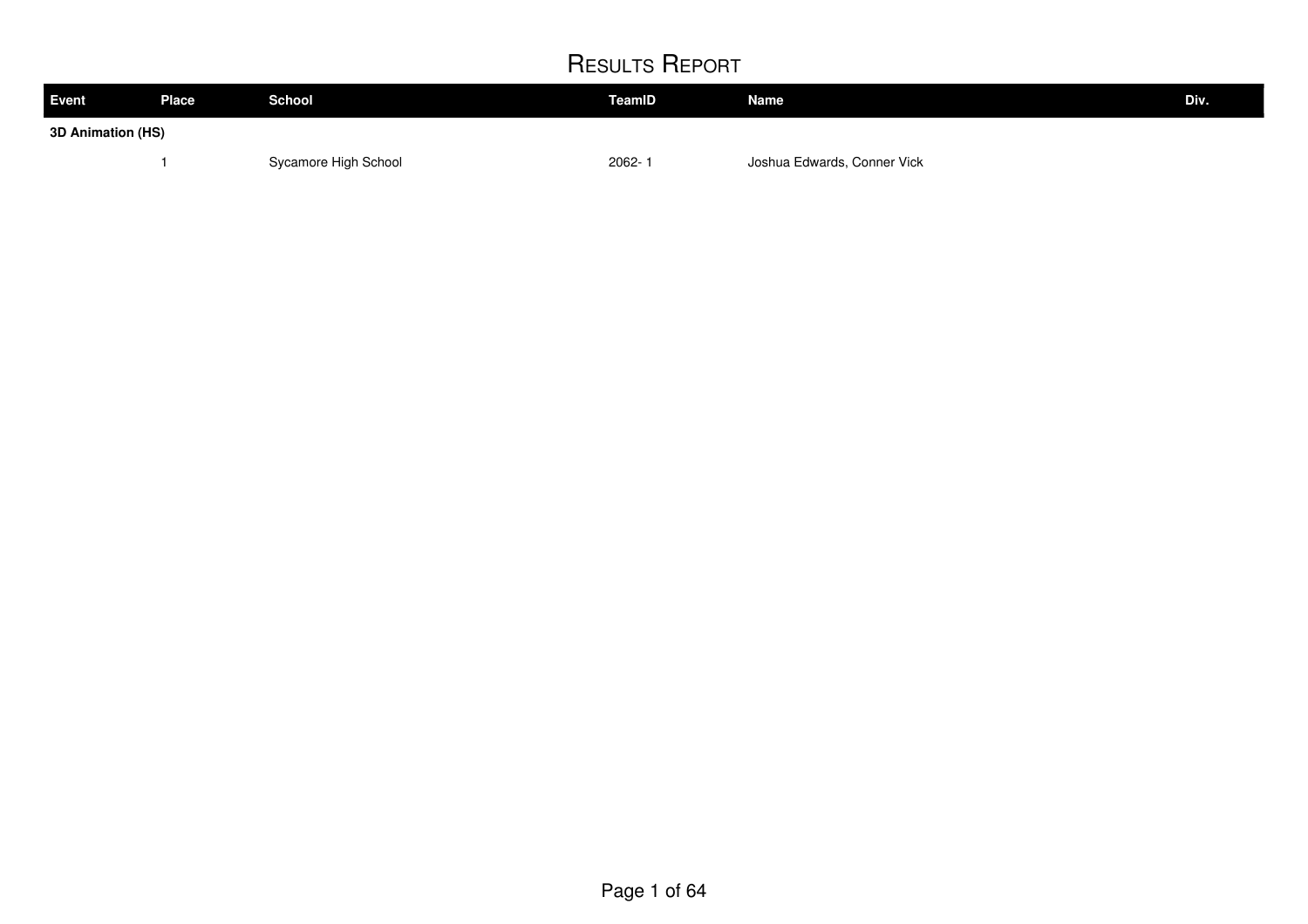| <b>Event</b>      | <b>Place</b> | <b>School</b>        | TeamID     | <b>Name</b>                 | Div. |
|-------------------|--------------|----------------------|------------|-----------------------------|------|
| 3D Animation (HS) |              |                      |            |                             |      |
|                   |              | Sycamore High School | $2062 - 1$ | Joshua Edwards, Conner Vick |      |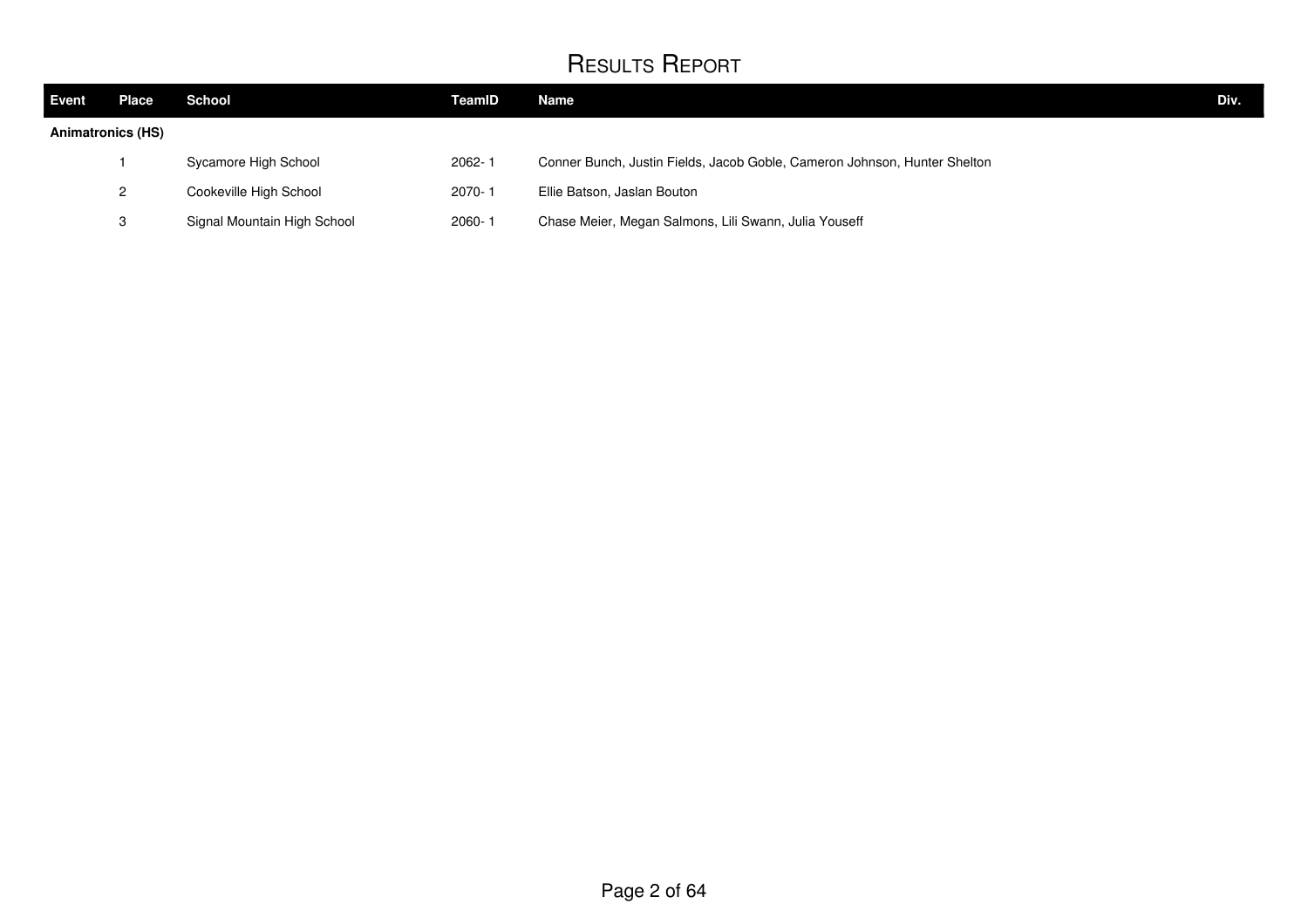| Event                    | Place | <b>School</b>               | <b>TeamID</b> | Name                                                                      | Div. |
|--------------------------|-------|-----------------------------|---------------|---------------------------------------------------------------------------|------|
| <b>Animatronics (HS)</b> |       |                             |               |                                                                           |      |
|                          |       | Sycamore High School        | 2062-1        | Conner Bunch, Justin Fields, Jacob Goble, Cameron Johnson, Hunter Shelton |      |
|                          | 2     | Cookeville High School      | $2070 - 1$    | Ellie Batson, Jaslan Bouton                                               |      |
|                          | 3     | Signal Mountain High School | 2060-1        | Chase Meier, Megan Salmons, Lili Swann, Julia Youseff                     |      |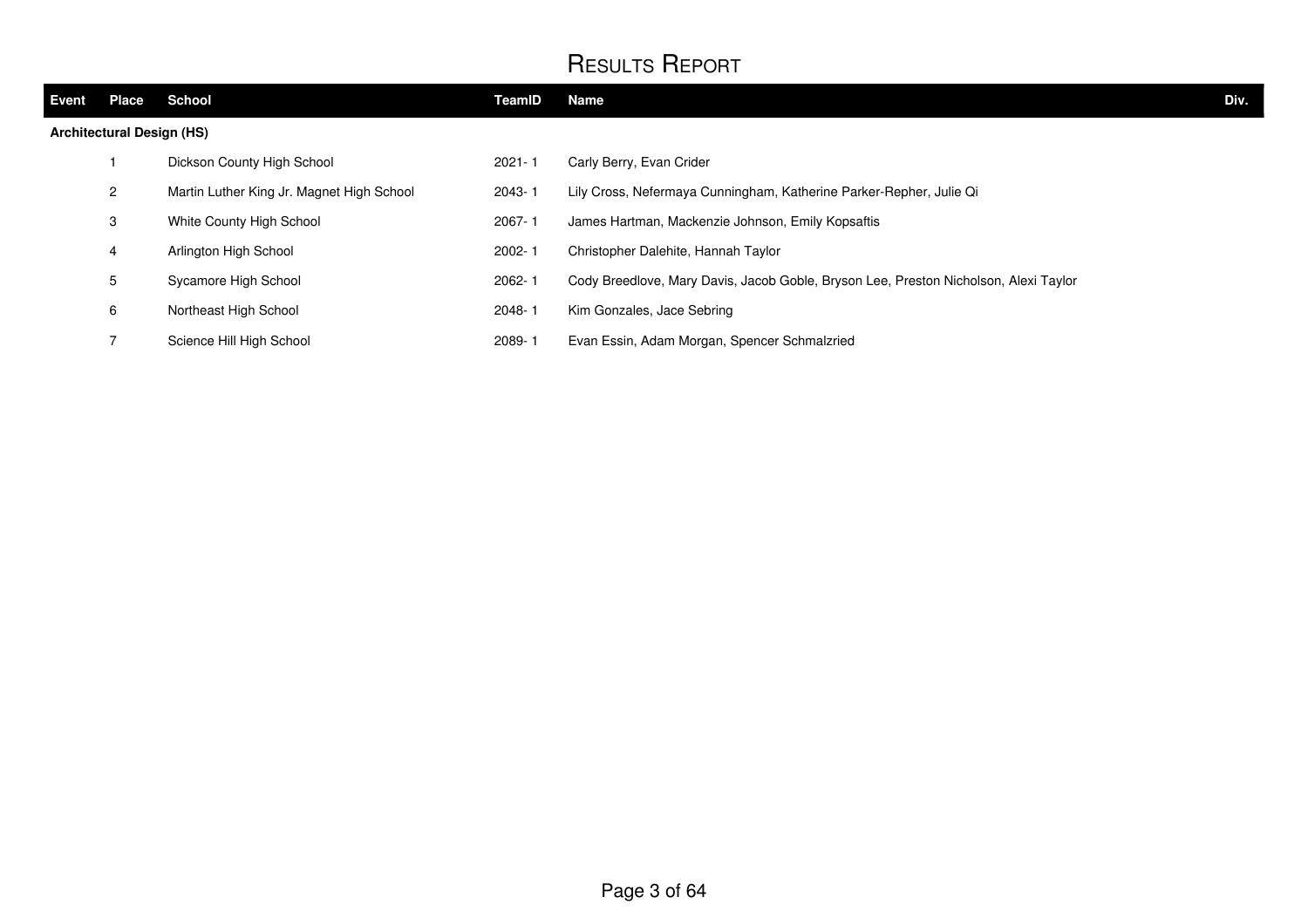| Event                            | <b>Place</b> | <b>School</b>                             | TeamID     | Name                                                                                 | Div. |
|----------------------------------|--------------|-------------------------------------------|------------|--------------------------------------------------------------------------------------|------|
| <b>Architectural Design (HS)</b> |              |                                           |            |                                                                                      |      |
|                                  |              | Dickson County High School                | $2021 - 1$ | Carly Berry, Evan Crider                                                             |      |
|                                  | 2            | Martin Luther King Jr. Magnet High School | 2043-1     | Lily Cross, Nefermaya Cunningham, Katherine Parker-Repher, Julie Qi                  |      |
|                                  | 3            | White County High School                  | 2067-1     | James Hartman, Mackenzie Johnson, Emily Kopsaftis                                    |      |
|                                  | 4            | Arlington High School                     | 2002-1     | Christopher Dalehite, Hannah Taylor                                                  |      |
|                                  | 5            | Sycamore High School                      | 2062-1     | Cody Breedlove, Mary Davis, Jacob Goble, Bryson Lee, Preston Nicholson, Alexi Taylor |      |
|                                  | 6            | Northeast High School                     | 2048-1     | Kim Gonzales, Jace Sebring                                                           |      |
|                                  |              | Science Hill High School                  | 2089-1     | Evan Essin, Adam Morgan, Spencer Schmalzried                                         |      |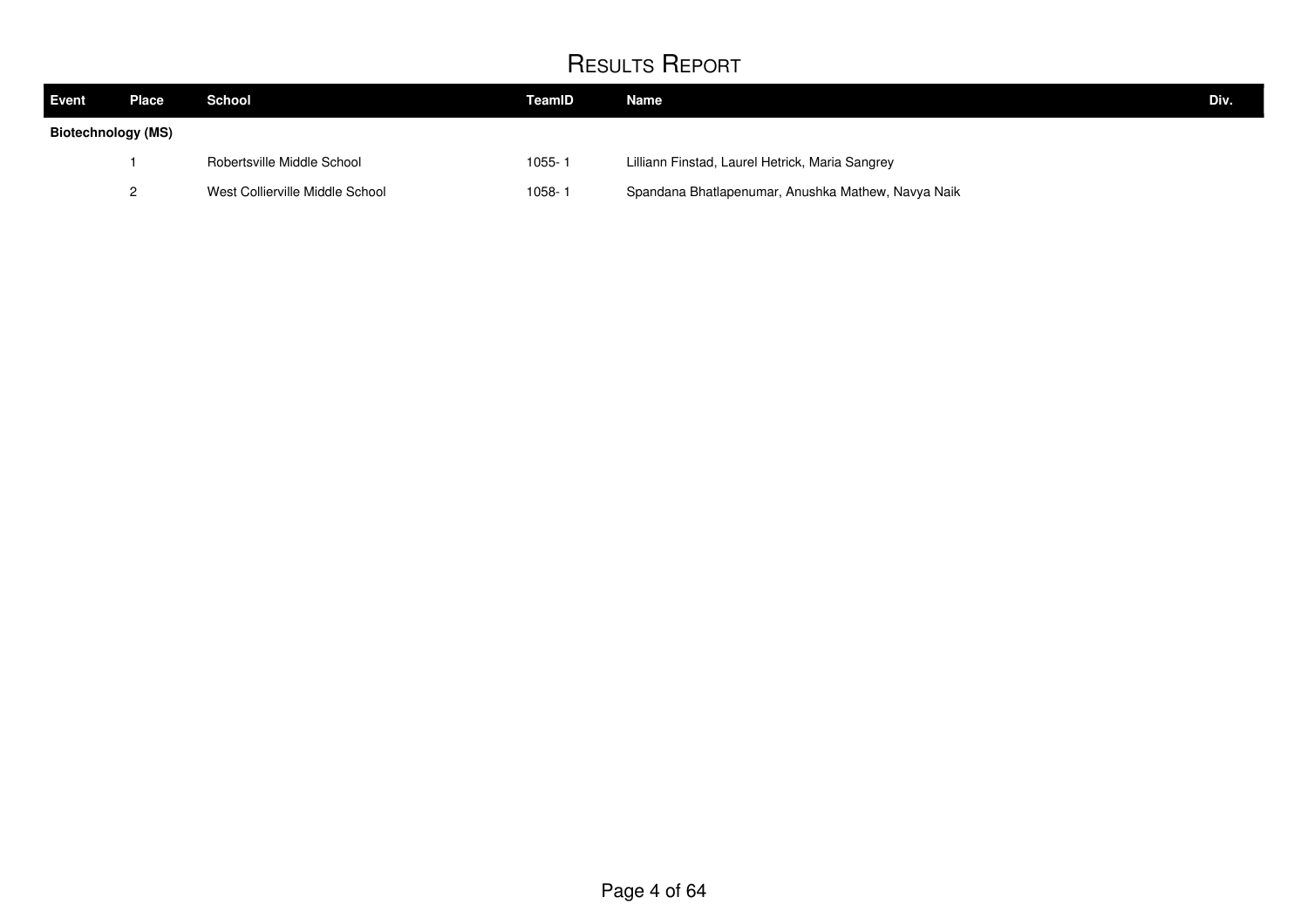| Event              | Place | School                          | TeamID     | Name                                               | Div. |
|--------------------|-------|---------------------------------|------------|----------------------------------------------------|------|
| Biotechnology (MS) |       |                                 |            |                                                    |      |
|                    |       | Robertsville Middle School      | $1055 - 7$ | Lilliann Finstad, Laurel Hetrick, Maria Sangrey    |      |
|                    |       | West Collierville Middle School | 1058-1     | Spandana Bhatlapenumar, Anushka Mathew, Navya Naik |      |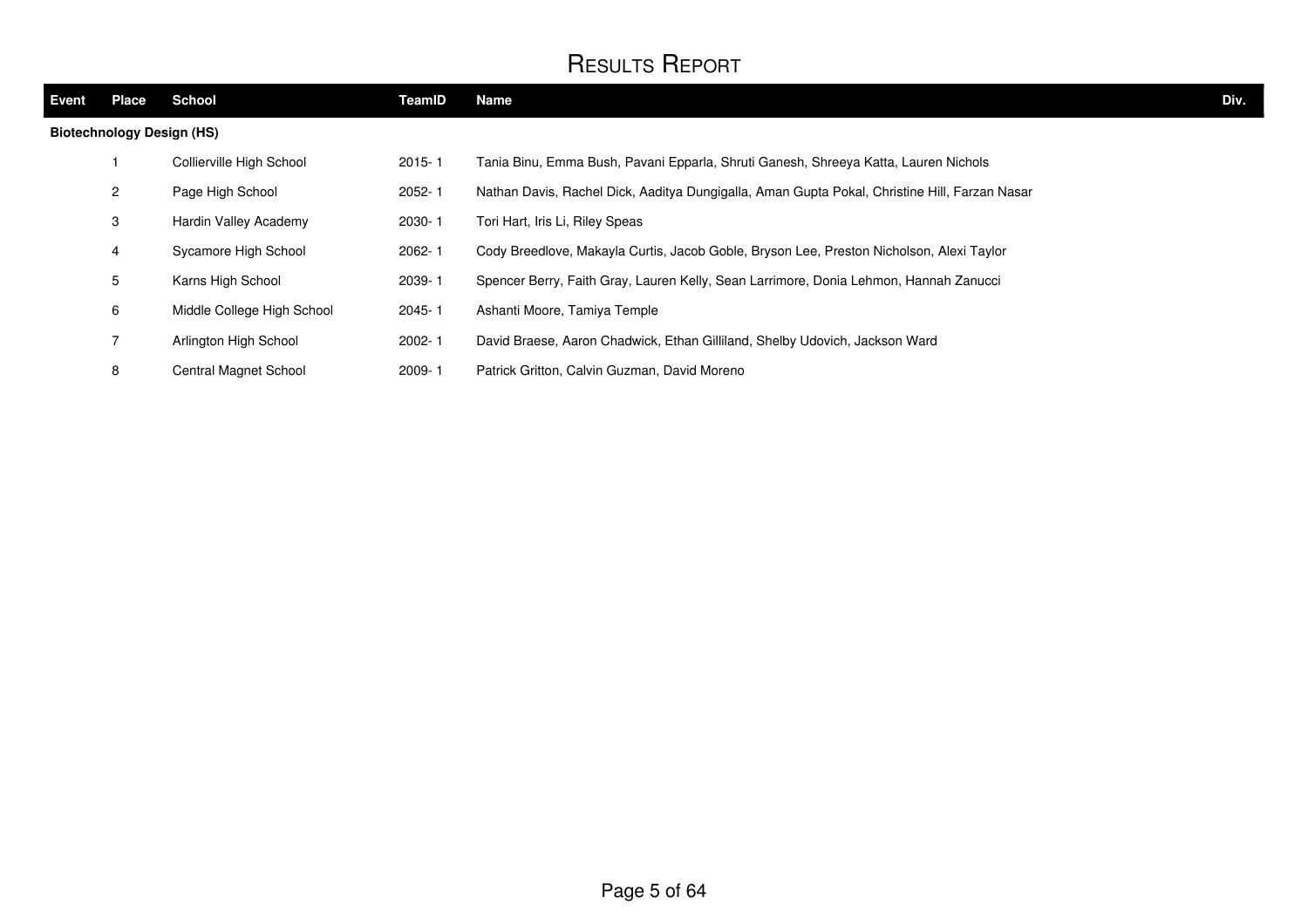| Event                            | <b>Place</b>         | School                     | TeamID     | Name                                                                                          | Div. |
|----------------------------------|----------------------|----------------------------|------------|-----------------------------------------------------------------------------------------------|------|
| <b>Biotechnology Design (HS)</b> |                      |                            |            |                                                                                               |      |
|                                  |                      | Collierville High School   | $2015 - 1$ | Tania Binu, Emma Bush, Pavani Epparla, Shruti Ganesh, Shreeya Katta, Lauren Nichols           |      |
|                                  | $\mathbf{2}^{\circ}$ | Page High School           | $2052 - 1$ | Nathan Davis, Rachel Dick, Aaditya Dungigalla, Aman Gupta Pokal, Christine Hill, Farzan Nasar |      |
|                                  | 3                    | Hardin Valley Academy      | 2030-1     | Tori Hart, Iris Li, Riley Speas                                                               |      |
|                                  | 4                    | Sycamore High School       | $2062 - 1$ | Cody Breedlove, Makayla Curtis, Jacob Goble, Bryson Lee, Preston Nicholson, Alexi Taylor      |      |
|                                  | 5                    | Karns High School          | 2039-1     | Spencer Berry, Faith Gray, Lauren Kelly, Sean Larrimore, Donia Lehmon, Hannah Zanucci         |      |
|                                  | 6                    | Middle College High School | $2045 - 1$ | Ashanti Moore, Tamiya Temple                                                                  |      |
|                                  | $\overline{7}$       | Arlington High School      | $2002 - 1$ | David Braese, Aaron Chadwick, Ethan Gilliland, Shelby Udovich, Jackson Ward                   |      |
|                                  | 8                    | Central Magnet School      | 2009-1     | Patrick Gritton, Calvin Guzman, David Moreno                                                  |      |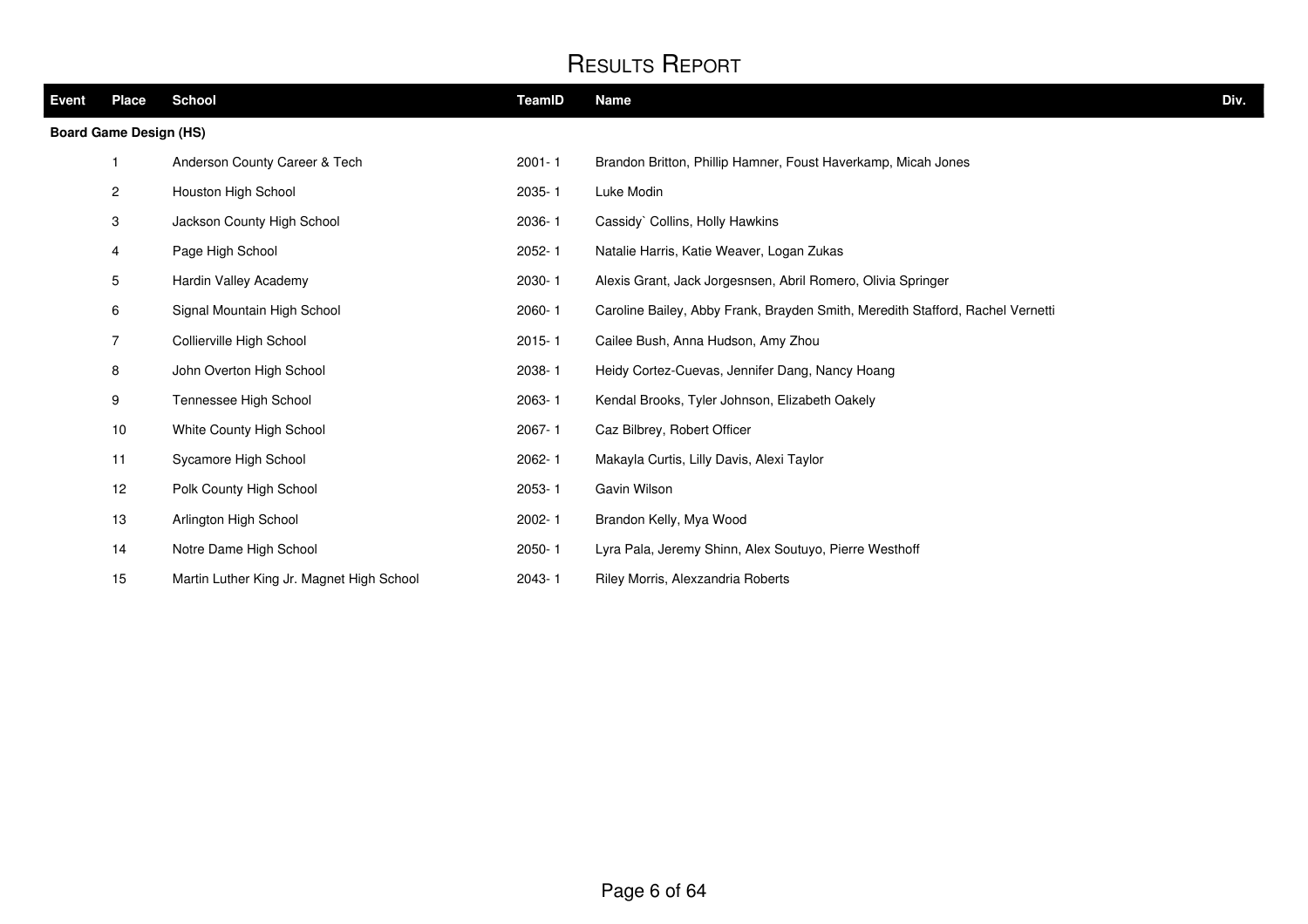| Event | <b>Place</b>                  | <b>School</b>                             | <b>TeamID</b> | <b>Name</b>                                                                    | Div. |
|-------|-------------------------------|-------------------------------------------|---------------|--------------------------------------------------------------------------------|------|
|       | <b>Board Game Design (HS)</b> |                                           |               |                                                                                |      |
|       |                               | Anderson County Career & Tech             | $2001 - 1$    | Brandon Britton, Phillip Hamner, Foust Haverkamp, Micah Jones                  |      |
|       | $\overline{2}$                | Houston High School                       | 2035-1        | Luke Modin                                                                     |      |
|       | 3                             | Jackson County High School                | 2036-1        | Cassidy` Collins, Holly Hawkins                                                |      |
|       | 4                             | Page High School                          | 2052-1        | Natalie Harris, Katie Weaver, Logan Zukas                                      |      |
|       | 5                             | Hardin Valley Academy                     | 2030-1        | Alexis Grant, Jack Jorgesnsen, Abril Romero, Olivia Springer                   |      |
|       | 6                             | Signal Mountain High School               | 2060-1        | Caroline Bailey, Abby Frank, Brayden Smith, Meredith Stafford, Rachel Vernetti |      |
|       | $\overline{7}$                | Collierville High School                  | $2015 - 1$    | Cailee Bush, Anna Hudson, Amy Zhou                                             |      |
|       | 8                             | John Overton High School                  | 2038-1        | Heidy Cortez-Cuevas, Jennifer Dang, Nancy Hoang                                |      |
|       | 9                             | Tennessee High School                     | 2063-1        | Kendal Brooks, Tyler Johnson, Elizabeth Oakely                                 |      |
|       | 10                            | White County High School                  | 2067-1        | Caz Bilbrey, Robert Officer                                                    |      |
|       | 11                            | Sycamore High School                      | 2062-1        | Makayla Curtis, Lilly Davis, Alexi Taylor                                      |      |
|       | 12                            | Polk County High School                   | 2053-1        | Gavin Wilson                                                                   |      |
|       | 13                            | Arlington High School                     | 2002-1        | Brandon Kelly, Mya Wood                                                        |      |
|       | 14                            | Notre Dame High School                    | $2050 - 1$    | Lyra Pala, Jeremy Shinn, Alex Soutuyo, Pierre Westhoff                         |      |
|       | 15                            | Martin Luther King Jr. Magnet High School | 2043-1        | Riley Morris, Alexzandria Roberts                                              |      |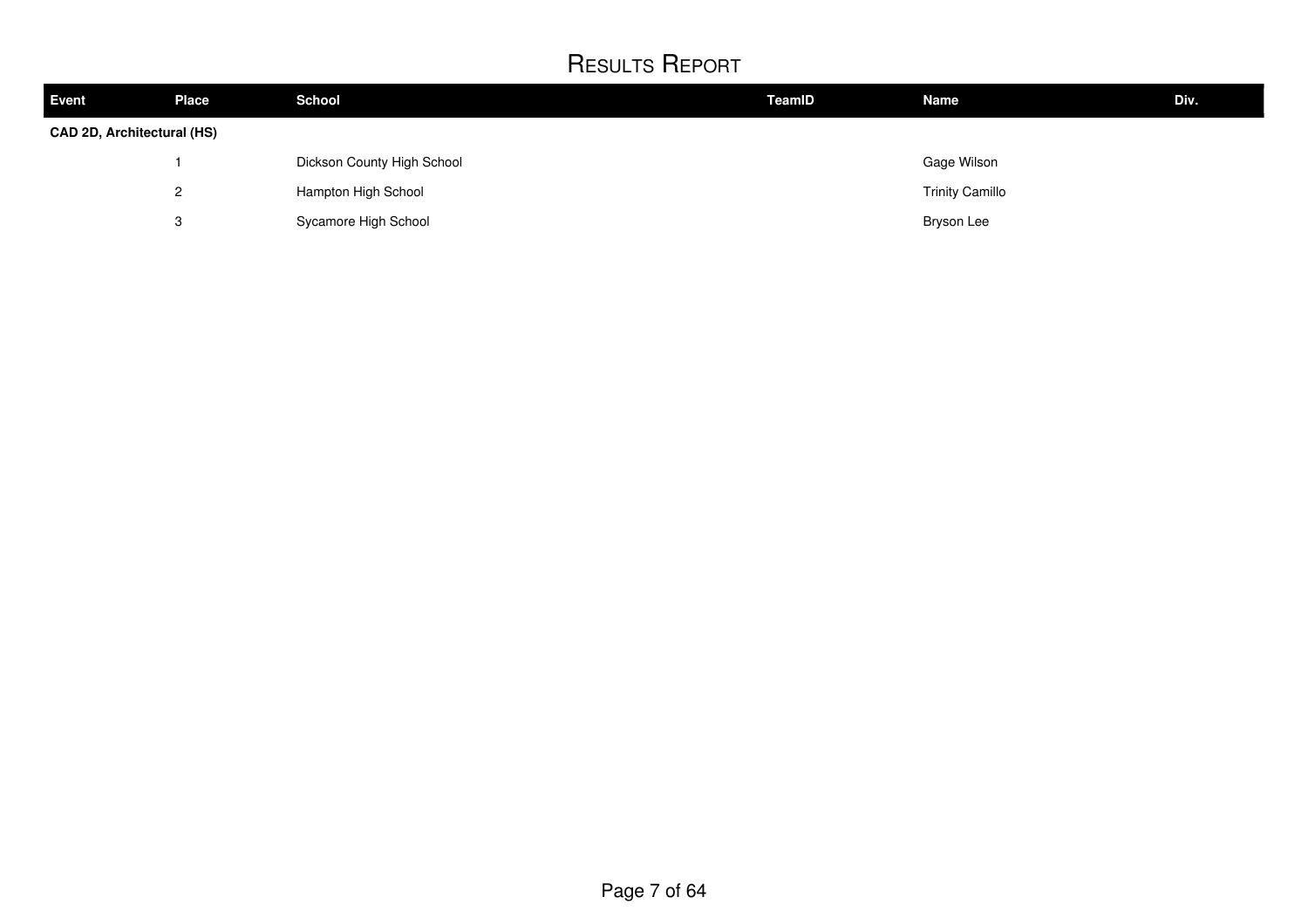| <b>Event</b>               | <b>Place</b>             | <b>School</b>              | TeamID | <b>Name</b>            | Div. |
|----------------------------|--------------------------|----------------------------|--------|------------------------|------|
| CAD 2D, Architectural (HS) |                          |                            |        |                        |      |
|                            |                          | Dickson County High School |        | Gage Wilson            |      |
|                            | Hampton High School<br>2 |                            |        | <b>Trinity Camillo</b> |      |
|                            | 3                        | Sycamore High School       |        | <b>Bryson Lee</b>      |      |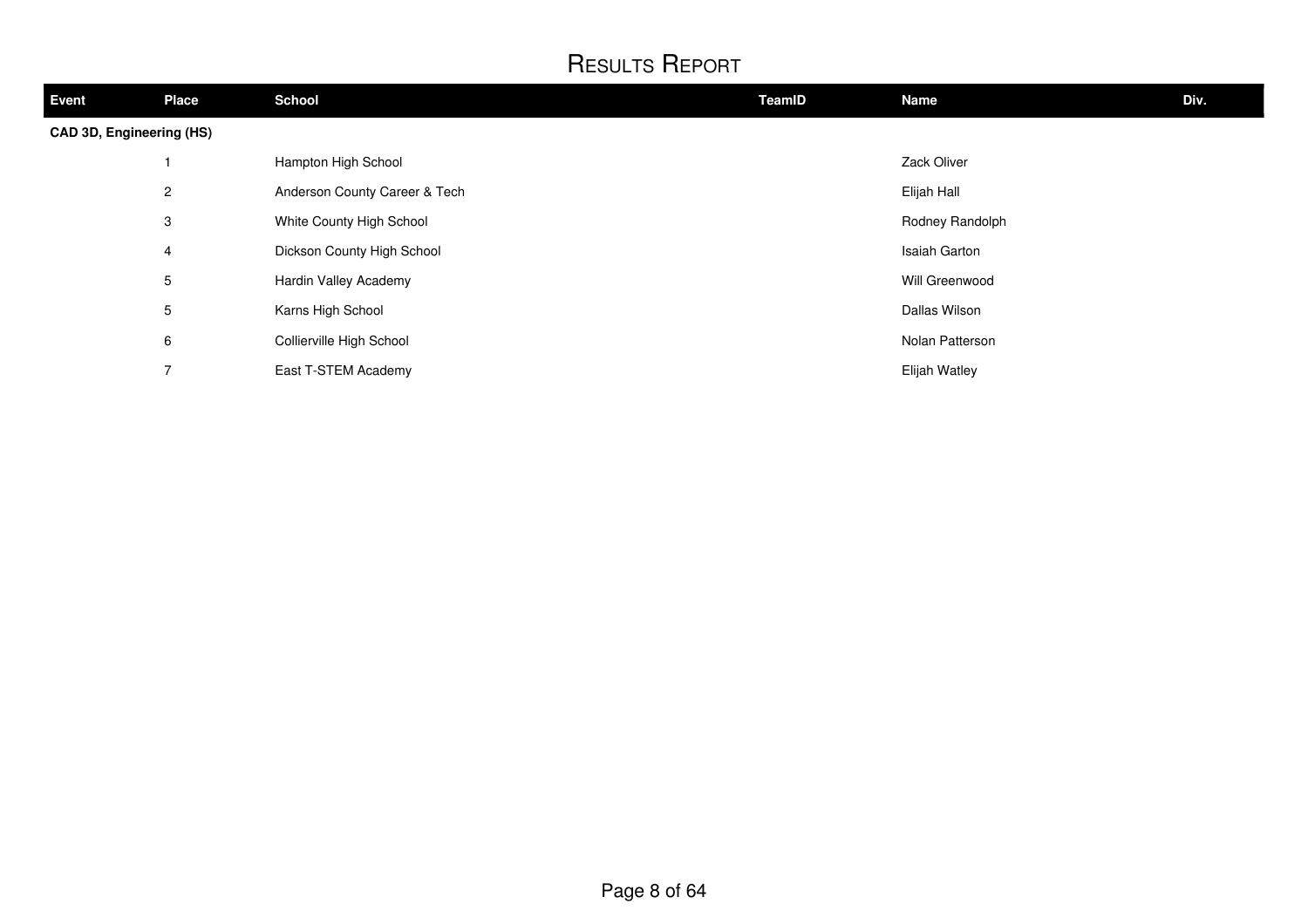| Event                    | <b>Place</b>                                                                                                                     | <b>School</b>            | TeamID | <b>Name</b>     | Div. |
|--------------------------|----------------------------------------------------------------------------------------------------------------------------------|--------------------------|--------|-----------------|------|
| CAD 3D, Engineering (HS) |                                                                                                                                  |                          |        |                 |      |
|                          |                                                                                                                                  | Hampton High School      |        | Zack Oliver     |      |
|                          | $\overline{2}$<br>Anderson County Career & Tech<br>3<br>White County High School<br>Dickson County High School<br>$\overline{4}$ |                          |        | Elijah Hall     |      |
|                          |                                                                                                                                  |                          |        | Rodney Randolph |      |
|                          |                                                                                                                                  |                          |        | Isaiah Garton   |      |
|                          | $5\phantom{.0}$                                                                                                                  | Hardin Valley Academy    |        | Will Greenwood  |      |
|                          | 5                                                                                                                                | Karns High School        |        | Dallas Wilson   |      |
|                          | 6                                                                                                                                | Collierville High School |        | Nolan Patterson |      |
|                          | 7                                                                                                                                | East T-STEM Academy      |        | Elijah Watley   |      |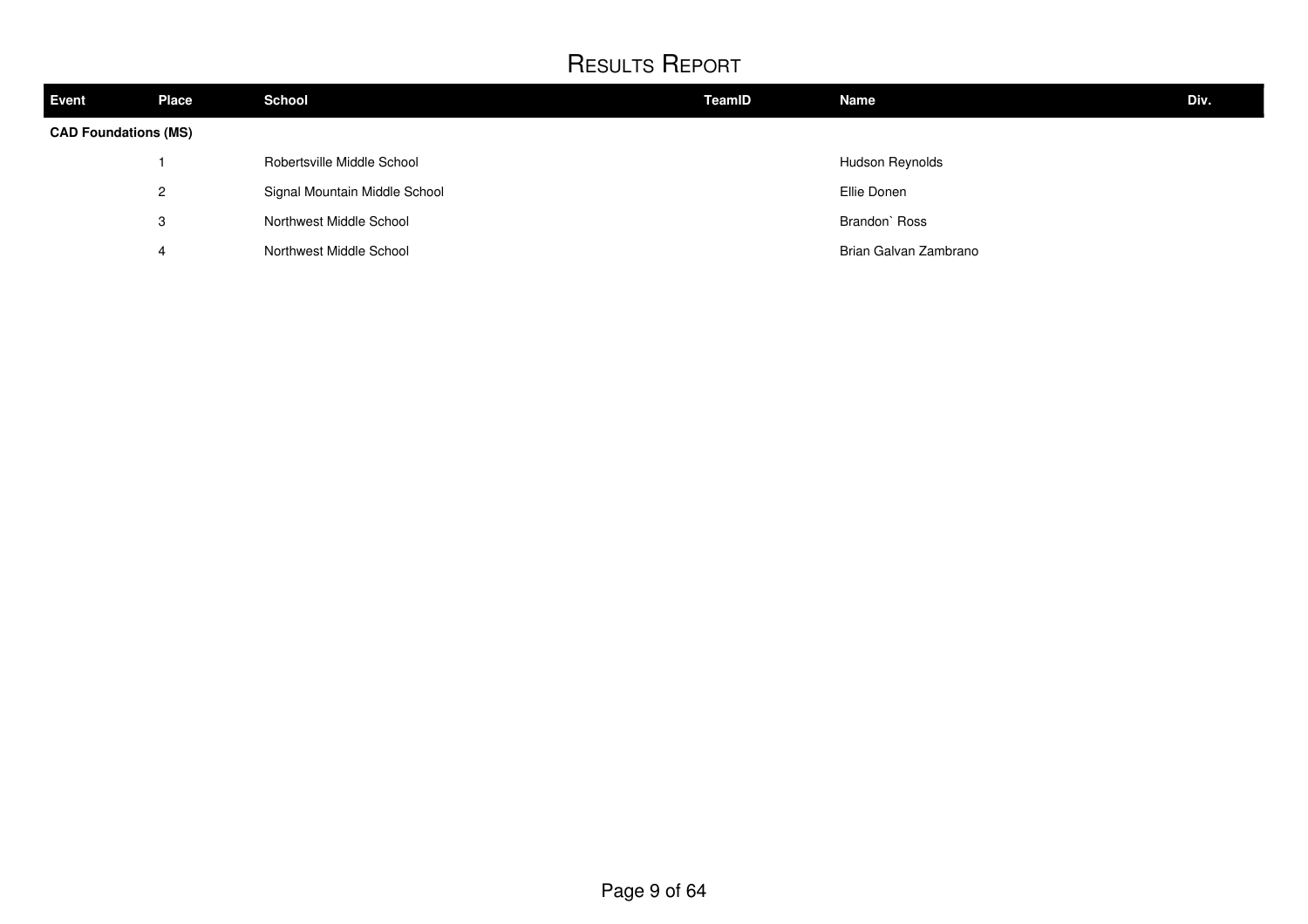| <b>Event</b>                | <b>Place</b> | <b>School</b>                 | <b>TeamID</b> | <b>Name</b>           | Div. |
|-----------------------------|--------------|-------------------------------|---------------|-----------------------|------|
| <b>CAD Foundations (MS)</b> |              |                               |               |                       |      |
|                             |              | Robertsville Middle School    |               | Hudson Reynolds       |      |
|                             | 2            | Signal Mountain Middle School |               | Ellie Donen           |      |
|                             | 3            | Northwest Middle School       |               | Brandon' Ross         |      |
|                             | 4            | Northwest Middle School       |               | Brian Galvan Zambrano |      |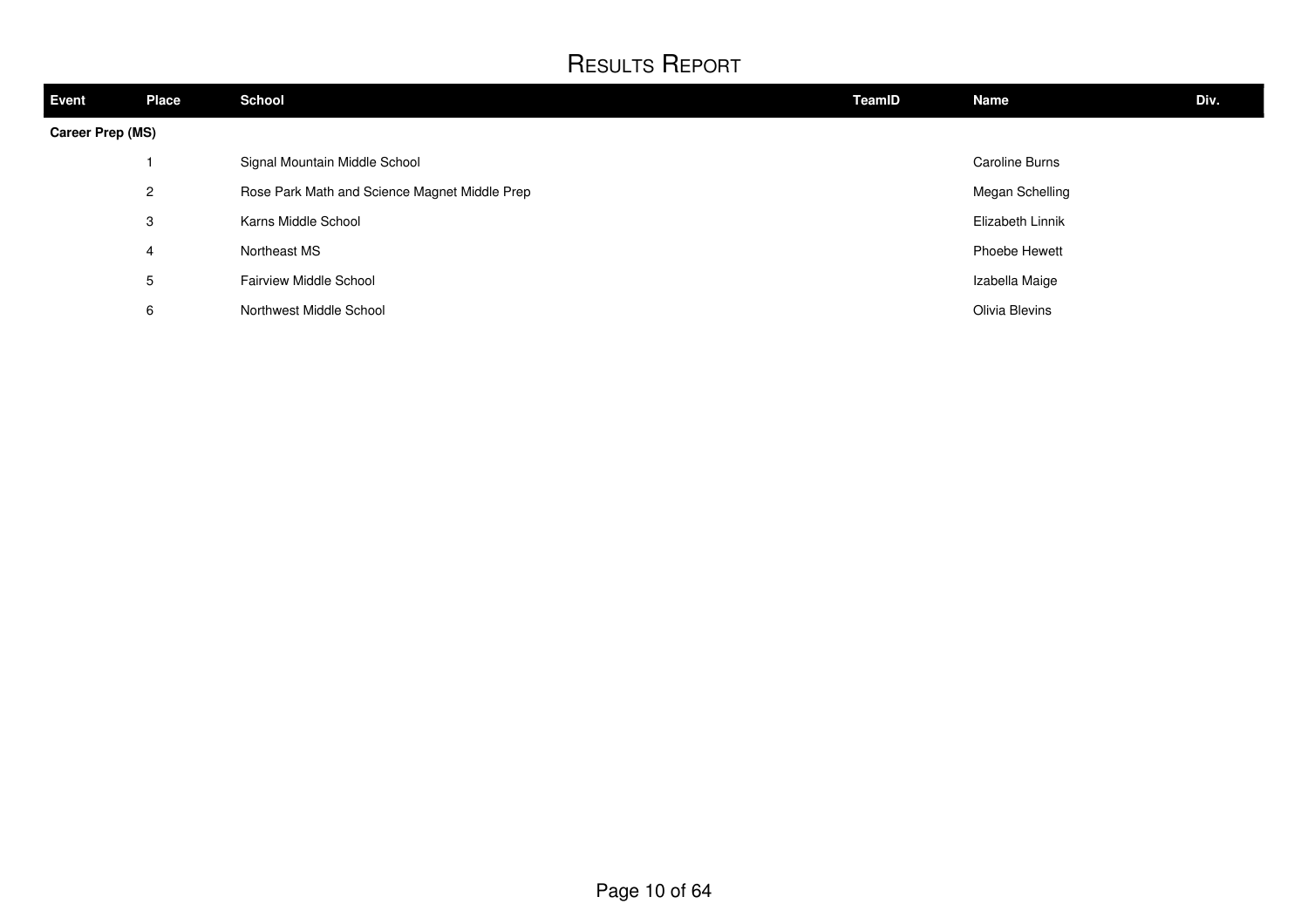| Event            | <b>Place</b> | <b>School</b>                                 | TeamID | Name                  | Div. |
|------------------|--------------|-----------------------------------------------|--------|-----------------------|------|
| Career Prep (MS) |              |                                               |        |                       |      |
|                  |              | Signal Mountain Middle School                 |        | <b>Caroline Burns</b> |      |
|                  | $\mathbf{2}$ | Rose Park Math and Science Magnet Middle Prep |        | Megan Schelling       |      |
|                  | 3            | Karns Middle School                           |        | Elizabeth Linnik      |      |
|                  | 4            | Northeast MS                                  |        | Phoebe Hewett         |      |
|                  | 5            | <b>Fairview Middle School</b>                 |        | Izabella Maige        |      |
|                  | 6            | Northwest Middle School                       |        | Olivia Blevins        |      |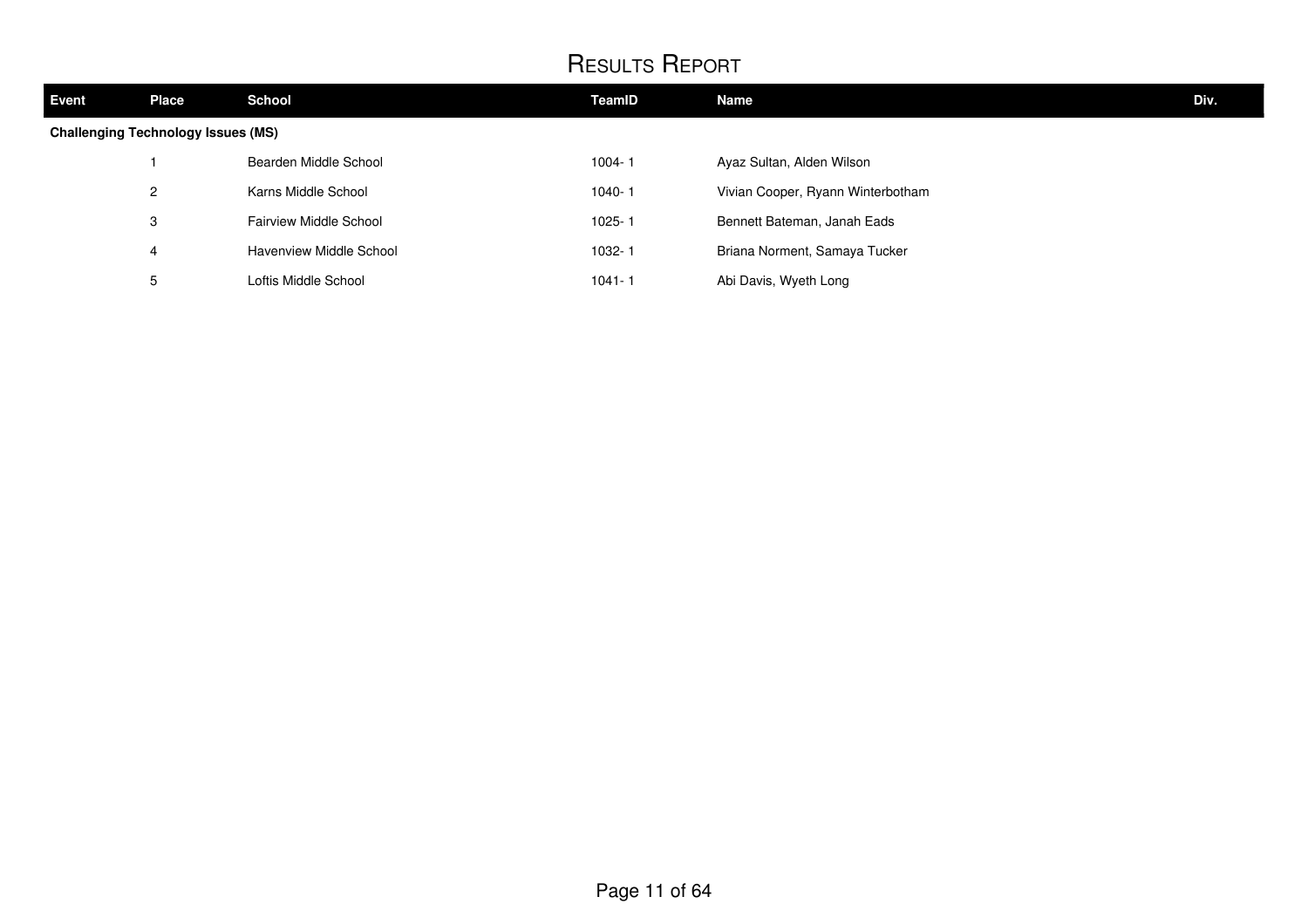| <b>Event</b>                              | <b>Place</b> | <b>School</b>           | <b>TeamID</b> | <b>Name</b>                       | Div. |
|-------------------------------------------|--------------|-------------------------|---------------|-----------------------------------|------|
| <b>Challenging Technology Issues (MS)</b> |              |                         |               |                                   |      |
|                                           |              | Bearden Middle School   | $1004 - 1$    | Ayaz Sultan, Alden Wilson         |      |
|                                           | $\mathbf{2}$ | Karns Middle School     | $1040 - 1$    | Vivian Cooper, Ryann Winterbotham |      |
|                                           | 3            | Fairview Middle School  | $1025 - 1$    | Bennett Bateman, Janah Eads       |      |
|                                           | 4            | Havenview Middle School | 1032-1        | Briana Norment, Samaya Tucker     |      |
|                                           | 5            | Loftis Middle School    | $1041 - 1$    | Abi Davis, Wyeth Long             |      |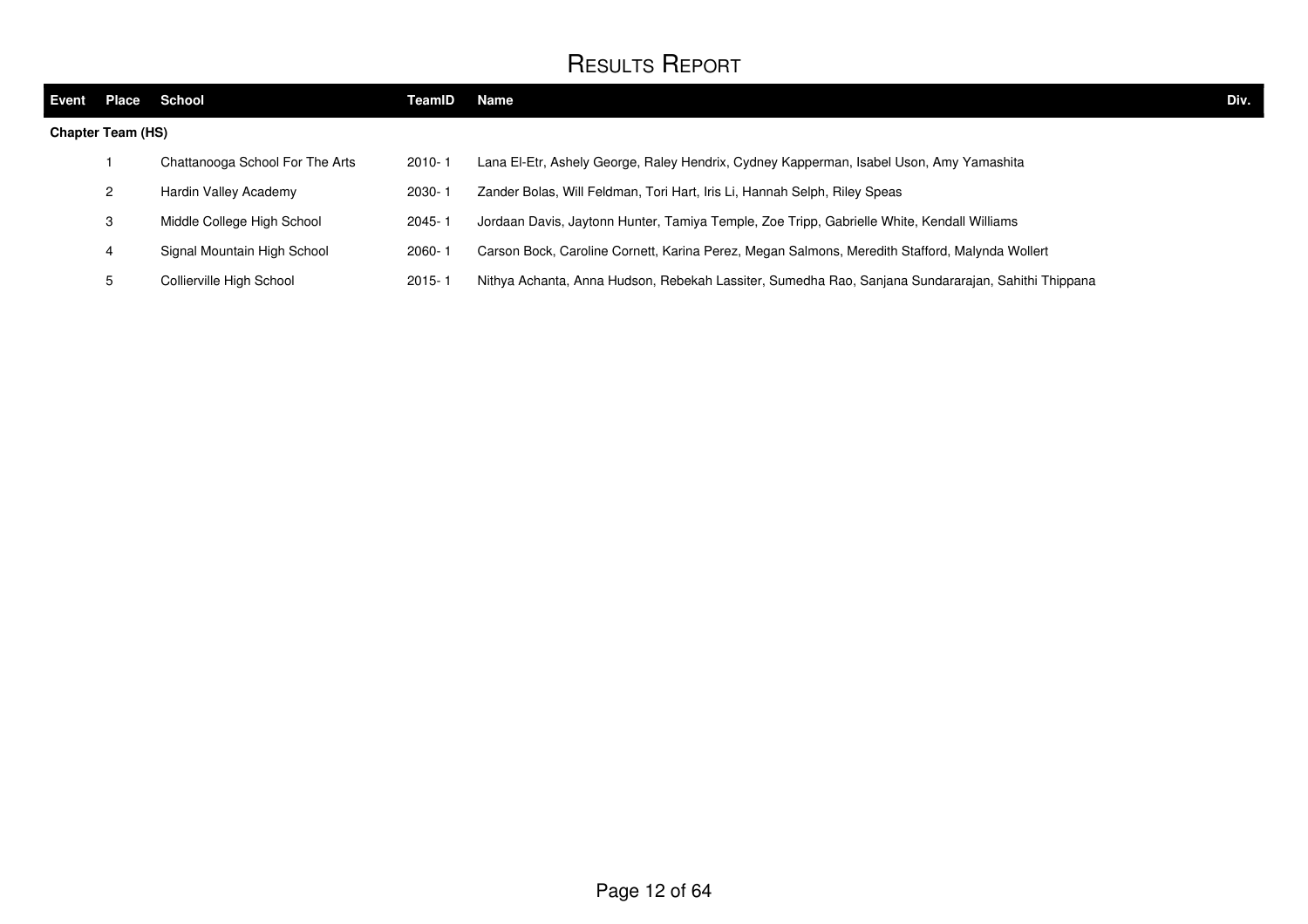| Event                    | <b>Place</b> | School                          | TeamID     | Name                                                                                               | Div. |
|--------------------------|--------------|---------------------------------|------------|----------------------------------------------------------------------------------------------------|------|
| <b>Chapter Team (HS)</b> |              |                                 |            |                                                                                                    |      |
|                          |              | Chattanooga School For The Arts | $2010 - 1$ | Lana El-Etr, Ashely George, Raley Hendrix, Cydney Kapperman, Isabel Uson, Amy Yamashita            |      |
|                          |              | Hardin Valley Academy           | $2030 - 1$ | Zander Bolas, Will Feldman, Tori Hart, Iris Li, Hannah Selph, Riley Speas                          |      |
|                          | 3            | Middle College High School      | 2045-1     | Jordaan Davis, Jaytonn Hunter, Tamiya Temple, Zoe Tripp, Gabrielle White, Kendall Williams         |      |
|                          | 4            | Signal Mountain High School     | $2060 - 1$ | Carson Bock, Caroline Cornett, Karina Perez, Megan Salmons, Meredith Stafford, Malynda Wollert     |      |
|                          |              | Collierville High School        | $2015 - 1$ | Nithya Achanta, Anna Hudson, Rebekah Lassiter, Sumedha Rao, Sanjana Sundararajan, Sahithi Thippana |      |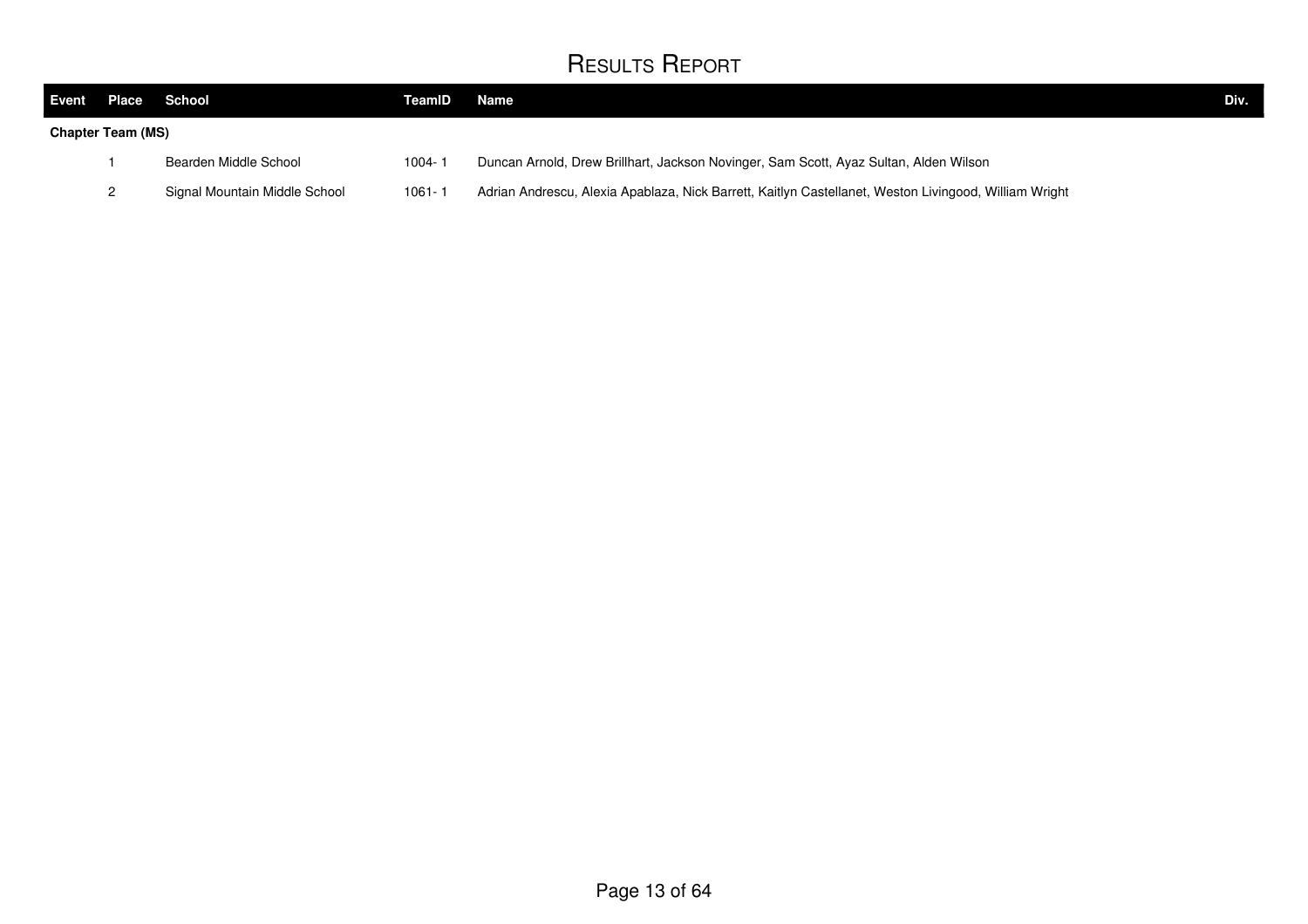| Event Place |                          | School                        | TeamID     | Name                                                                                                  | Div. |
|-------------|--------------------------|-------------------------------|------------|-------------------------------------------------------------------------------------------------------|------|
|             | <b>Chapter Team (MS)</b> |                               |            |                                                                                                       |      |
|             |                          | Bearden Middle School         | 1004-1     | Duncan Arnold, Drew Brillhart, Jackson Novinger, Sam Scott, Ayaz Sultan, Alden Wilson                 |      |
|             |                          | Signal Mountain Middle School | $1061 - 1$ | Adrian Andrescu, Alexia Apablaza, Nick Barrett, Kaitlyn Castellanet, Weston Livingood, William Wright |      |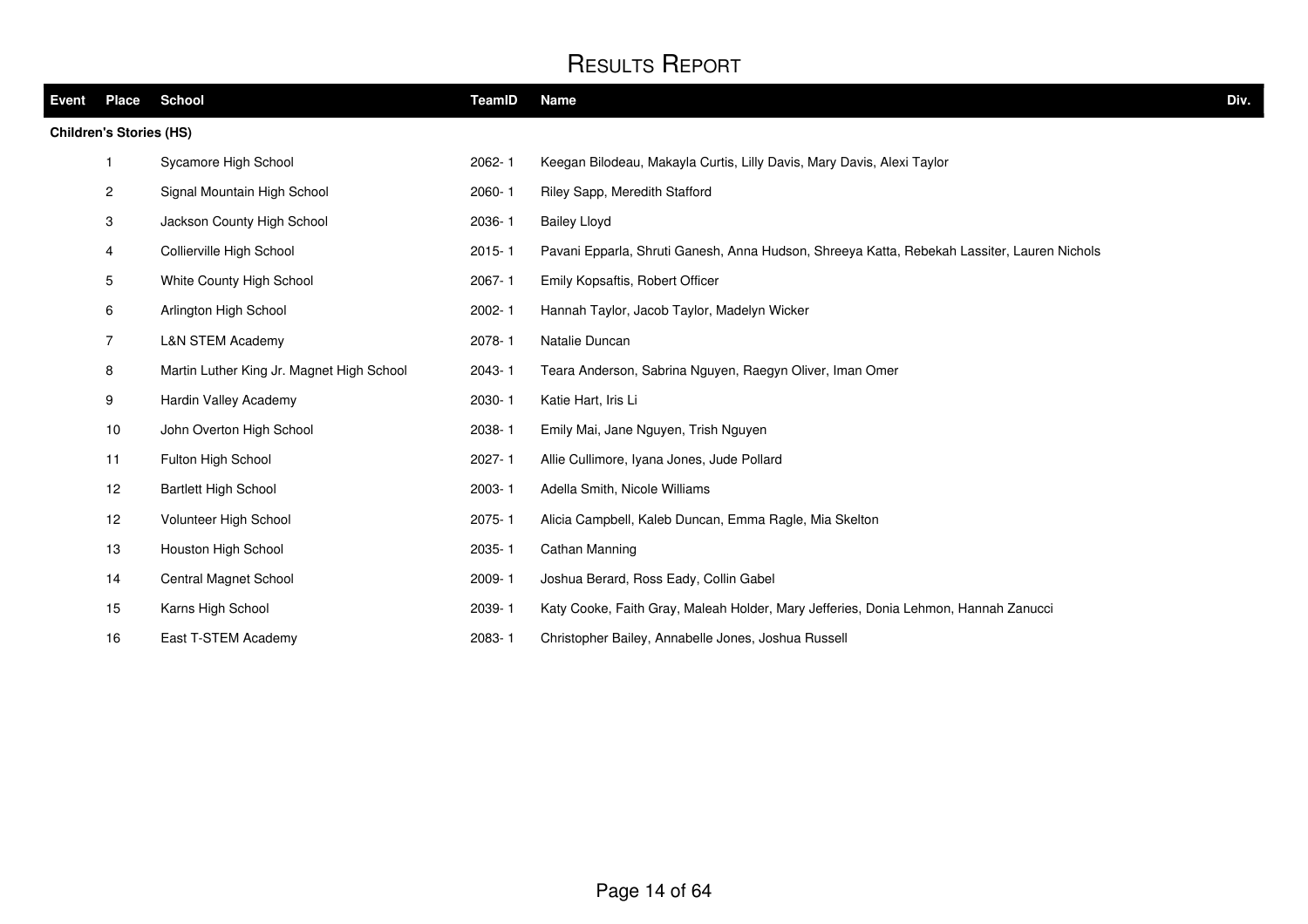| Event | Place                          | <b>School</b>                             | TeamID     | <b>Name</b>                                                                                 | Div. |
|-------|--------------------------------|-------------------------------------------|------------|---------------------------------------------------------------------------------------------|------|
|       | <b>Children's Stories (HS)</b> |                                           |            |                                                                                             |      |
|       | $\mathbf{1}$                   | Sycamore High School                      | $2062 - 1$ | Keegan Bilodeau, Makayla Curtis, Lilly Davis, Mary Davis, Alexi Taylor                      |      |
|       | $\overline{c}$                 | Signal Mountain High School               | 2060-1     | Riley Sapp, Meredith Stafford                                                               |      |
|       | 3                              | Jackson County High School                | 2036-1     | <b>Bailey Lloyd</b>                                                                         |      |
|       | 4                              | Collierville High School                  | $2015 - 1$ | Pavani Epparla, Shruti Ganesh, Anna Hudson, Shreeya Katta, Rebekah Lassiter, Lauren Nichols |      |
|       | 5                              | White County High School                  | 2067-1     | Emily Kopsaftis, Robert Officer                                                             |      |
|       | 6                              | Arlington High School                     | 2002-1     | Hannah Taylor, Jacob Taylor, Madelyn Wicker                                                 |      |
|       | $\overline{7}$                 | <b>L&amp;N STEM Academy</b>               | 2078-1     | Natalie Duncan                                                                              |      |
|       | 8                              | Martin Luther King Jr. Magnet High School | 2043-1     | Teara Anderson, Sabrina Nguyen, Raegyn Oliver, Iman Omer                                    |      |
|       | 9                              | Hardin Valley Academy                     | 2030-1     | Katie Hart, Iris Li                                                                         |      |
|       | 10                             | John Overton High School                  | 2038-1     | Emily Mai, Jane Nguyen, Trish Nguyen                                                        |      |
|       | 11                             | Fulton High School                        | 2027-1     | Allie Cullimore, Iyana Jones, Jude Pollard                                                  |      |
|       | 12                             | <b>Bartlett High School</b>               | 2003-1     | Adella Smith, Nicole Williams                                                               |      |
|       | 12                             | Volunteer High School                     | 2075-1     | Alicia Campbell, Kaleb Duncan, Emma Ragle, Mia Skelton                                      |      |
|       | 13                             | Houston High School                       | 2035-1     | Cathan Manning                                                                              |      |
|       | 14                             | Central Magnet School                     | 2009-1     | Joshua Berard, Ross Eady, Collin Gabel                                                      |      |
|       | 15                             | Karns High School                         | 2039-1     | Katy Cooke, Faith Gray, Maleah Holder, Mary Jefferies, Donia Lehmon, Hannah Zanucci         |      |
|       | 16                             | East T-STEM Academy                       | 2083-1     | Christopher Bailey, Annabelle Jones, Joshua Russell                                         |      |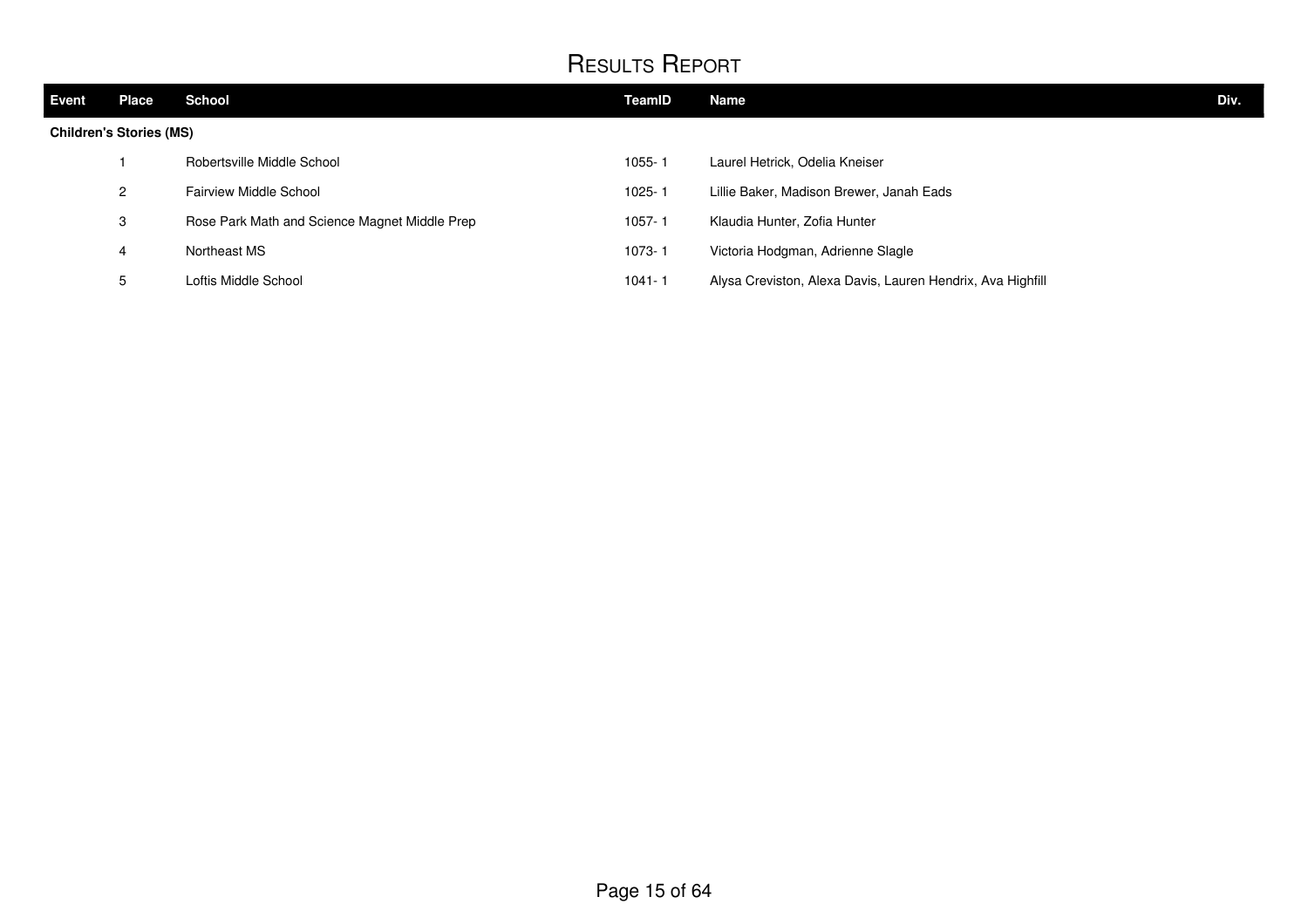| <b>Event</b> | <b>Place</b>                   | School                                        | TeamID     | <b>Name</b>                                                | Div. |
|--------------|--------------------------------|-----------------------------------------------|------------|------------------------------------------------------------|------|
|              | <b>Children's Stories (MS)</b> |                                               |            |                                                            |      |
|              |                                | Robertsville Middle School                    | 1055-1     | Laurel Hetrick, Odelia Kneiser                             |      |
|              | $\overline{2}$                 | Fairview Middle School                        | 1025-1     | Lillie Baker, Madison Brewer, Janah Eads                   |      |
|              | 3                              | Rose Park Math and Science Magnet Middle Prep | $1057 - 1$ | Klaudia Hunter, Zofia Hunter                               |      |
|              | 4                              | Northeast MS                                  | 1073-1     | Victoria Hodgman, Adrienne Slagle                          |      |
|              | 5                              | Loftis Middle School                          | 1041-1     | Alysa Creviston, Alexa Davis, Lauren Hendrix, Ava Highfill |      |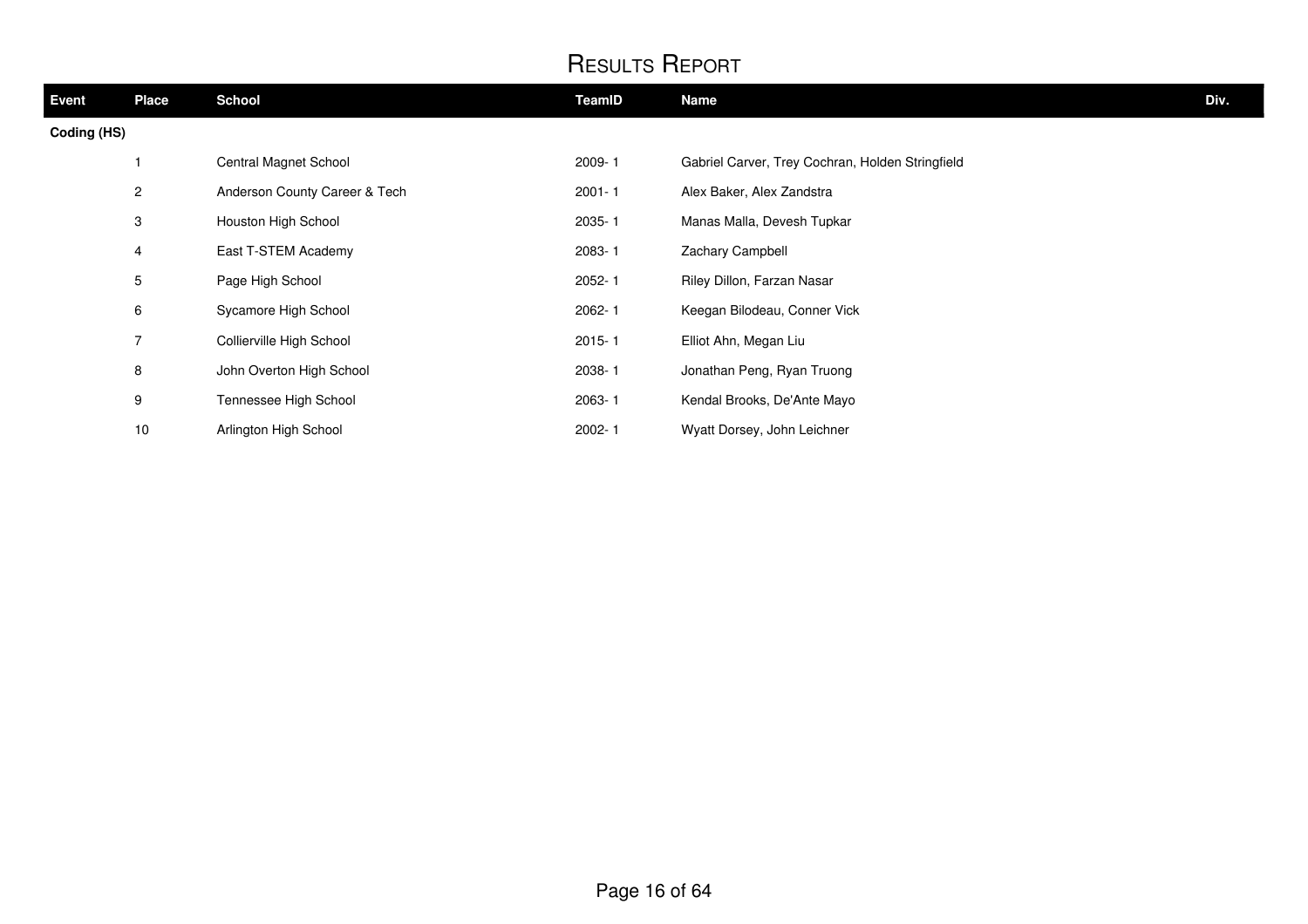| <b>Event</b> | <b>Place</b>   | <b>School</b>                 | TeamID     | <b>Name</b>                                      | Div. |
|--------------|----------------|-------------------------------|------------|--------------------------------------------------|------|
| Coding (HS)  |                |                               |            |                                                  |      |
|              | 1              | Central Magnet School         | 2009-1     | Gabriel Carver, Trey Cochran, Holden Stringfield |      |
|              | $\overline{2}$ | Anderson County Career & Tech | $2001 - 1$ | Alex Baker, Alex Zandstra                        |      |
|              | 3              | Houston High School           | 2035-1     | Manas Malla, Devesh Tupkar                       |      |
|              | 4              | East T-STEM Academy           | 2083-1     | Zachary Campbell                                 |      |
|              | 5              | Page High School              | 2052-1     | Riley Dillon, Farzan Nasar                       |      |
|              | 6              | Sycamore High School          | 2062-1     | Keegan Bilodeau, Conner Vick                     |      |
|              | $\overline{7}$ | Collierville High School      | $2015 - 1$ | Elliot Ahn, Megan Liu                            |      |
|              | 8              | John Overton High School      | 2038-1     | Jonathan Peng, Ryan Truong                       |      |
|              | 9              | Tennessee High School         | 2063-1     | Kendal Brooks, De'Ante Mayo                      |      |
|              | 10             | Arlington High School         | 2002-1     | Wyatt Dorsey, John Leichner                      |      |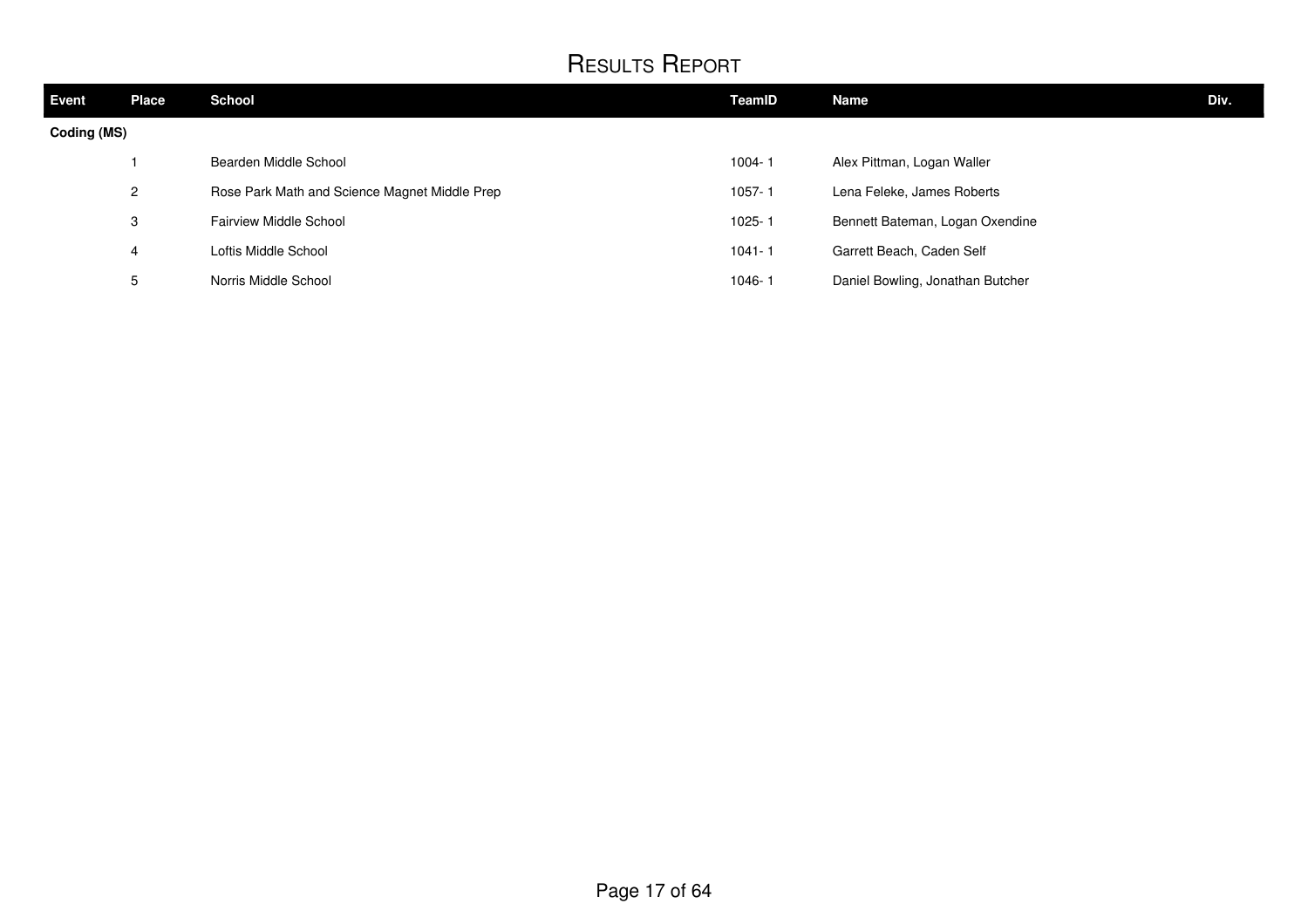| <b>Event</b> | <b>Place</b>   | <b>School</b>                                 | TeamID     | Name                             | Div. |
|--------------|----------------|-----------------------------------------------|------------|----------------------------------|------|
| Coding (MS)  |                |                                               |            |                                  |      |
|              |                | Bearden Middle School                         | 1004-1     | Alex Pittman, Logan Waller       |      |
|              | $\overline{2}$ | Rose Park Math and Science Magnet Middle Prep | 1057-1     | Lena Feleke, James Roberts       |      |
|              | 3              | Fairview Middle School                        | 1025-1     | Bennett Bateman, Logan Oxendine  |      |
|              | 4              | Loftis Middle School                          | $1041 - 1$ | Garrett Beach, Caden Self        |      |
|              | ა              | Norris Middle School                          | 1046-1     | Daniel Bowling, Jonathan Butcher |      |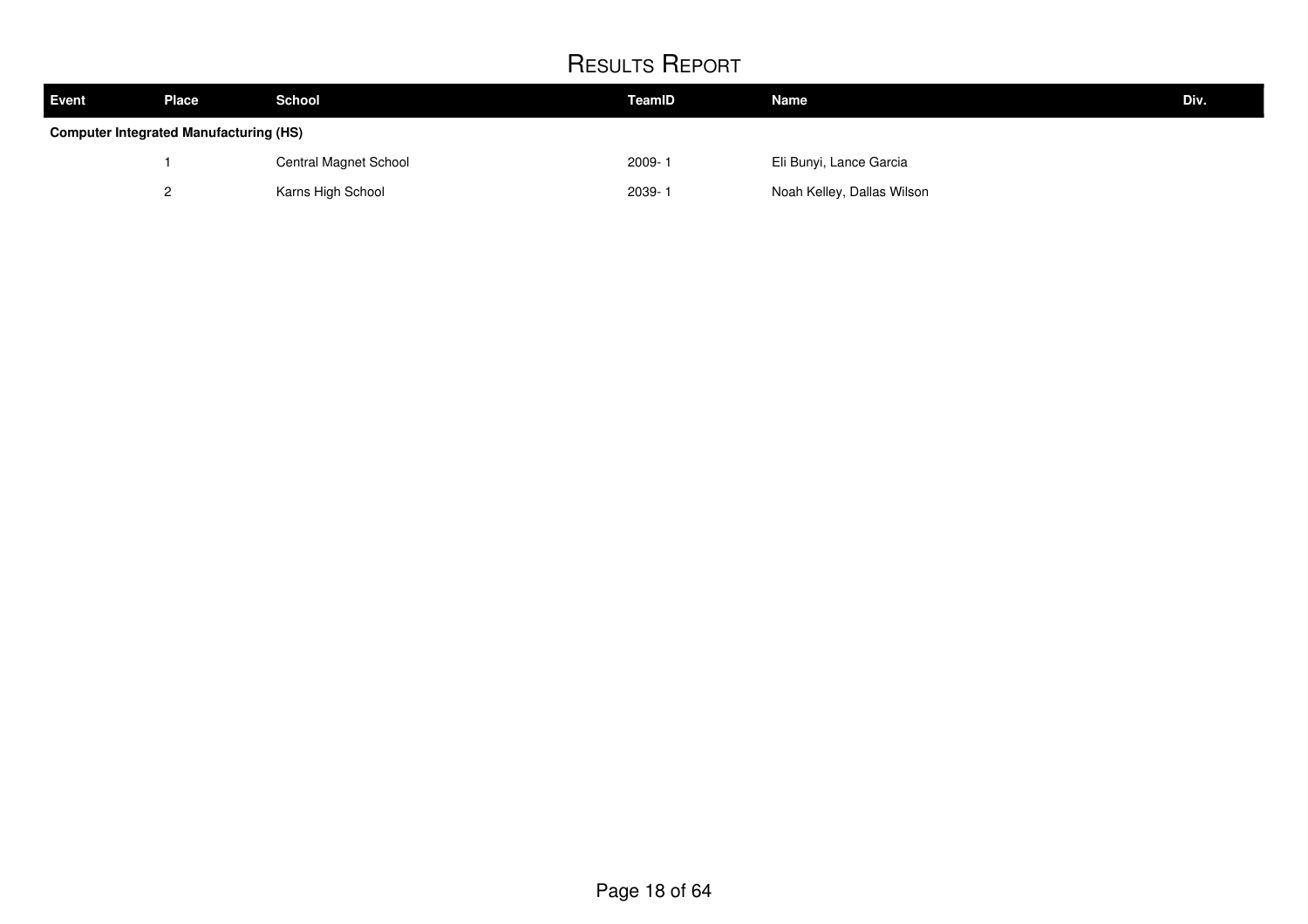| <b>Event</b> | Place                                         | <b>School</b>         | TeamID     | <b>Name</b>                | Div. |  |  |
|--------------|-----------------------------------------------|-----------------------|------------|----------------------------|------|--|--|
|              | <b>Computer Integrated Manufacturing (HS)</b> |                       |            |                            |      |  |  |
|              |                                               | Central Magnet School | $2009 - 1$ | Eli Bunyi, Lance Garcia    |      |  |  |
|              |                                               | Karns High School     | 2039-1     | Noah Kelley, Dallas Wilson |      |  |  |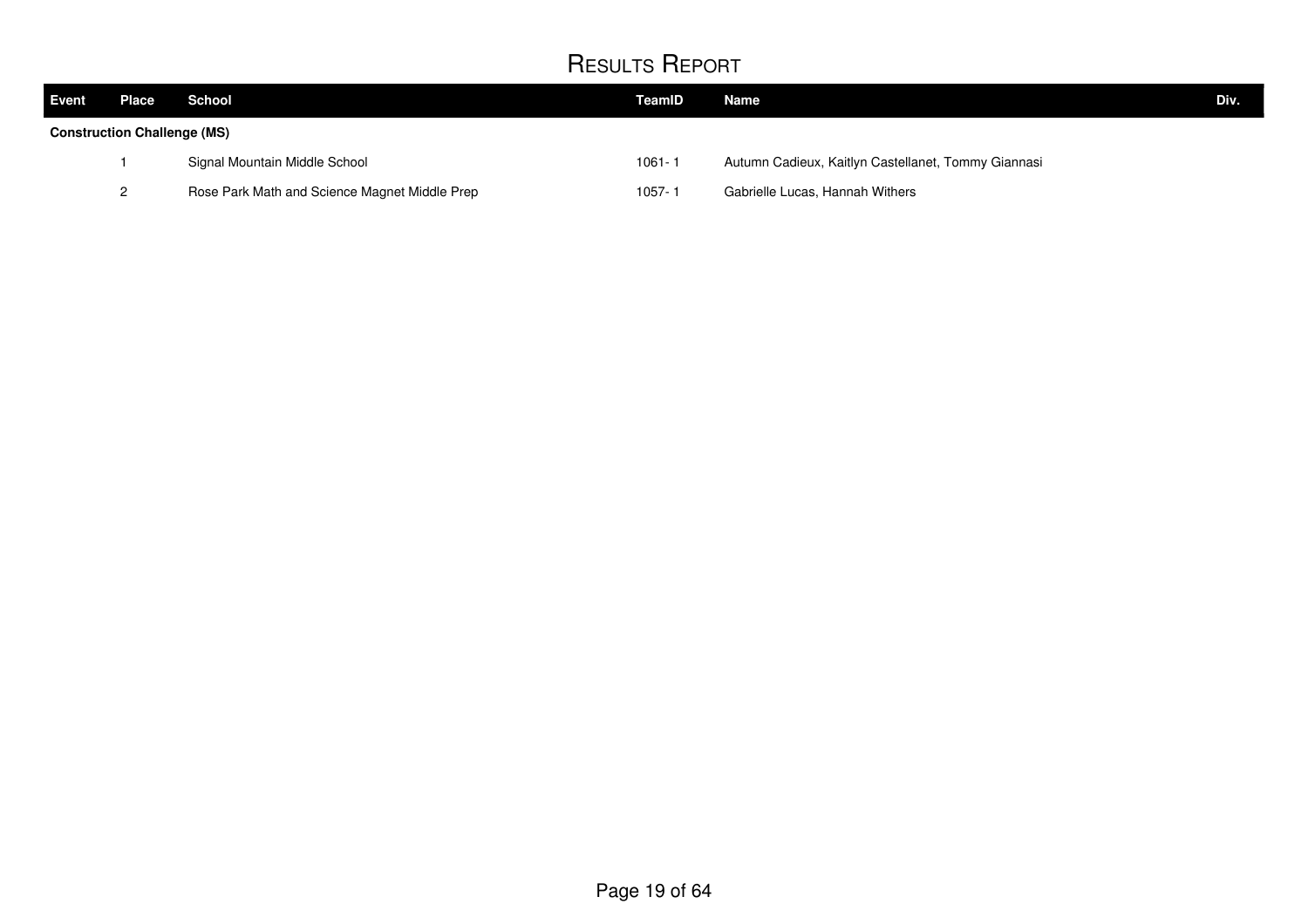| <b>Event</b>                       | Place | School                                        | TeamID     | Name                                                | Div. |
|------------------------------------|-------|-----------------------------------------------|------------|-----------------------------------------------------|------|
| <b>Construction Challenge (MS)</b> |       |                                               |            |                                                     |      |
|                                    |       | Signal Mountain Middle School                 | $1061 - 1$ | Autumn Cadieux, Kaitlyn Castellanet, Tommy Giannasi |      |
|                                    |       | Rose Park Math and Science Magnet Middle Prep | 1057-1     | Gabrielle Lucas, Hannah Withers                     |      |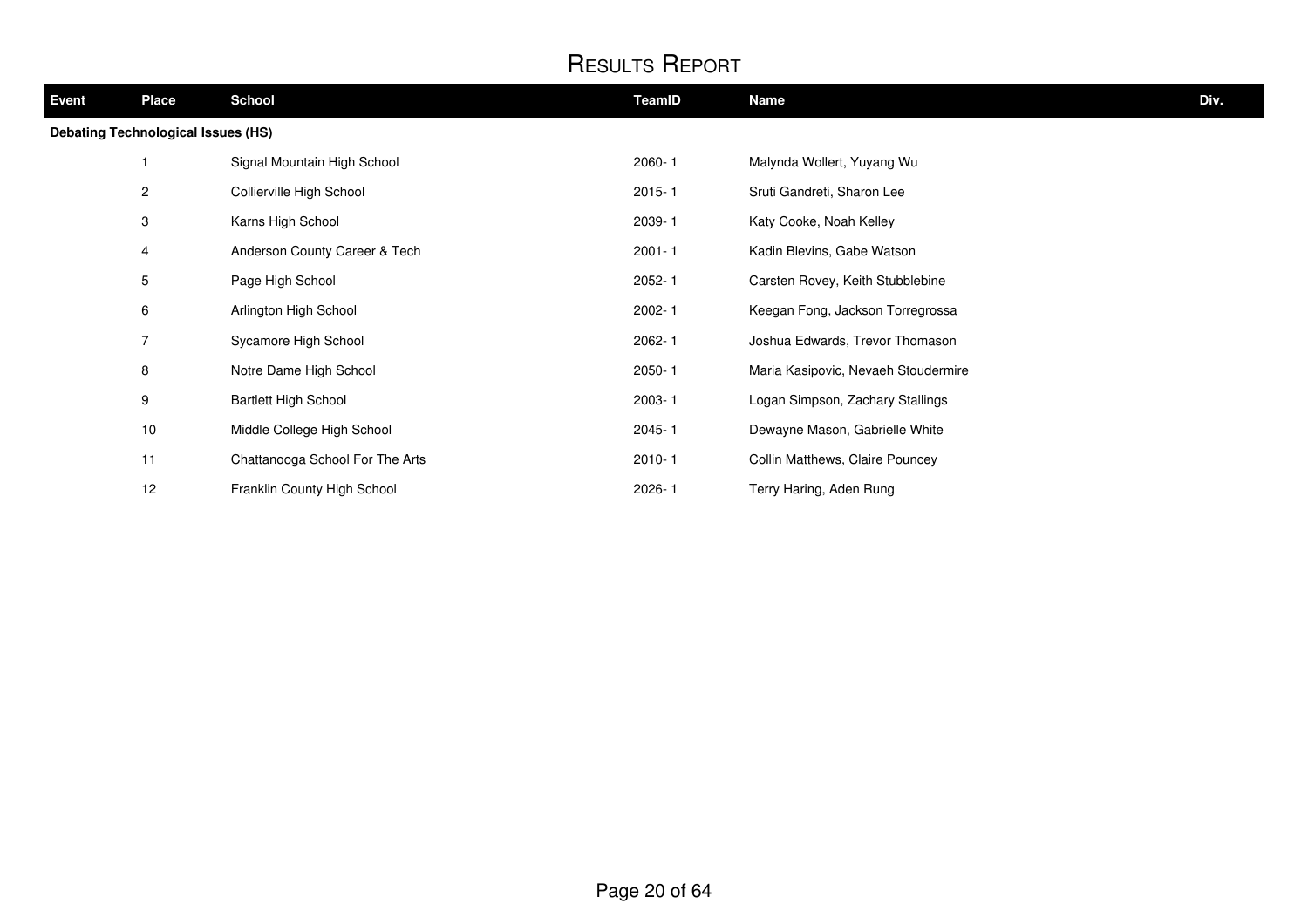| Event | <b>Place</b>                              | <b>School</b>                   | TeamID     | Name                                | Div. |
|-------|-------------------------------------------|---------------------------------|------------|-------------------------------------|------|
|       | <b>Debating Technological Issues (HS)</b> |                                 |            |                                     |      |
|       |                                           | Signal Mountain High School     | 2060-1     | Malynda Wollert, Yuyang Wu          |      |
|       | $\overline{a}$                            | Collierville High School        | $2015 - 1$ | Sruti Gandreti, Sharon Lee          |      |
|       | 3                                         | Karns High School               | 2039-1     | Katy Cooke, Noah Kelley             |      |
|       | 4                                         | Anderson County Career & Tech   | $2001 - 1$ | Kadin Blevins, Gabe Watson          |      |
|       | $5\phantom{.0}$                           | Page High School                | $2052 - 1$ | Carsten Rovey, Keith Stubblebine    |      |
|       | 6                                         | Arlington High School           | 2002-1     | Keegan Fong, Jackson Torregrossa    |      |
|       | 7                                         | Sycamore High School            | 2062-1     | Joshua Edwards, Trevor Thomason     |      |
|       | 8                                         | Notre Dame High School          | $2050 - 1$ | Maria Kasipovic, Nevaeh Stoudermire |      |
|       | 9                                         | <b>Bartlett High School</b>     | 2003-1     | Logan Simpson, Zachary Stallings    |      |
|       | 10                                        | Middle College High School      | $2045 - 1$ | Dewayne Mason, Gabrielle White      |      |
|       | 11                                        | Chattanooga School For The Arts | $2010 - 1$ | Collin Matthews, Claire Pouncey     |      |
|       | 12                                        | Franklin County High School     | 2026-1     | Terry Haring, Aden Rung             |      |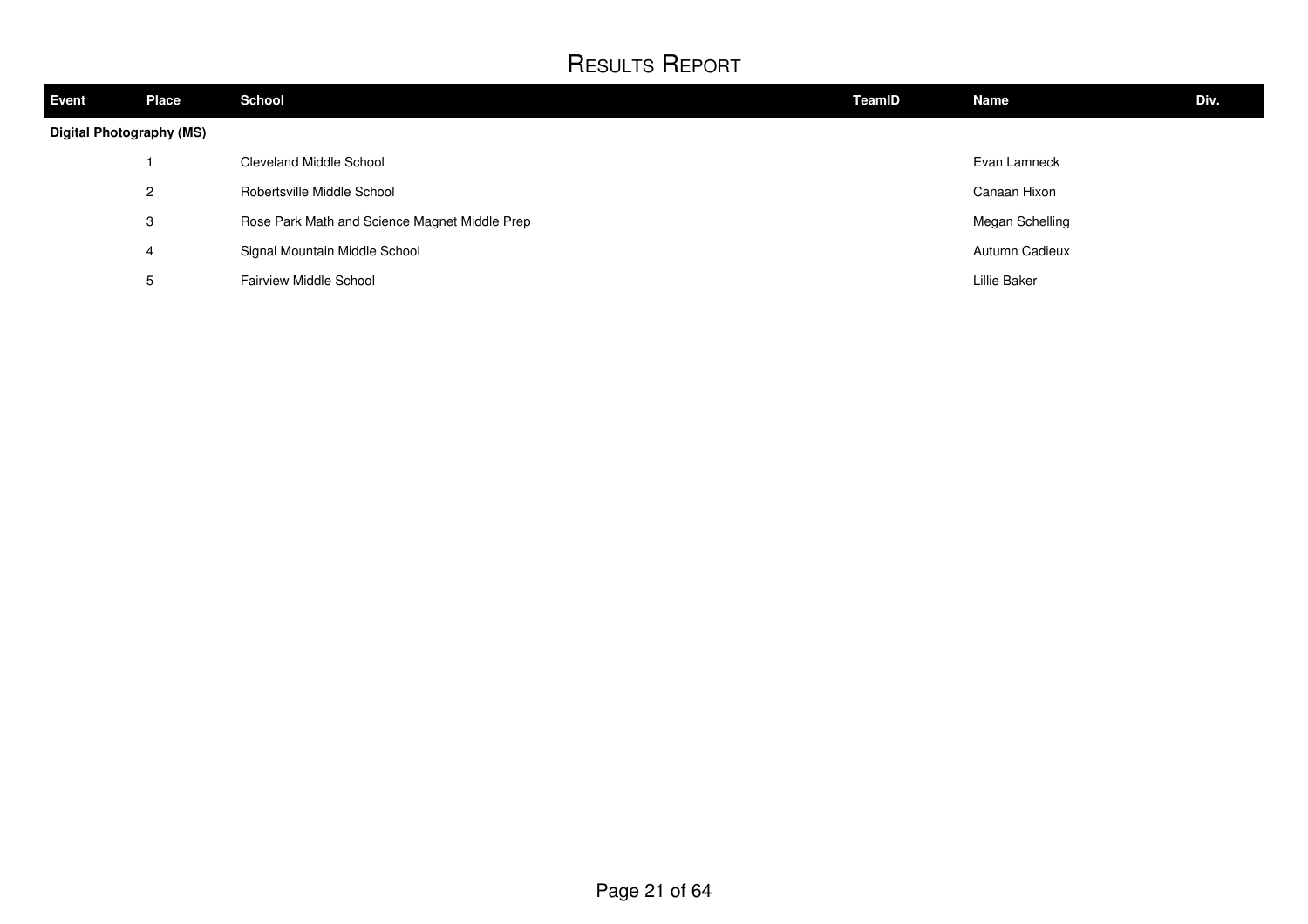| <b>Event</b>                    | <b>Place</b>   | <b>School</b>                                 | <b>TeamID</b> | <b>Name</b>     | Div. |
|---------------------------------|----------------|-----------------------------------------------|---------------|-----------------|------|
| <b>Digital Photography (MS)</b> |                |                                               |               |                 |      |
|                                 |                | Cleveland Middle School                       |               | Evan Lamneck    |      |
|                                 | $\overline{2}$ | Robertsville Middle School                    |               | Canaan Hixon    |      |
|                                 | 3              | Rose Park Math and Science Magnet Middle Prep |               | Megan Schelling |      |
|                                 | 4              | Signal Mountain Middle School                 |               | Autumn Cadieux  |      |
|                                 | 5              | <b>Fairview Middle School</b>                 |               | Lillie Baker    |      |
|                                 |                |                                               |               |                 |      |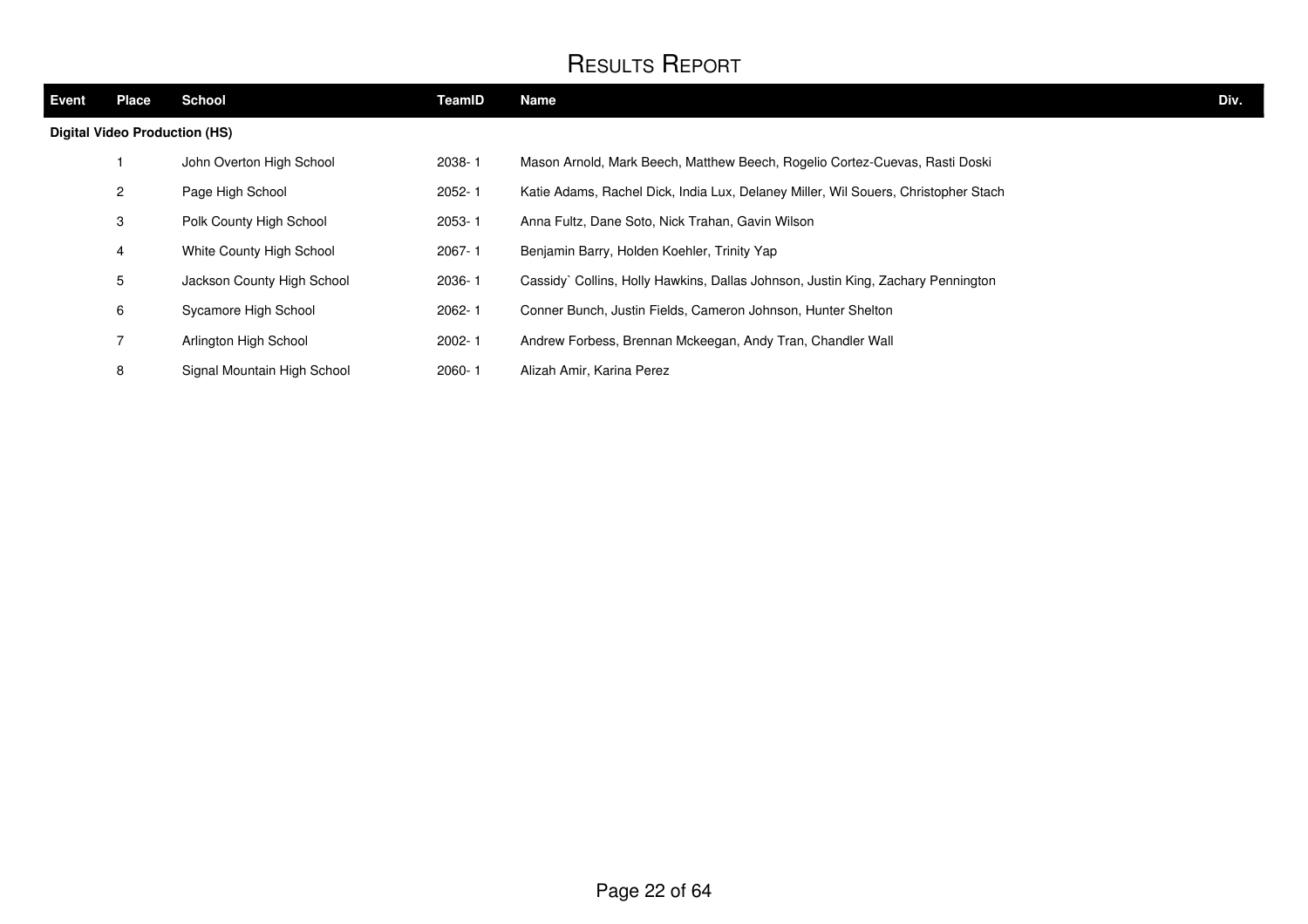| Event | <b>Place</b>                         | <b>School</b>               | TeamID     | <b>Name</b>                                                                        | Div. |
|-------|--------------------------------------|-----------------------------|------------|------------------------------------------------------------------------------------|------|
|       | <b>Digital Video Production (HS)</b> |                             |            |                                                                                    |      |
|       |                                      | John Overton High School    | 2038-1     | Mason Arnold, Mark Beech, Matthew Beech, Rogelio Cortez-Cuevas, Rasti Doski        |      |
|       | $\overline{c}$                       | Page High School            | $2052 - 1$ | Katie Adams, Rachel Dick, India Lux, Delaney Miller, Wil Souers, Christopher Stach |      |
|       | 3                                    | Polk County High School     | 2053-1     | Anna Fultz, Dane Soto, Nick Trahan, Gavin Wilson                                   |      |
|       | 4                                    | White County High School    | 2067-1     | Benjamin Barry, Holden Koehler, Trinity Yap                                        |      |
|       | 5                                    | Jackson County High School  | 2036-1     | Cassidy` Collins, Holly Hawkins, Dallas Johnson, Justin King, Zachary Pennington   |      |
|       | 6                                    | Sycamore High School        | $2062 - 1$ | Conner Bunch, Justin Fields, Cameron Johnson, Hunter Shelton                       |      |
|       | 7                                    | Arlington High School       | $2002 - 1$ | Andrew Forbess, Brennan Mckeegan, Andy Tran, Chandler Wall                         |      |
|       | 8                                    | Signal Mountain High School | $2060 - 1$ | Alizah Amir, Karina Perez                                                          |      |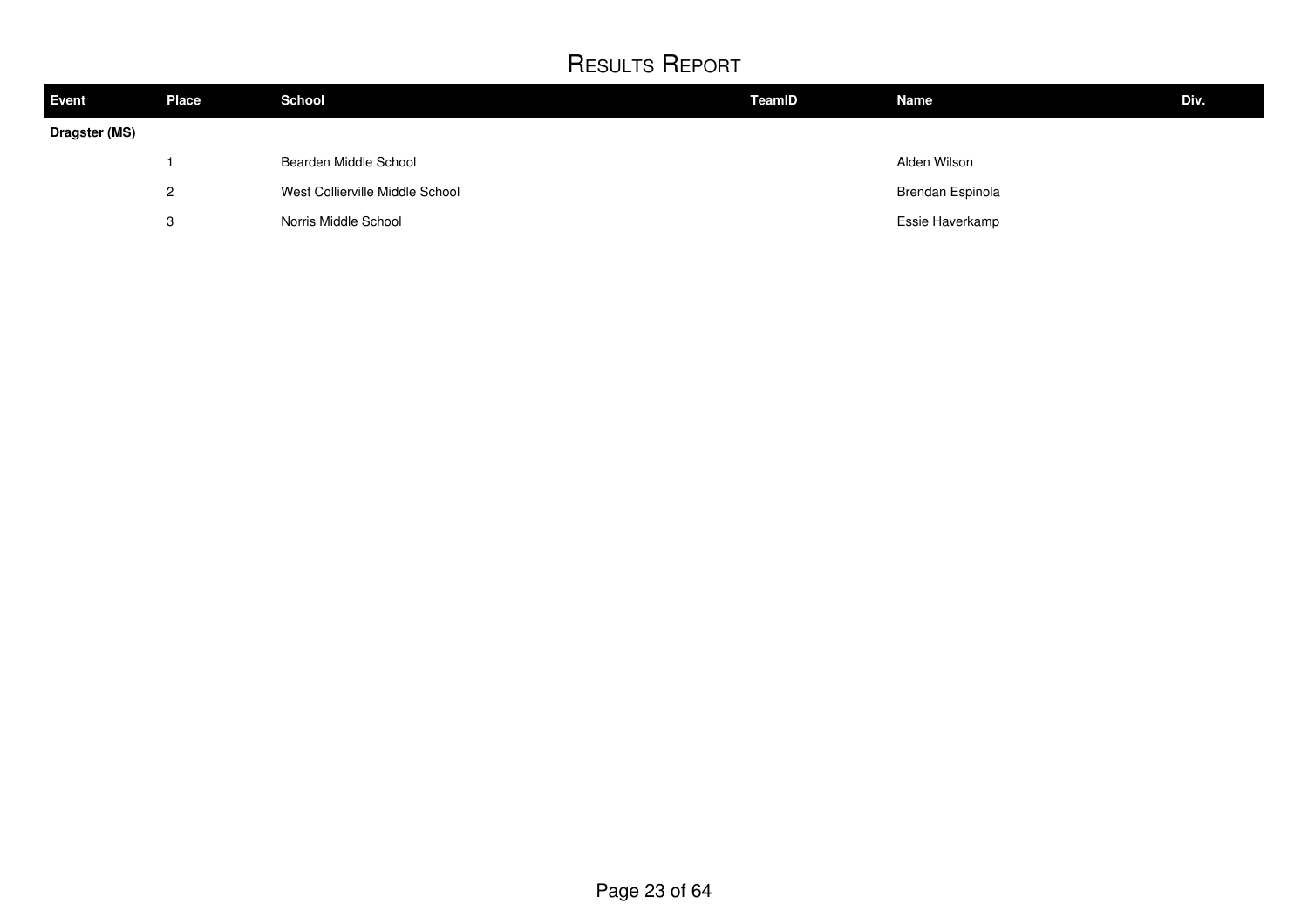| Event         | <b>Place</b>              | <b>School</b>                   | TeamID | <b>Name</b>      | Div. |
|---------------|---------------------------|---------------------------------|--------|------------------|------|
| Dragster (MS) |                           |                                 |        |                  |      |
|               |                           | Bearden Middle School           |        | Alden Wilson     |      |
|               | $\mathcal{P}$<br><u>L</u> | West Collierville Middle School |        | Brendan Espinola |      |
|               | ິ<br>دت                   | Norris Middle School            |        | Essie Haverkamp  |      |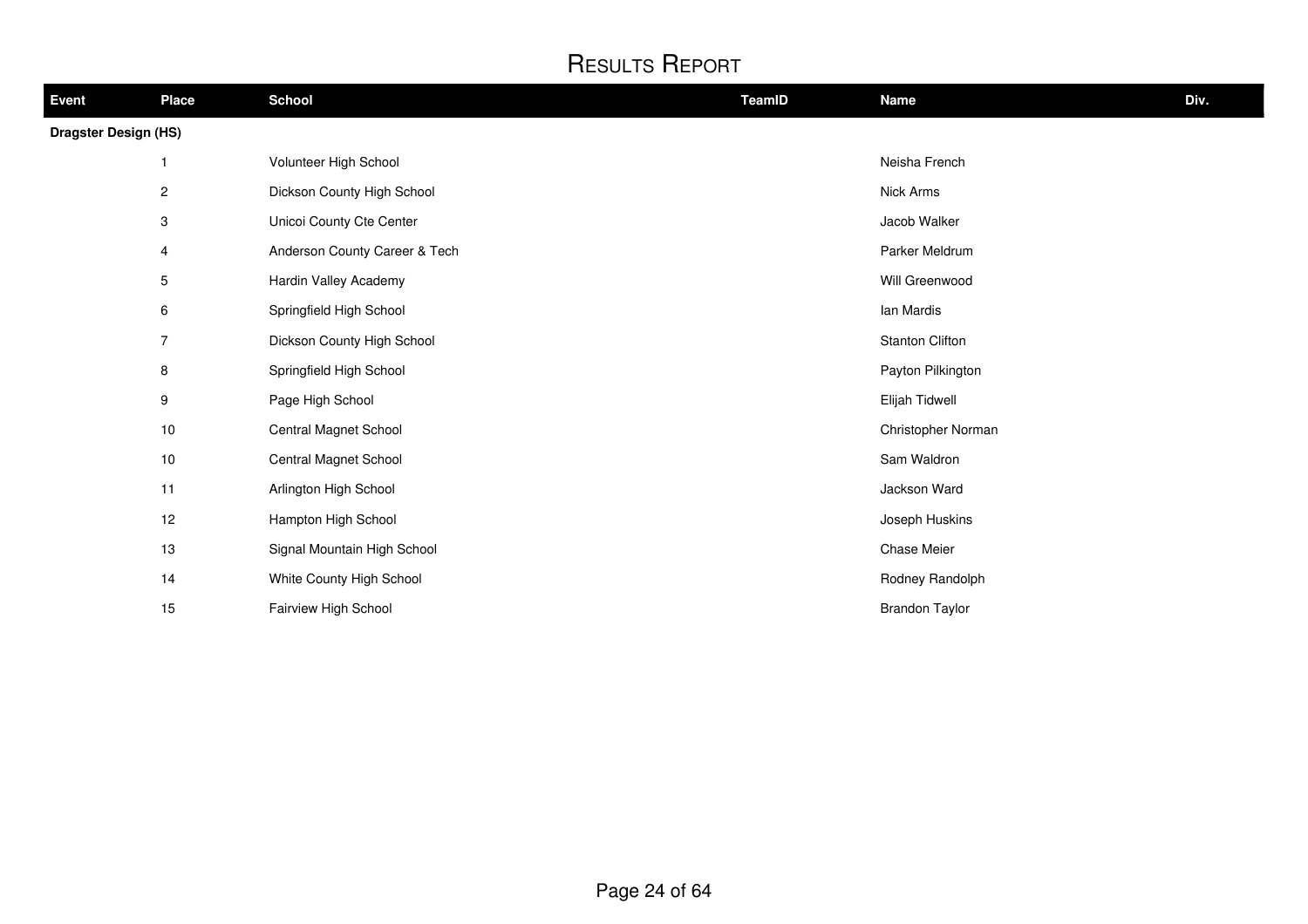| Event                       | <b>Place</b>            | <b>School</b>                 | TeamID | <b>Name</b>           | Div. |
|-----------------------------|-------------------------|-------------------------------|--------|-----------------------|------|
| <b>Dragster Design (HS)</b> |                         |                               |        |                       |      |
|                             | 1                       | Volunteer High School         |        | Neisha French         |      |
|                             | $\overline{\mathbf{c}}$ | Dickson County High School    |        | Nick Arms             |      |
|                             | 3                       | Unicoi County Cte Center      |        | Jacob Walker          |      |
|                             | 4                       | Anderson County Career & Tech |        | Parker Meldrum        |      |
|                             | 5                       | Hardin Valley Academy         |        | Will Greenwood        |      |
|                             | 6                       | Springfield High School       |        | Ian Mardis            |      |
|                             | $\overline{7}$          | Dickson County High School    |        | Stanton Clifton       |      |
|                             | 8                       | Springfield High School       |        | Payton Pilkington     |      |
|                             | 9                       | Page High School              |        | Elijah Tidwell        |      |
|                             | 10                      | Central Magnet School         |        | Christopher Norman    |      |
|                             | 10                      | Central Magnet School         |        | Sam Waldron           |      |
|                             | 11                      | Arlington High School         |        | Jackson Ward          |      |
|                             | 12                      | Hampton High School           |        | Joseph Huskins        |      |
|                             | 13                      | Signal Mountain High School   |        | Chase Meier           |      |
|                             | 14                      | White County High School      |        | Rodney Randolph       |      |
|                             | 15                      | Fairview High School          |        | <b>Brandon Taylor</b> |      |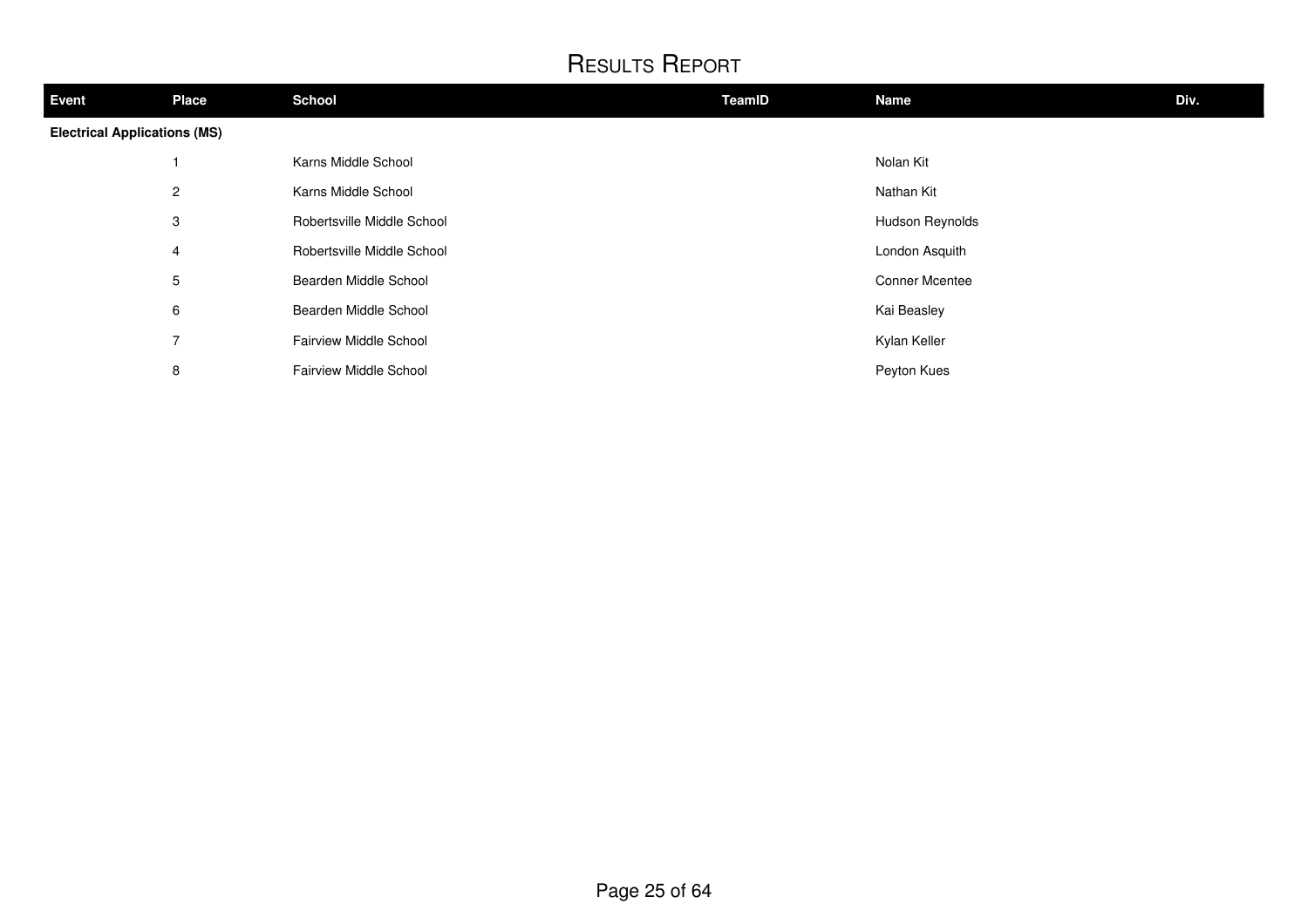| <b>Event</b>                        | <b>Place</b>   | <b>School</b>                 | TeamID | <b>Name</b>           | Div. |
|-------------------------------------|----------------|-------------------------------|--------|-----------------------|------|
| <b>Electrical Applications (MS)</b> |                |                               |        |                       |      |
|                                     |                | Karns Middle School           |        | Nolan Kit             |      |
|                                     | $\overline{2}$ | Karns Middle School           |        | Nathan Kit            |      |
|                                     | 3              | Robertsville Middle School    |        | Hudson Reynolds       |      |
|                                     | 4              | Robertsville Middle School    |        | London Asquith        |      |
|                                     | 5              | Bearden Middle School         |        | <b>Conner Mcentee</b> |      |
|                                     | 6              | Bearden Middle School         |        | Kai Beasley           |      |
|                                     | $\overline{7}$ | <b>Fairview Middle School</b> |        | Kylan Keller          |      |
|                                     | 8              | Fairview Middle School        |        | Peyton Kues           |      |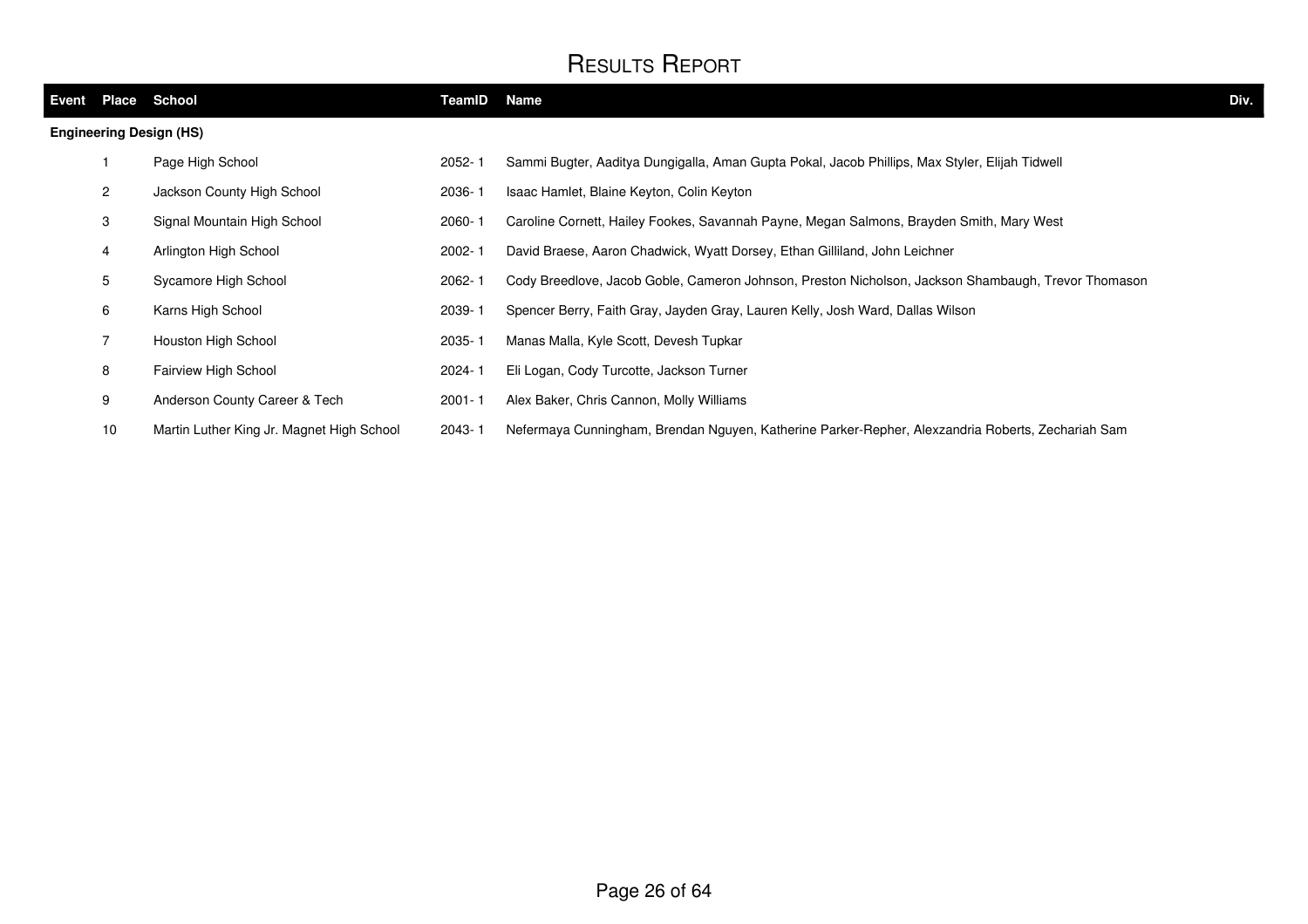| Event | <b>Place</b>    | School                                    | TeamID     | <b>Name</b>                                                                                         | Div. |
|-------|-----------------|-------------------------------------------|------------|-----------------------------------------------------------------------------------------------------|------|
|       |                 | <b>Engineering Design (HS)</b>            |            |                                                                                                     |      |
|       |                 | Page High School                          | $2052 - 1$ | Sammi Bugter, Aaditya Dungigalla, Aman Gupta Pokal, Jacob Phillips, Max Styler, Elijah Tidwell      |      |
|       | $\overline{2}$  | Jackson County High School                | 2036-1     | Isaac Hamlet, Blaine Keyton, Colin Keyton                                                           |      |
|       | 3               | Signal Mountain High School               | 2060-1     | Caroline Cornett, Hailey Fookes, Savannah Payne, Megan Salmons, Brayden Smith, Mary West            |      |
|       | 4               | Arlington High School                     | $2002 - 1$ | David Braese, Aaron Chadwick, Wyatt Dorsey, Ethan Gilliland, John Leichner                          |      |
|       | 5               | Sycamore High School                      | 2062-1     | Cody Breedlove, Jacob Goble, Cameron Johnson, Preston Nicholson, Jackson Shambaugh, Trevor Thomason |      |
|       | 6               | Karns High School                         | 2039-1     | Spencer Berry, Faith Gray, Jayden Gray, Lauren Kelly, Josh Ward, Dallas Wilson                      |      |
|       |                 | Houston High School                       | 2035-1     | Manas Malla, Kyle Scott, Devesh Tupkar                                                              |      |
|       | 8               | Fairview High School                      | 2024-1     | Eli Logan, Cody Turcotte, Jackson Turner                                                            |      |
|       | 9               | Anderson County Career & Tech             | $2001 - 1$ | Alex Baker, Chris Cannon, Molly Williams                                                            |      |
|       | 10 <sup>°</sup> | Martin Luther King Jr. Magnet High School | $2043 - 1$ | Nefermaya Cunningham, Brendan Nguyen, Katherine Parker-Repher, Alexzandria Roberts, Zechariah Sam   |      |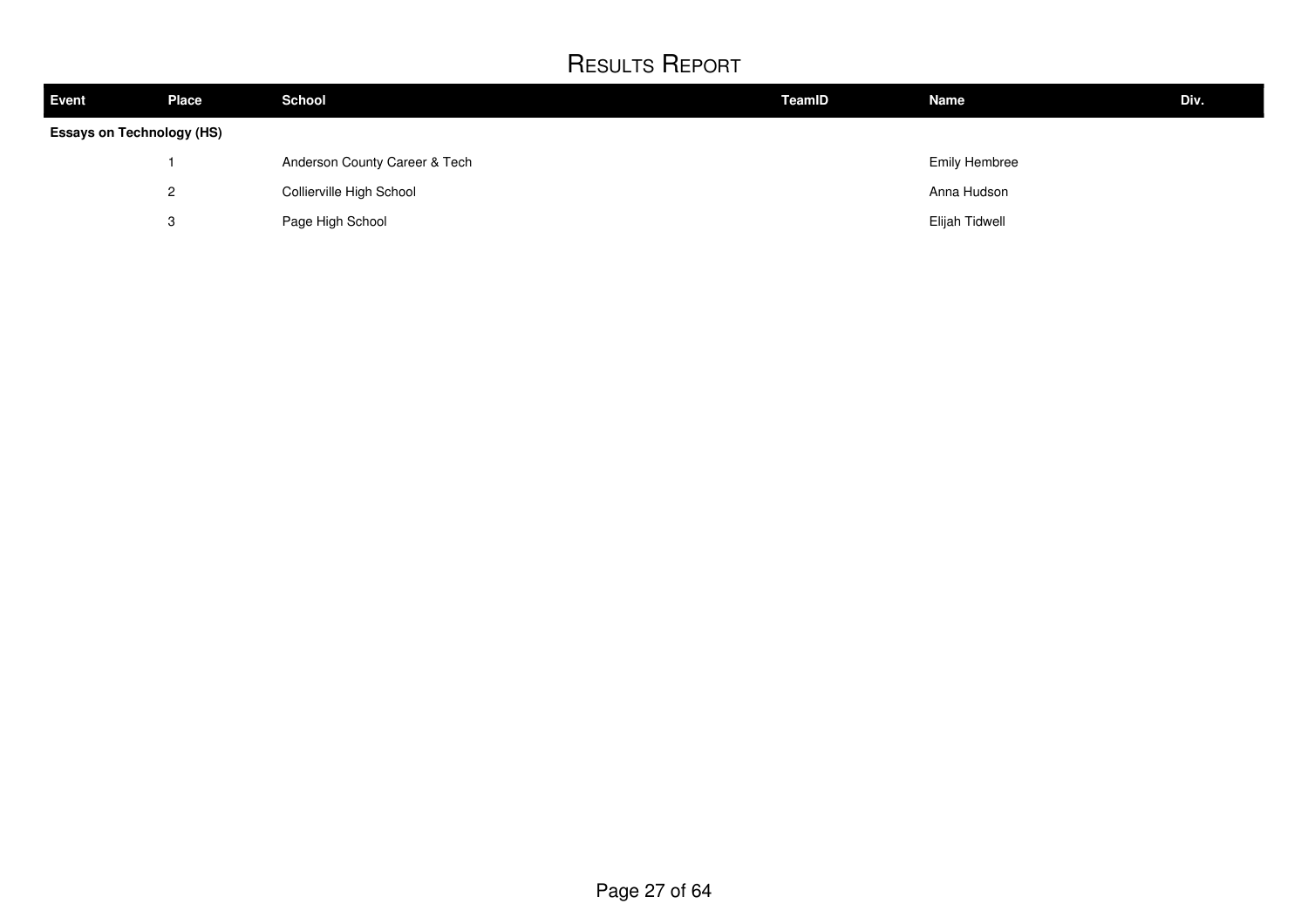| Event | <b>Place</b>                     | <b>School</b>                 | TeamID | <b>Name</b>          | Div. |  |  |
|-------|----------------------------------|-------------------------------|--------|----------------------|------|--|--|
|       | <b>Essays on Technology (HS)</b> |                               |        |                      |      |  |  |
|       |                                  | Anderson County Career & Tech |        | <b>Emily Hembree</b> |      |  |  |
|       | റ<br>_                           | Collierville High School      |        | Anna Hudson          |      |  |  |
|       | 3                                | Page High School              |        | Elijah Tidwell       |      |  |  |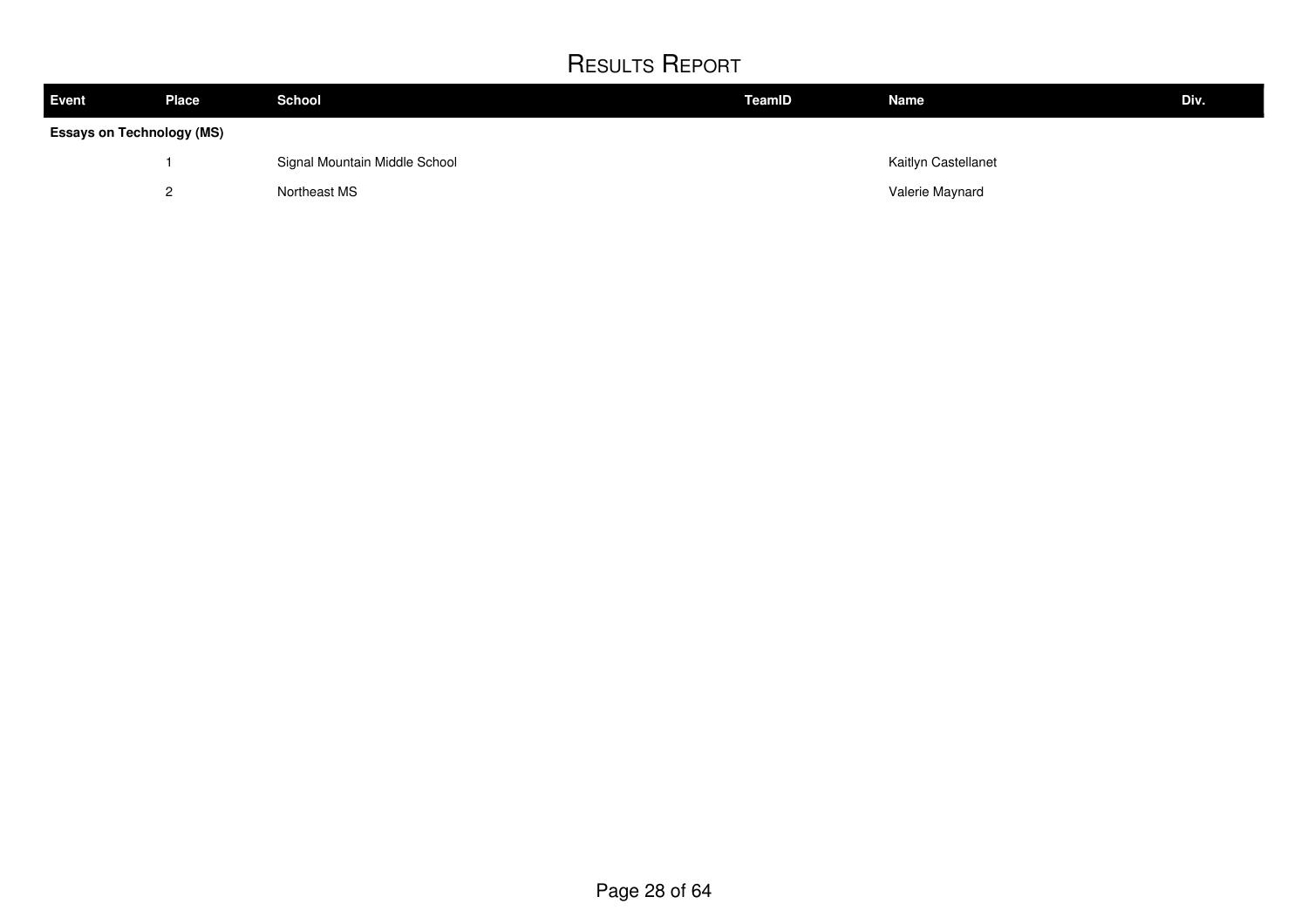| <b>Event</b>                     | <b>Place</b> | <b>School</b>                 | <b>TeamID</b> | <b>Name</b>         | Div. |  |  |
|----------------------------------|--------------|-------------------------------|---------------|---------------------|------|--|--|
| <b>Essays on Technology (MS)</b> |              |                               |               |                     |      |  |  |
|                                  |              | Signal Mountain Middle School |               | Kaitlyn Castellanet |      |  |  |
|                                  | റ            | Northeast MS                  |               | Valerie Maynard     |      |  |  |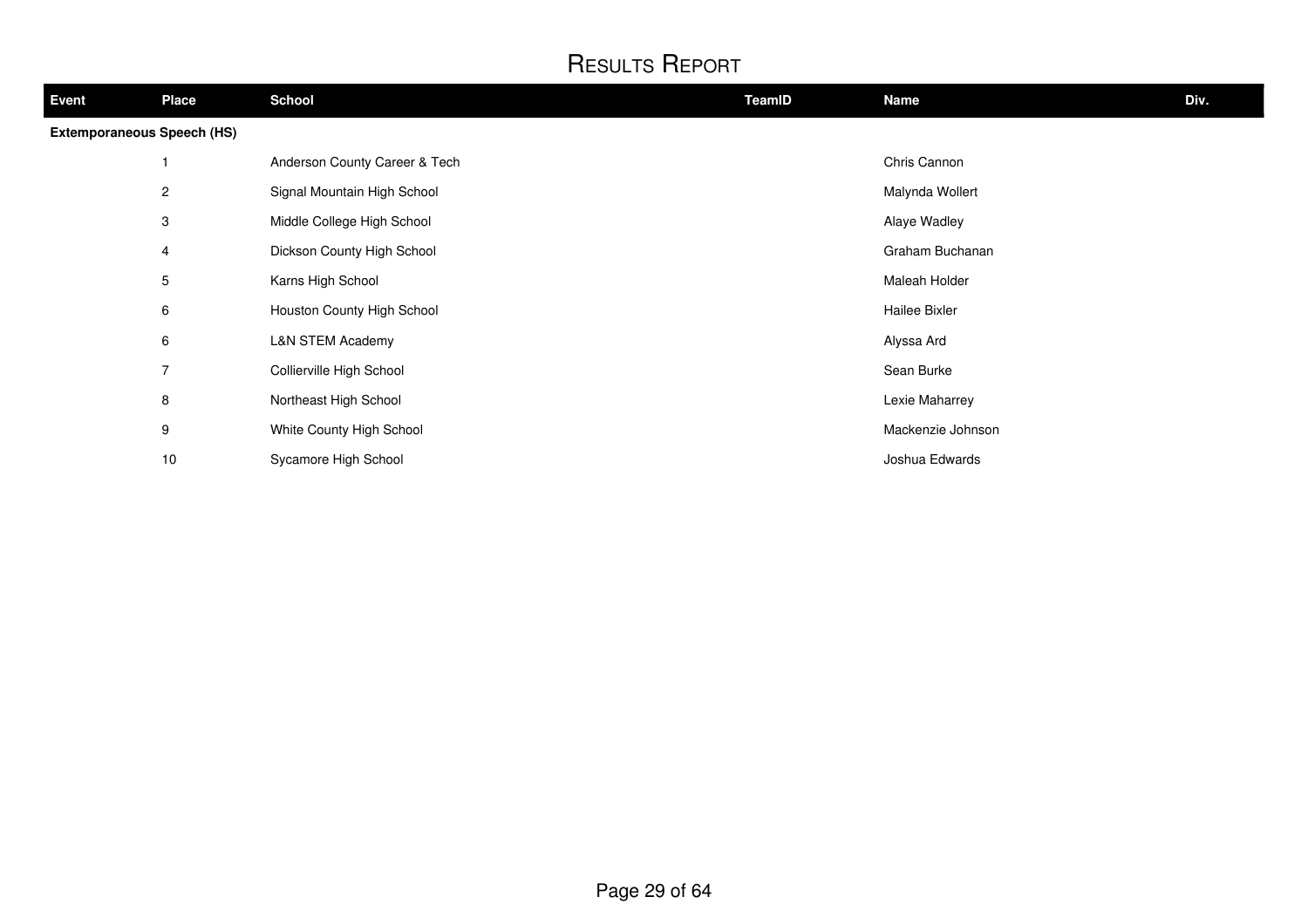| <b>Event</b>                      | <b>Place</b>   | <b>School</b>                 | <b>TeamID</b> | <b>Name</b>       | Div. |
|-----------------------------------|----------------|-------------------------------|---------------|-------------------|------|
| <b>Extemporaneous Speech (HS)</b> |                |                               |               |                   |      |
|                                   |                | Anderson County Career & Tech |               | Chris Cannon      |      |
|                                   | $\overline{c}$ | Signal Mountain High School   |               | Malynda Wollert   |      |
|                                   | 3              | Middle College High School    |               | Alaye Wadley      |      |
|                                   | 4              | Dickson County High School    |               | Graham Buchanan   |      |
|                                   | 5              | Karns High School             |               | Maleah Holder     |      |
|                                   | 6              | Houston County High School    |               | Hailee Bixler     |      |
|                                   | 6              | L&N STEM Academy              |               | Alyssa Ard        |      |
|                                   | 7              | Collierville High School      |               | Sean Burke        |      |
|                                   | 8              | Northeast High School         |               | Lexie Maharrey    |      |
|                                   | 9              | White County High School      |               | Mackenzie Johnson |      |
|                                   | 10             | Sycamore High School          |               | Joshua Edwards    |      |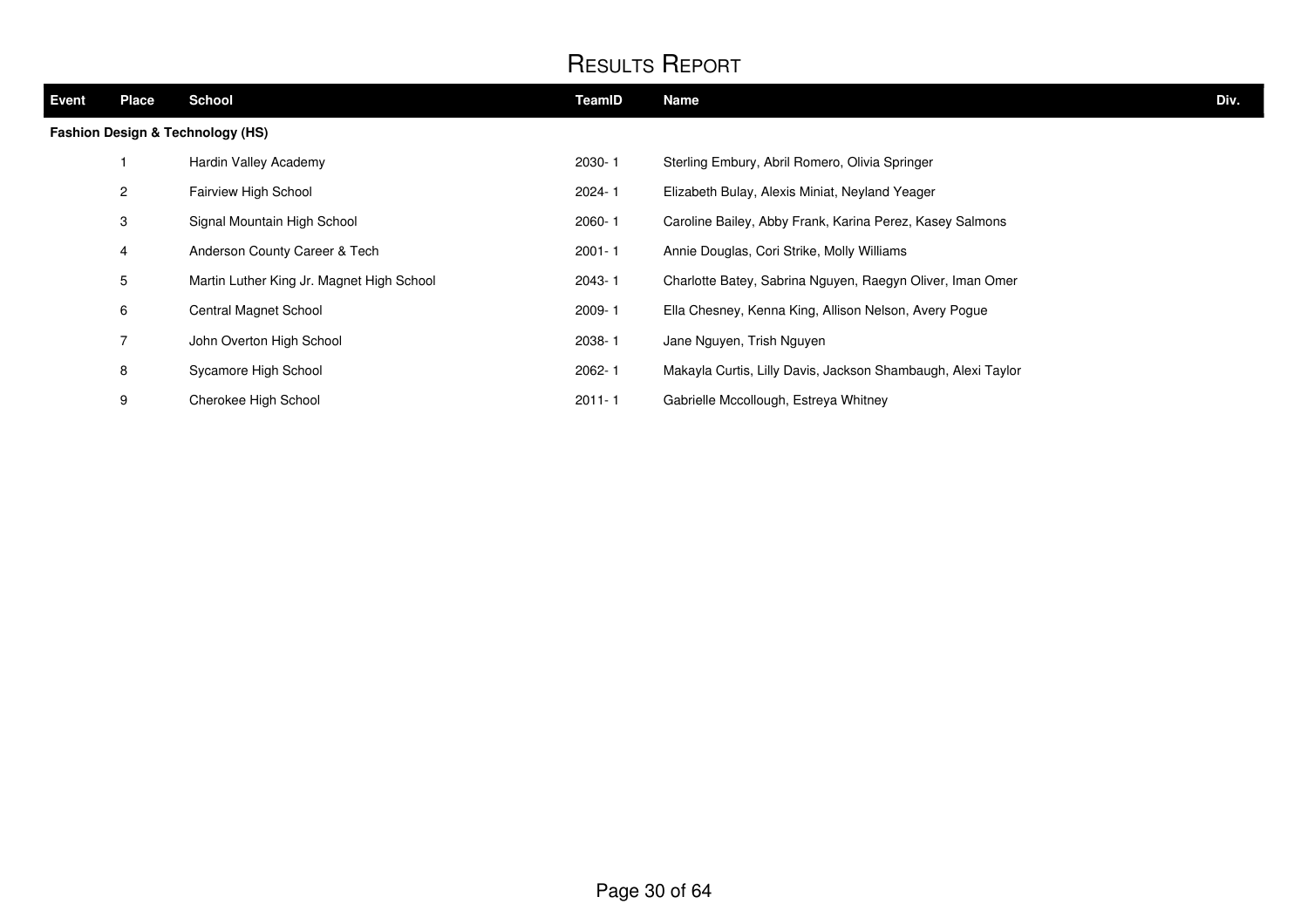| Event                                       | <b>Place</b>   | <b>School</b>                             | TeamID     | <b>Name</b>                                                  | Div. |
|---------------------------------------------|----------------|-------------------------------------------|------------|--------------------------------------------------------------|------|
| <b>Fashion Design &amp; Technology (HS)</b> |                |                                           |            |                                                              |      |
|                                             |                | Hardin Valley Academy                     | 2030-1     | Sterling Embury, Abril Romero, Olivia Springer               |      |
|                                             | $\mathbf{2}$   | Fairview High School                      | $2024 - 1$ | Elizabeth Bulay, Alexis Miniat, Neyland Yeager               |      |
|                                             | 3              | Signal Mountain High School               | $2060 - 1$ | Caroline Bailey, Abby Frank, Karina Perez, Kasey Salmons     |      |
|                                             | 4              | Anderson County Career & Tech             | $2001 - 1$ | Annie Douglas, Cori Strike, Molly Williams                   |      |
|                                             | 5              | Martin Luther King Jr. Magnet High School | 2043-1     | Charlotte Batey, Sabrina Nguyen, Raegyn Oliver, Iman Omer    |      |
|                                             | 6              | Central Magnet School                     | 2009-1     | Ella Chesney, Kenna King, Allison Nelson, Avery Pogue        |      |
|                                             | $\overline{7}$ | John Overton High School                  | 2038-1     | Jane Nguyen, Trish Nguyen                                    |      |
|                                             | 8              | Sycamore High School                      | $2062 - 1$ | Makayla Curtis, Lilly Davis, Jackson Shambaugh, Alexi Taylor |      |
|                                             | 9              | Cherokee High School                      | $2011 - 1$ | Gabrielle Mccollough, Estreya Whitney                        |      |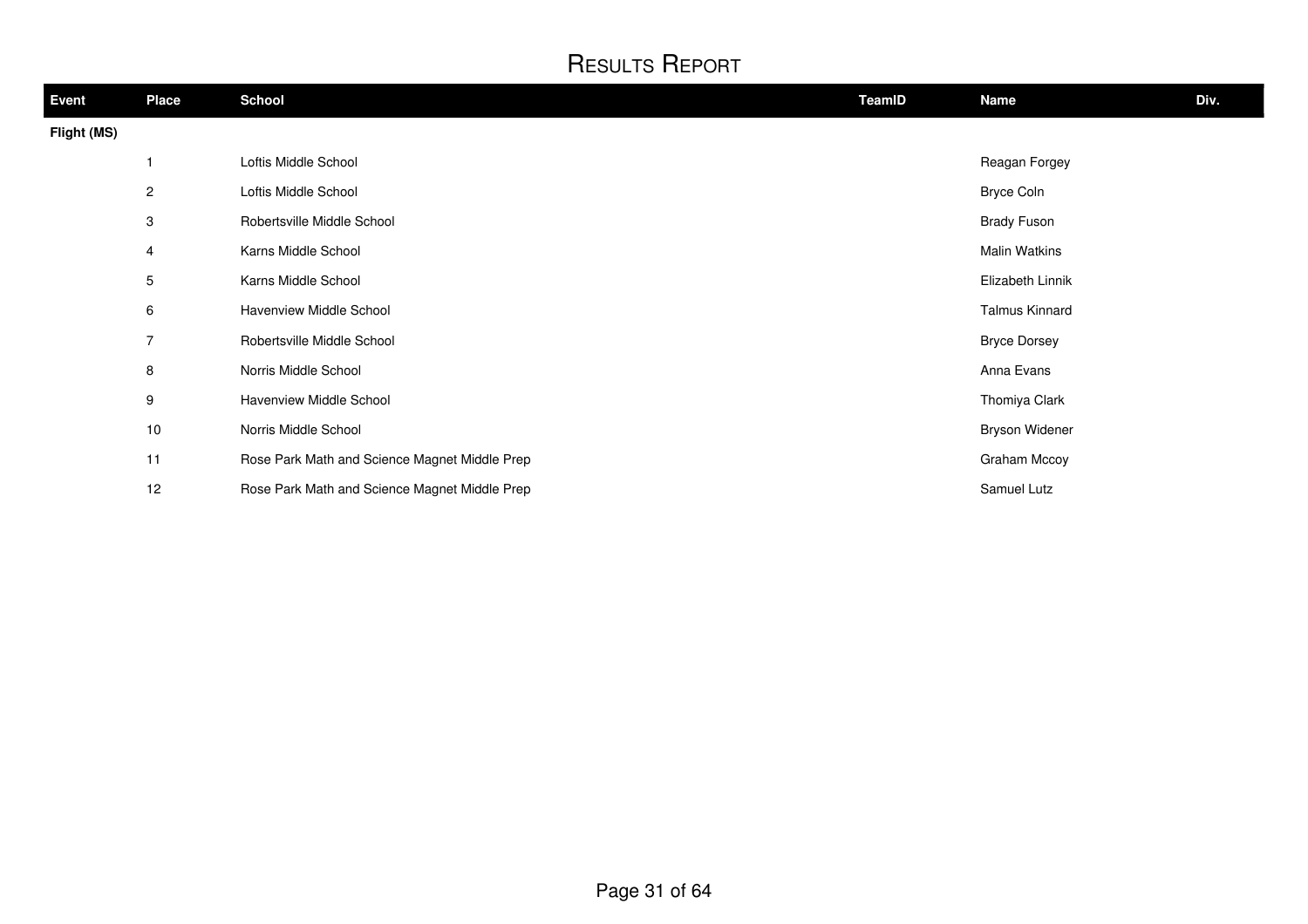| Event       | <b>Place</b>    | <b>School</b>                                 | TeamID | <b>Name</b>           | Div. |
|-------------|-----------------|-----------------------------------------------|--------|-----------------------|------|
| Flight (MS) |                 |                                               |        |                       |      |
|             |                 | Loftis Middle School                          |        | Reagan Forgey         |      |
|             | $\mathbf{2}$    | Loftis Middle School                          |        | Bryce Coln            |      |
|             | 3               | Robertsville Middle School                    |        | <b>Brady Fuson</b>    |      |
|             | $\overline{4}$  | Karns Middle School                           |        | <b>Malin Watkins</b>  |      |
|             | $5\phantom{.0}$ | Karns Middle School                           |        | Elizabeth Linnik      |      |
|             | 6               | Havenview Middle School                       |        | <b>Talmus Kinnard</b> |      |
|             | $\overline{7}$  | Robertsville Middle School                    |        | <b>Bryce Dorsey</b>   |      |
|             | 8               | Norris Middle School                          |        | Anna Evans            |      |
|             | 9               | Havenview Middle School                       |        | Thomiya Clark         |      |
|             | $10$            | Norris Middle School                          |        | <b>Bryson Widener</b> |      |
|             | 11              | Rose Park Math and Science Magnet Middle Prep |        | Graham Mccoy          |      |
|             | 12              | Rose Park Math and Science Magnet Middle Prep |        | Samuel Lutz           |      |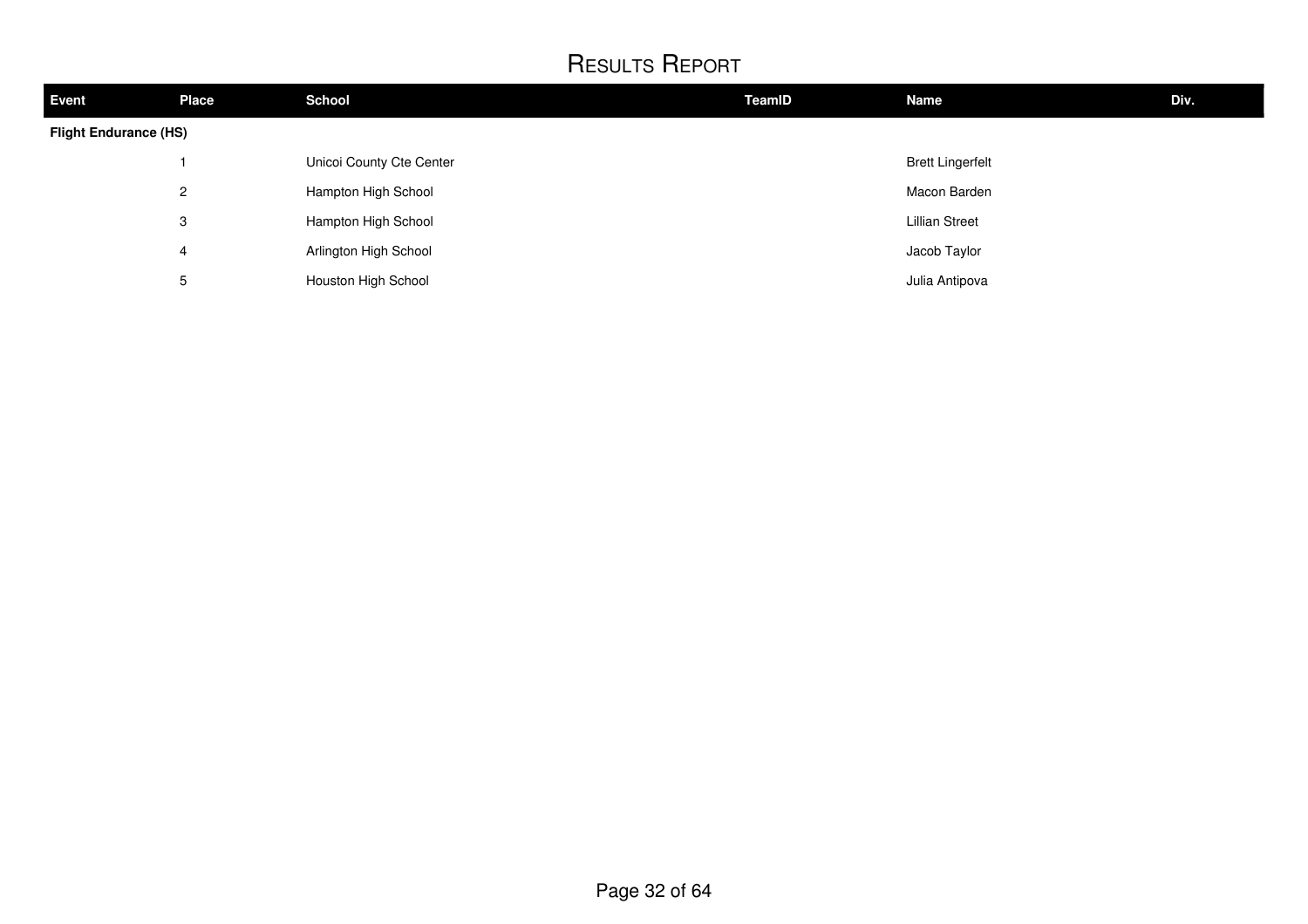| <b>Event</b>                 | <b>Place</b>   | <b>School</b>            | TeamID | <b>Name</b>             | Div. |  |
|------------------------------|----------------|--------------------------|--------|-------------------------|------|--|
| <b>Flight Endurance (HS)</b> |                |                          |        |                         |      |  |
|                              |                | Unicoi County Cte Center |        | <b>Brett Lingerfelt</b> |      |  |
|                              | $\overline{2}$ | Hampton High School      |        | Macon Barden            |      |  |
|                              | 3              | Hampton High School      |        | <b>Lillian Street</b>   |      |  |
|                              | 4              | Arlington High School    |        | Jacob Taylor            |      |  |
|                              | 5              | Houston High School      |        | Julia Antipova          |      |  |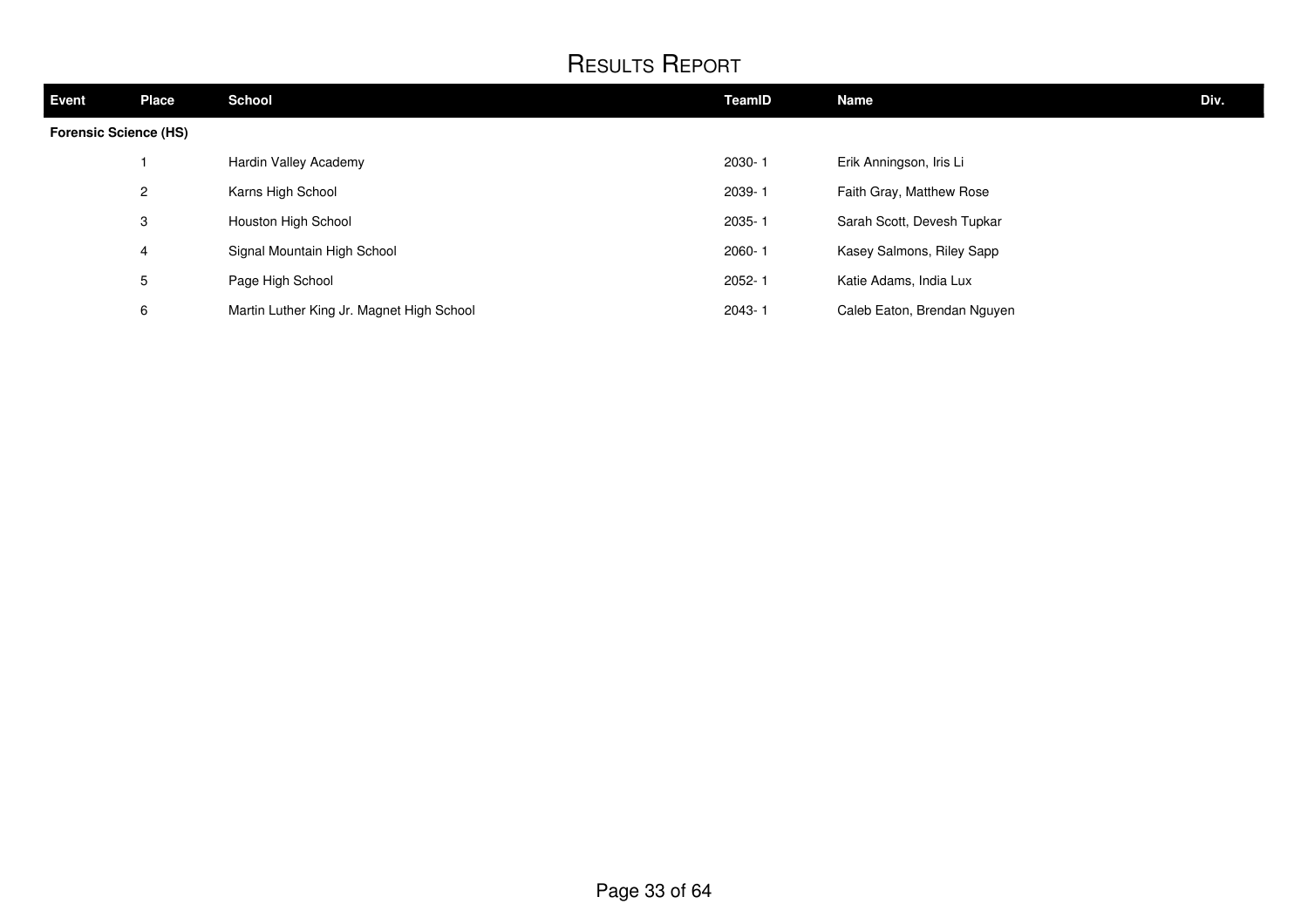| <b>Event</b>                 | <b>Place</b>   | <b>School</b>                             | TeamID     | <b>Name</b>                 | Div. |
|------------------------------|----------------|-------------------------------------------|------------|-----------------------------|------|
| <b>Forensic Science (HS)</b> |                |                                           |            |                             |      |
|                              |                | Hardin Valley Academy                     | 2030-1     | Erik Anningson, Iris Li     |      |
|                              | $\overline{2}$ | Karns High School                         | 2039-1     | Faith Gray, Matthew Rose    |      |
|                              | 3              | Houston High School                       | 2035-1     | Sarah Scott, Devesh Tupkar  |      |
|                              | 4              | Signal Mountain High School               | $2060 - 1$ | Kasey Salmons, Riley Sapp   |      |
|                              | 5              | Page High School                          | 2052-1     | Katie Adams, India Lux      |      |
|                              | 6              | Martin Luther King Jr. Magnet High School | $2043 - 1$ | Caleb Eaton, Brendan Nguyen |      |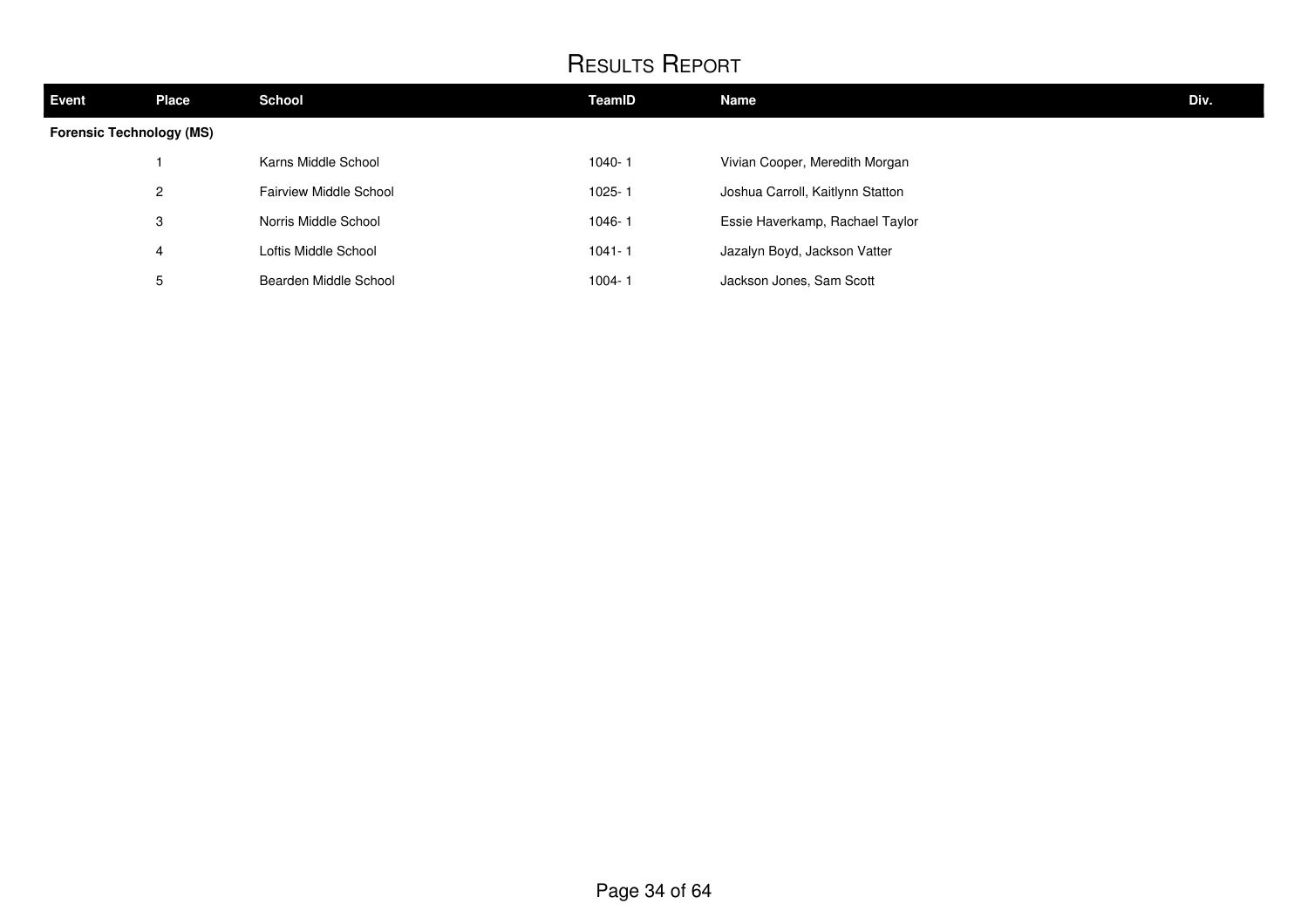| <b>Event</b>                    | Place          | <b>School</b>                 | TeamID     | Name                             | Div. |  |  |
|---------------------------------|----------------|-------------------------------|------------|----------------------------------|------|--|--|
| <b>Forensic Technology (MS)</b> |                |                               |            |                                  |      |  |  |
|                                 |                | Karns Middle School           | 1040-1     | Vivian Cooper, Meredith Morgan   |      |  |  |
|                                 | $\overline{2}$ | <b>Fairview Middle School</b> | 1025-1     | Joshua Carroll, Kaitlynn Statton |      |  |  |
|                                 | 3              | Norris Middle School          | 1046-1     | Essie Haverkamp, Rachael Taylor  |      |  |  |
|                                 | 4              | Loftis Middle School          | $1041 - 1$ | Jazalyn Boyd, Jackson Vatter     |      |  |  |
|                                 | 5              | Bearden Middle School         | 1004-1     | Jackson Jones, Sam Scott         |      |  |  |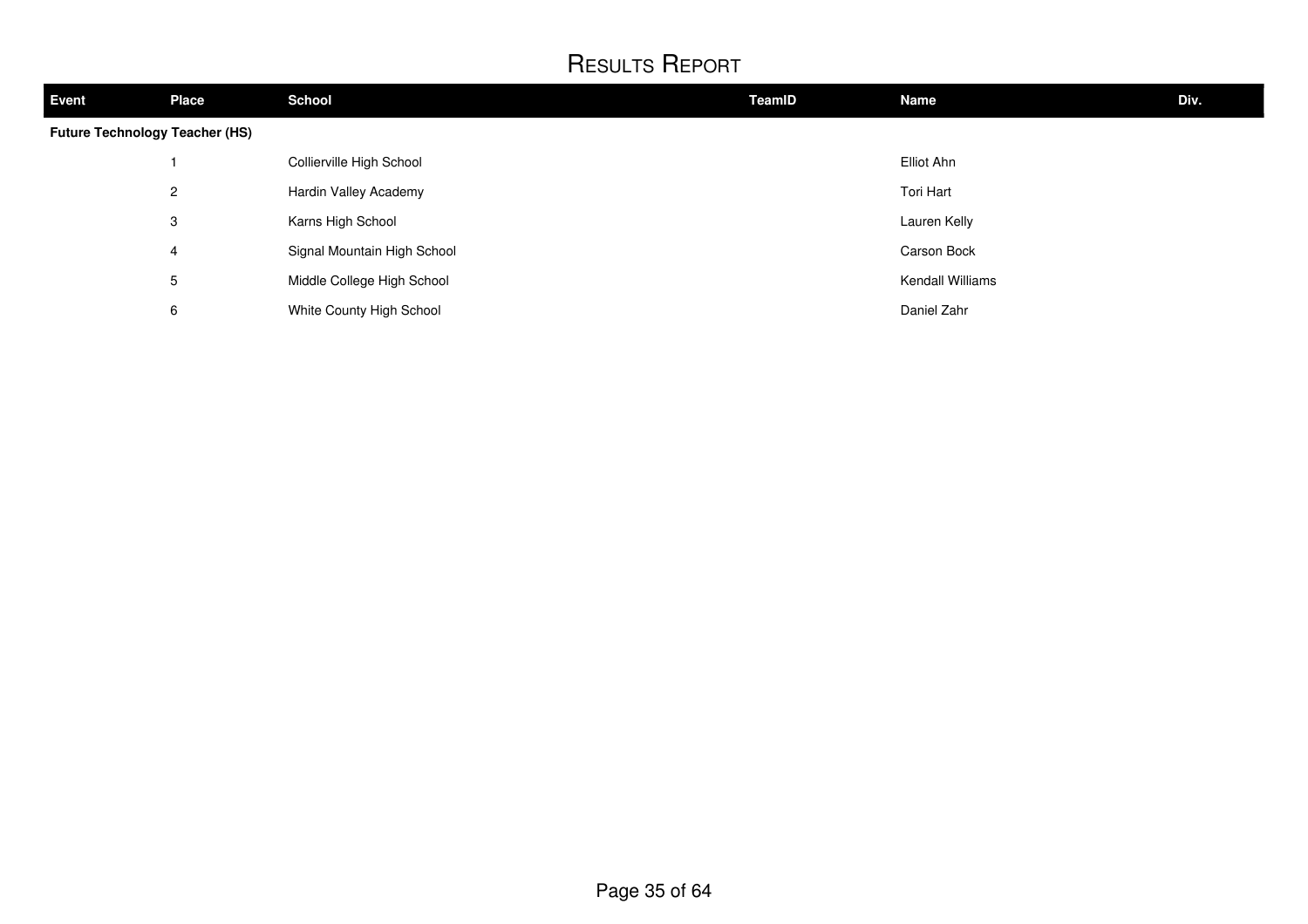| <b>Event</b>                          | <b>Place</b>   | <b>School</b>               | <b>TeamID</b> | <b>Name</b>      | Div. |
|---------------------------------------|----------------|-----------------------------|---------------|------------------|------|
| <b>Future Technology Teacher (HS)</b> |                |                             |               |                  |      |
|                                       |                | Collierville High School    |               | Elliot Ahn       |      |
|                                       | $\overline{2}$ | Hardin Valley Academy       |               | Tori Hart        |      |
|                                       | 3              | Karns High School           |               | Lauren Kelly     |      |
|                                       | 4              | Signal Mountain High School |               | Carson Bock      |      |
|                                       | 5              | Middle College High School  |               | Kendall Williams |      |
|                                       | 6              | White County High School    |               | Daniel Zahr      |      |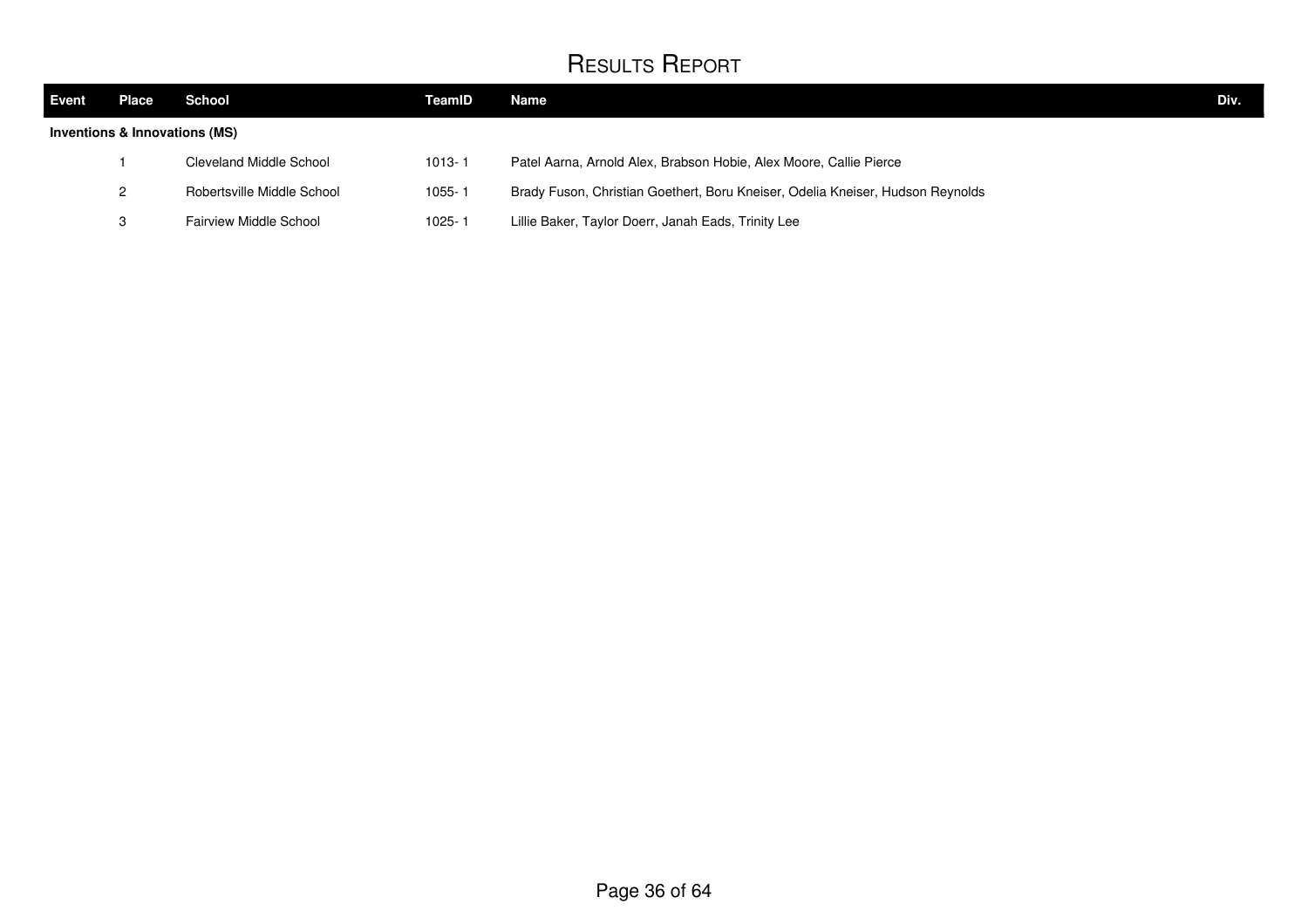| <b>Event</b> | Place                         | School                     | TeamID     | Name                                                                           | Div. |
|--------------|-------------------------------|----------------------------|------------|--------------------------------------------------------------------------------|------|
|              | Inventions & Innovations (MS) |                            |            |                                                                                |      |
|              |                               | Cleveland Middle School    | $1013 - 1$ | Patel Aarna, Arnold Alex, Brabson Hobie, Alex Moore, Callie Pierce             |      |
|              | 2                             | Robertsville Middle School | 1055-1     | Brady Fuson, Christian Goethert, Boru Kneiser, Odelia Kneiser, Hudson Reynolds |      |
|              | 3                             | Fairview Middle School     | $1025 - 3$ | Lillie Baker, Taylor Doerr, Janah Eads, Trinity Lee                            |      |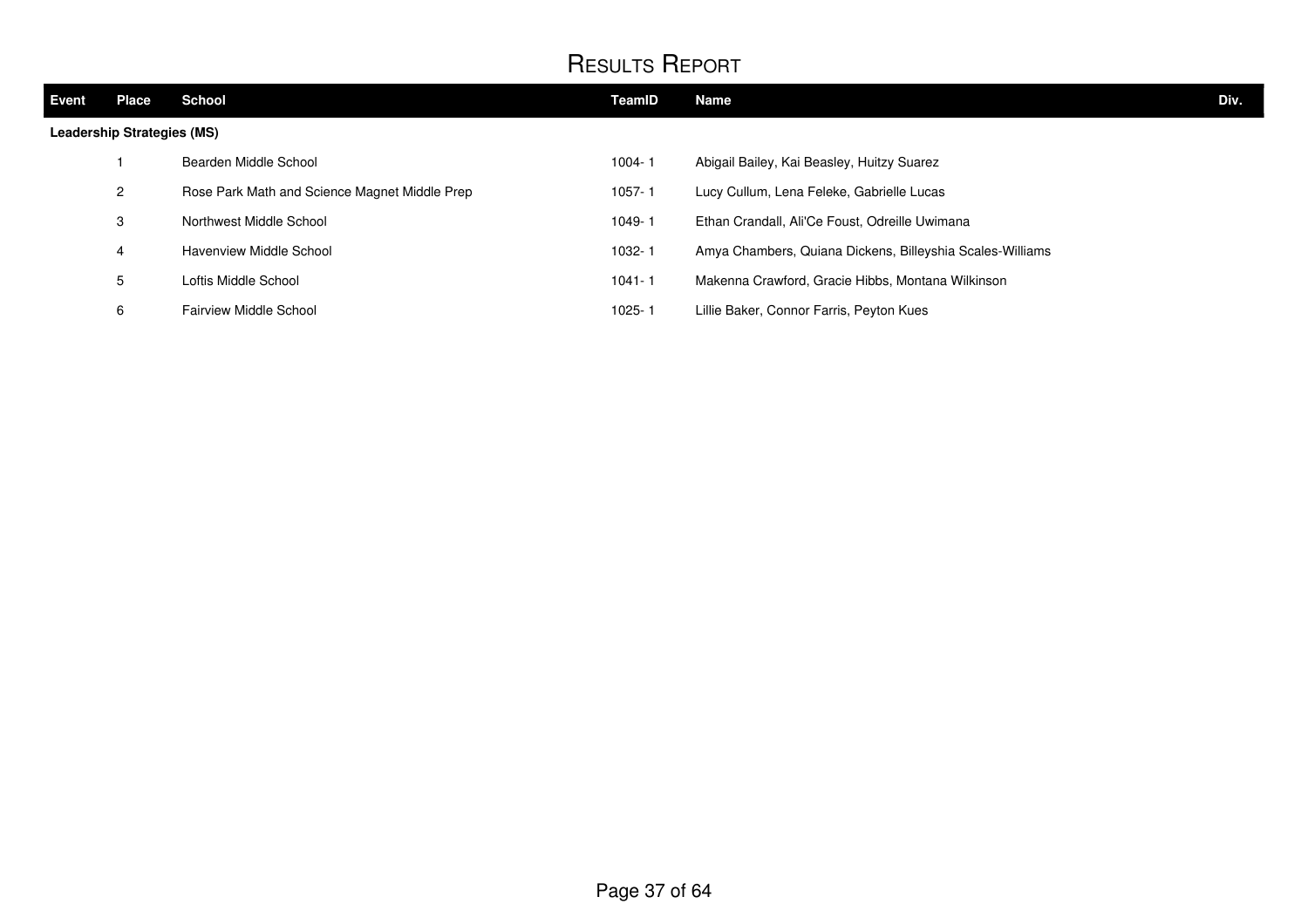| <b>Event</b>                      | <b>Place</b> | <b>School</b>                                 | <b>TeamID</b> | Name                                                      | Div. |
|-----------------------------------|--------------|-----------------------------------------------|---------------|-----------------------------------------------------------|------|
| <b>Leadership Strategies (MS)</b> |              |                                               |               |                                                           |      |
|                                   |              | Bearden Middle School                         | $1004 - 1$    | Abigail Bailey, Kai Beasley, Huitzy Suarez                |      |
|                                   | 2            | Rose Park Math and Science Magnet Middle Prep | 1057-1        | Lucy Cullum, Lena Feleke, Gabrielle Lucas                 |      |
|                                   | 3            | Northwest Middle School                       | 1049-1        | Ethan Crandall, Ali'Ce Foust, Odreille Uwimana            |      |
|                                   | 4            | Havenview Middle School                       | 1032-1        | Amya Chambers, Quiana Dickens, Billeyshia Scales-Williams |      |
|                                   | 5            | Loftis Middle School                          | $1041 - 1$    | Makenna Crawford, Gracie Hibbs, Montana Wilkinson         |      |
|                                   | 6            | <b>Fairview Middle School</b>                 | 1025-1        | Lillie Baker, Connor Farris, Peyton Kues                  |      |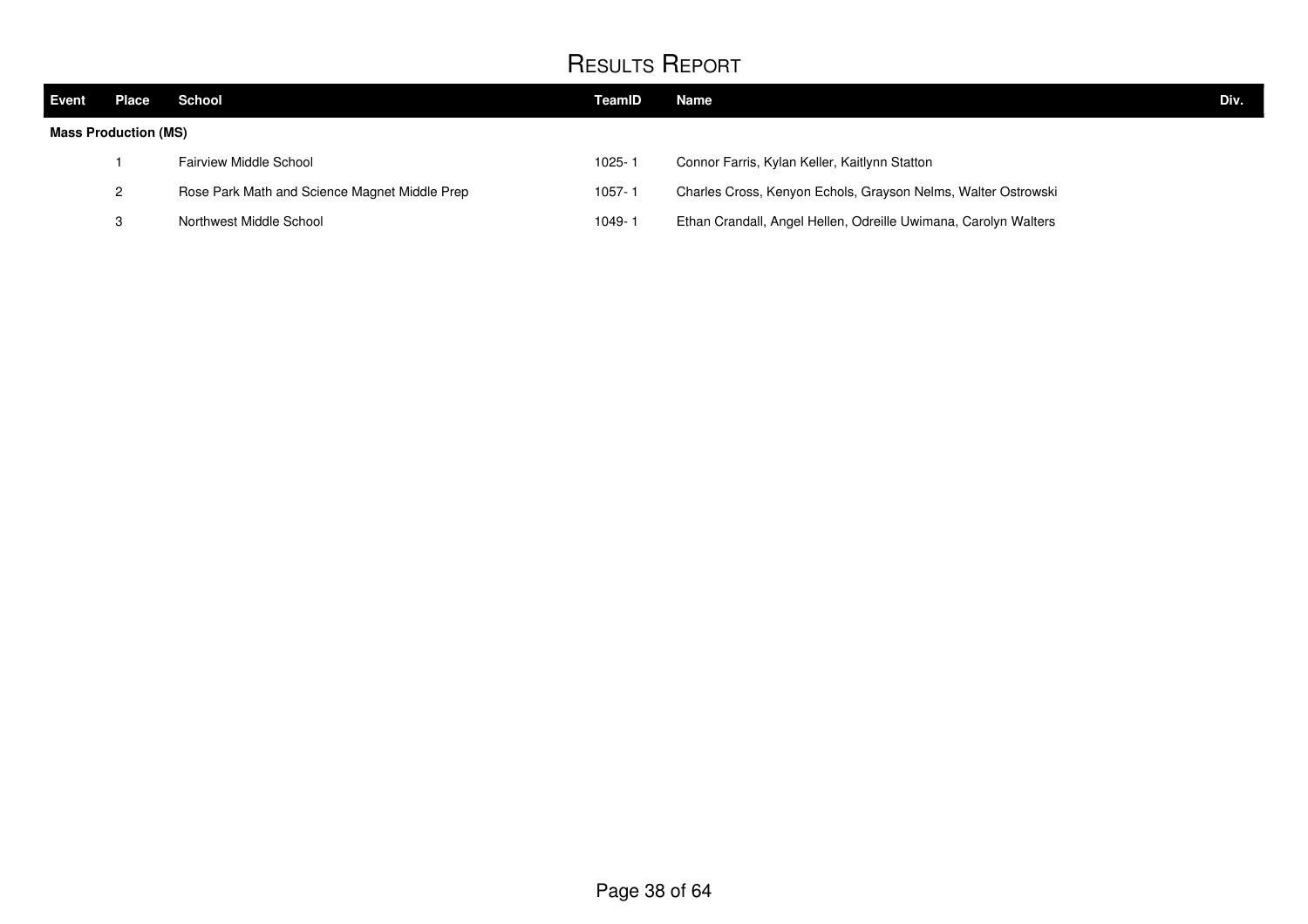| <b>Event</b>                | Place | School                                        | TeamID     | Name                                                            | Div. |
|-----------------------------|-------|-----------------------------------------------|------------|-----------------------------------------------------------------|------|
| <b>Mass Production (MS)</b> |       |                                               |            |                                                                 |      |
|                             |       | <b>Fairview Middle School</b>                 | $1025 - 7$ | Connor Farris, Kylan Keller, Kaitlynn Statton                   |      |
|                             | 2     | Rose Park Math and Science Magnet Middle Prep | 1057-1     | Charles Cross, Kenyon Echols, Grayson Nelms, Walter Ostrowski   |      |
|                             | 3     | Northwest Middle School                       | $1049 -$   | Ethan Crandall, Angel Hellen, Odreille Uwimana, Carolyn Walters |      |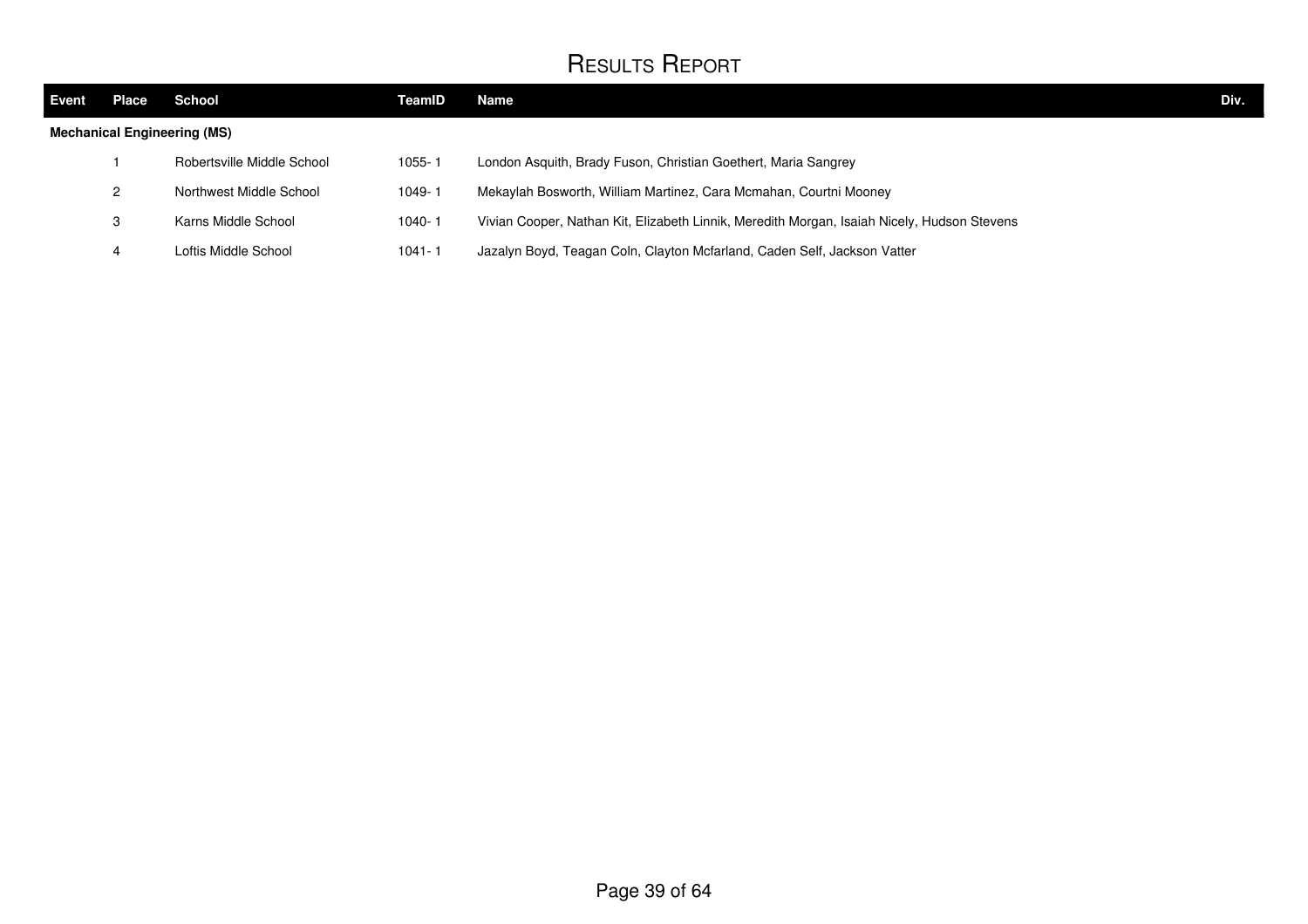| <b>Event</b>                       | Place | School                     | TeamID     | Name                                                                                        | Div. |
|------------------------------------|-------|----------------------------|------------|---------------------------------------------------------------------------------------------|------|
| <b>Mechanical Engineering (MS)</b> |       |                            |            |                                                                                             |      |
|                                    |       | Robertsville Middle School | $1055 - 7$ | London Asquith, Brady Fuson, Christian Goethert, Maria Sangrey                              |      |
|                                    | 2     | Northwest Middle School    | $1049 -$   | Mekaylah Bosworth, William Martinez, Cara Mcmahan, Courtni Mooney                           |      |
|                                    | 3     | Karns Middle School        | $1040 - 7$ | Vivian Cooper, Nathan Kit, Elizabeth Linnik, Meredith Morgan, Isaiah Nicely, Hudson Stevens |      |
|                                    |       | Loftis Middle School       | $1041 - 1$ | Jazalyn Boyd, Teagan Coln, Clayton Mcfarland, Caden Self, Jackson Vatter                    |      |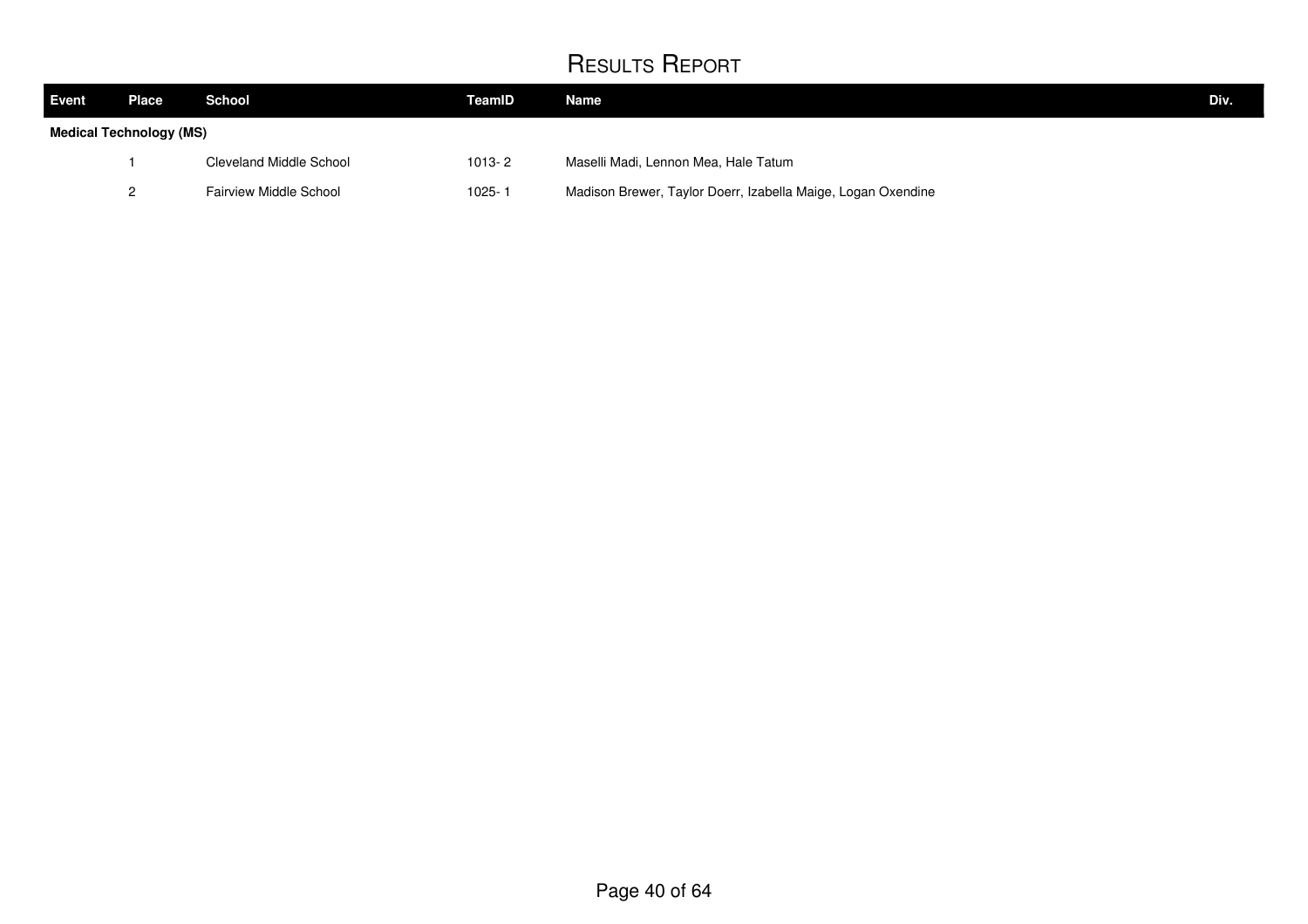| <b>Event</b> | Place                   | School                  | TeamID     | Name                                                         | Div. |
|--------------|-------------------------|-------------------------|------------|--------------------------------------------------------------|------|
|              | Medical Technology (MS) |                         |            |                                                              |      |
|              |                         | Cleveland Middle School | $1013 - 2$ | Maselli Madi, Lennon Mea, Hale Tatum                         |      |
|              |                         | Fairview Middle School  | $1025 - 1$ | Madison Brewer, Taylor Doerr, Izabella Maige, Logan Oxendine |      |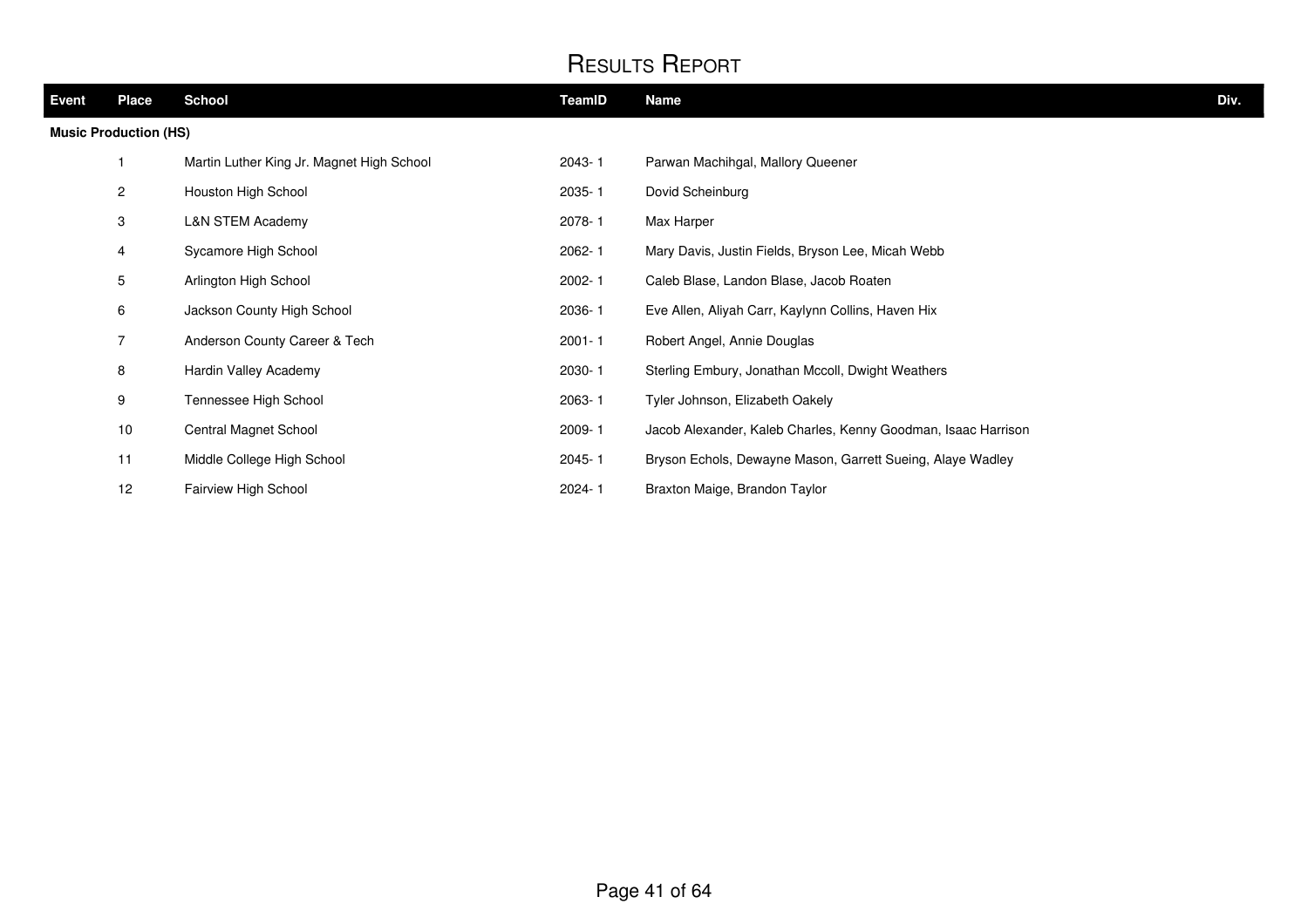| Event | <b>Place</b>                 | <b>School</b>                             | <b>TeamID</b> | <b>Name</b>                                                   | Div. |
|-------|------------------------------|-------------------------------------------|---------------|---------------------------------------------------------------|------|
|       | <b>Music Production (HS)</b> |                                           |               |                                                               |      |
|       |                              | Martin Luther King Jr. Magnet High School | 2043-1        | Parwan Machihgal, Mallory Queener                             |      |
|       | $\overline{2}$               | Houston High School                       | 2035-1        | Dovid Scheinburg                                              |      |
|       | 3                            | <b>L&amp;N STEM Academy</b>               | 2078-1        | Max Harper                                                    |      |
|       | 4                            | Sycamore High School                      | $2062 - 1$    | Mary Davis, Justin Fields, Bryson Lee, Micah Webb             |      |
|       | 5                            | Arlington High School                     | $2002 - 1$    | Caleb Blase, Landon Blase, Jacob Roaten                       |      |
|       | 6                            | Jackson County High School                | 2036-1        | Eve Allen, Aliyah Carr, Kaylynn Collins, Haven Hix            |      |
|       | $\overline{7}$               | Anderson County Career & Tech             | $2001 - 1$    | Robert Angel, Annie Douglas                                   |      |
|       | 8                            | Hardin Valley Academy                     | 2030-1        | Sterling Embury, Jonathan Mccoll, Dwight Weathers             |      |
|       | 9                            | Tennessee High School                     | 2063-1        | Tyler Johnson, Elizabeth Oakely                               |      |
|       | 10                           | Central Magnet School                     | 2009-1        | Jacob Alexander, Kaleb Charles, Kenny Goodman, Isaac Harrison |      |
|       | 11                           | Middle College High School                | 2045-1        | Bryson Echols, Dewayne Mason, Garrett Sueing, Alaye Wadley    |      |
|       | 12                           | Fairview High School                      | 2024-1        | Braxton Maige, Brandon Taylor                                 |      |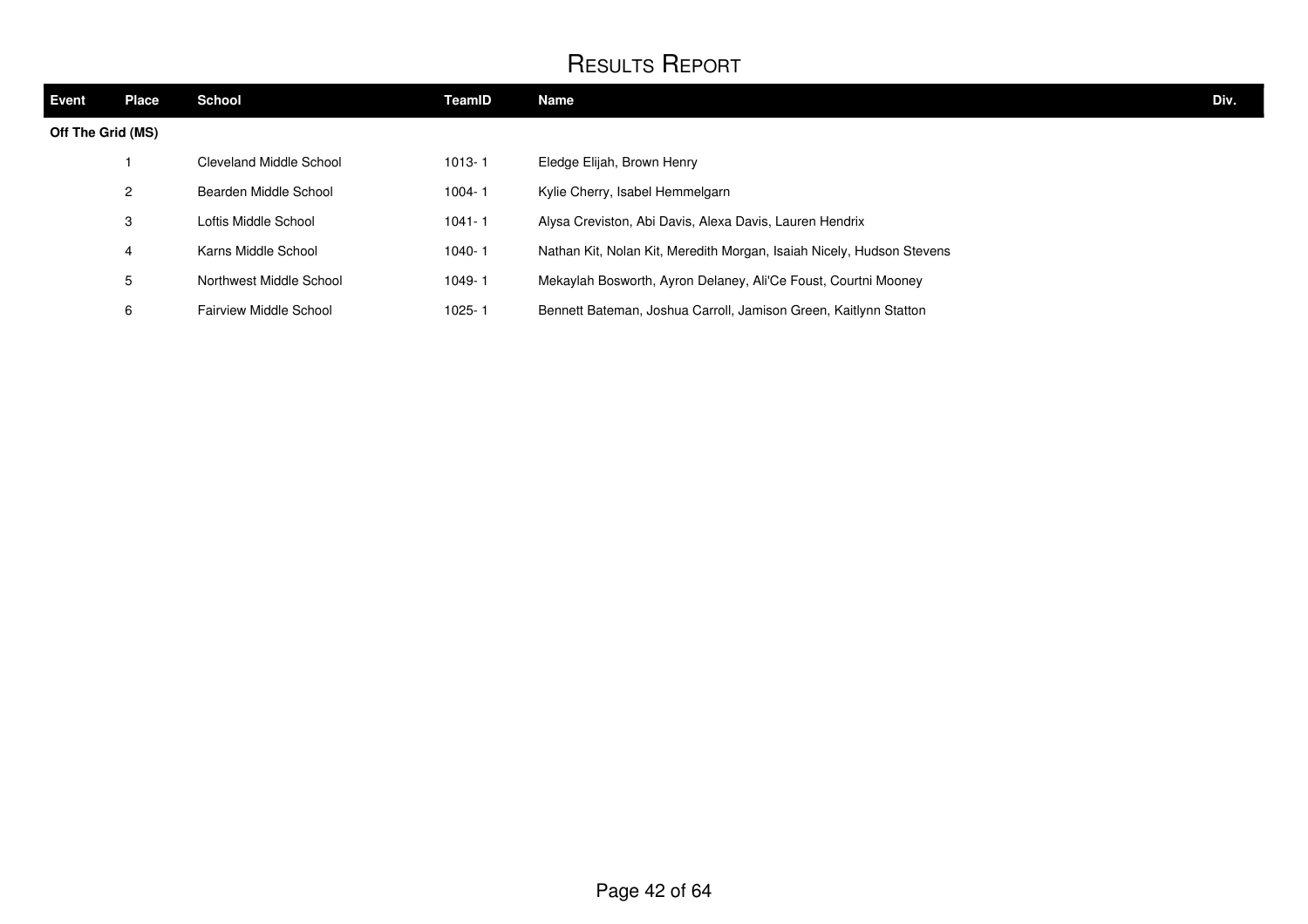| <b>Event</b>      | <b>Place</b>   | <b>School</b>                 | TeamID     | Name                                                                  | Div. |
|-------------------|----------------|-------------------------------|------------|-----------------------------------------------------------------------|------|
| Off The Grid (MS) |                |                               |            |                                                                       |      |
|                   |                | Cleveland Middle School       | $1013 - 1$ | Eledge Elijah, Brown Henry                                            |      |
|                   | $\overline{2}$ | Bearden Middle School         | $1004 - 1$ | Kylie Cherry, Isabel Hemmelgarn                                       |      |
|                   | 3              | Loftis Middle School          | $1041 - 1$ | Alysa Creviston, Abi Davis, Alexa Davis, Lauren Hendrix               |      |
|                   | 4              | Karns Middle School           | $1040 - 1$ | Nathan Kit, Nolan Kit, Meredith Morgan, Isaiah Nicely, Hudson Stevens |      |
|                   | 5              | Northwest Middle School       | 1049-1     | Mekaylah Bosworth, Ayron Delaney, Ali'Ce Foust, Courtni Mooney        |      |
|                   | 6              | <b>Fairview Middle School</b> | 1025-1     | Bennett Bateman, Joshua Carroll, Jamison Green, Kaitlynn Statton      |      |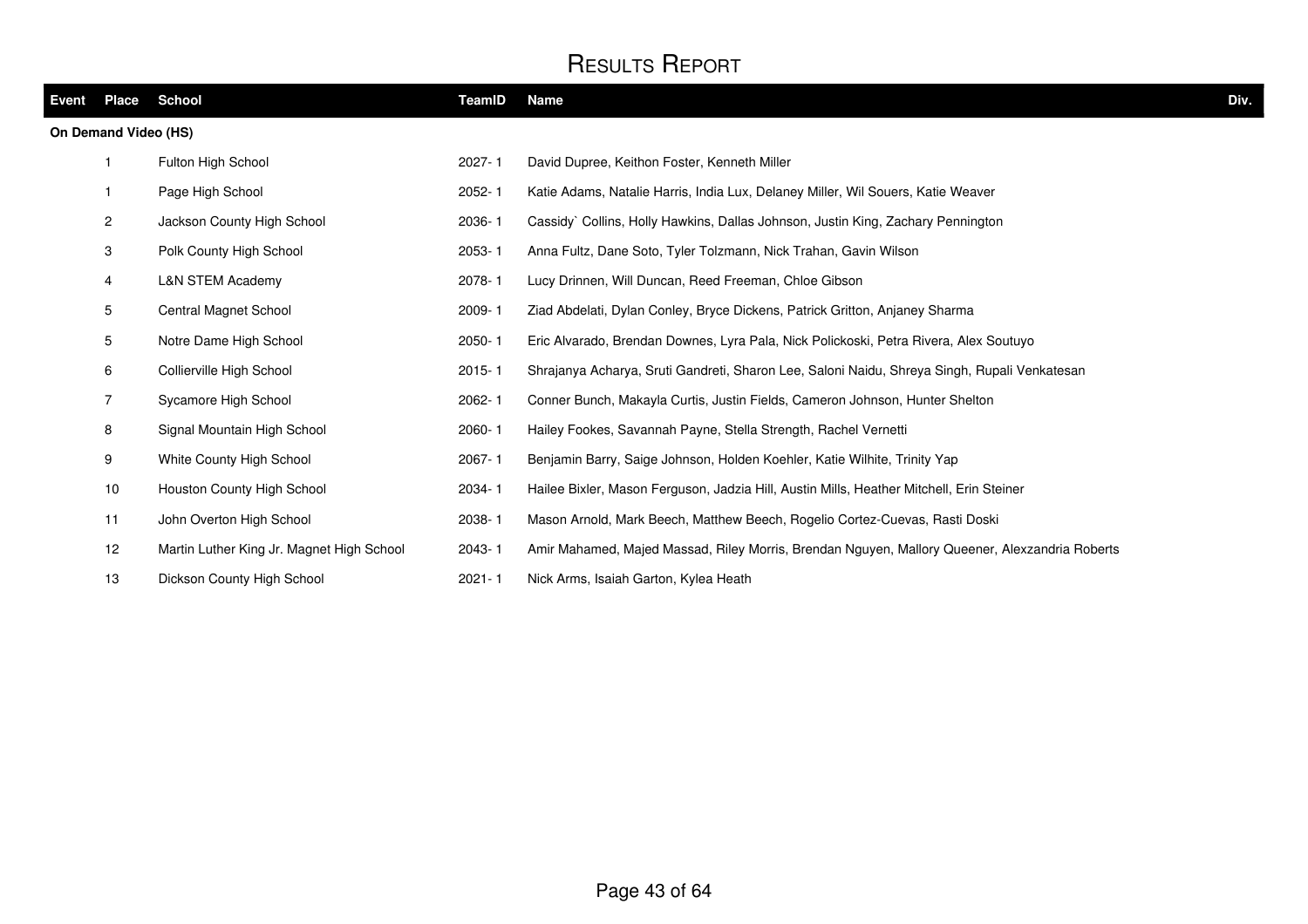| Event | Place                | School                                    | TeamID     | <b>Name</b>                                                                                    | Div. |
|-------|----------------------|-------------------------------------------|------------|------------------------------------------------------------------------------------------------|------|
|       | On Demand Video (HS) |                                           |            |                                                                                                |      |
|       | -1                   | Fulton High School                        | $2027 - 1$ | David Dupree, Keithon Foster, Kenneth Miller                                                   |      |
|       | $\mathbf{1}$         | Page High School                          | $2052 - 1$ | Katie Adams, Natalie Harris, India Lux, Delaney Miller, Wil Souers, Katie Weaver               |      |
|       | $\mathbf{2}$         | Jackson County High School                | 2036-1     | Cassidy` Collins, Holly Hawkins, Dallas Johnson, Justin King, Zachary Pennington               |      |
|       | 3                    | Polk County High School                   | $2053 - 1$ | Anna Fultz, Dane Soto, Tyler Tolzmann, Nick Trahan, Gavin Wilson                               |      |
|       | 4                    | <b>L&amp;N STEM Academy</b>               | 2078-1     | Lucy Drinnen, Will Duncan, Reed Freeman, Chloe Gibson                                          |      |
|       | $5\phantom{.0}$      | Central Magnet School                     | $2009 - 1$ | Ziad Abdelati, Dylan Conley, Bryce Dickens, Patrick Gritton, Anjaney Sharma                    |      |
|       | 5                    | Notre Dame High School                    | 2050-1     | Eric Alvarado, Brendan Downes, Lyra Pala, Nick Polickoski, Petra Rivera, Alex Soutuyo          |      |
|       | 6                    | Collierville High School                  | $2015 - 1$ | Shrajanya Acharya, Sruti Gandreti, Sharon Lee, Saloni Naidu, Shreya Singh, Rupali Venkatesan   |      |
|       | $\overline{7}$       | Sycamore High School                      | 2062-1     | Conner Bunch, Makayla Curtis, Justin Fields, Cameron Johnson, Hunter Shelton                   |      |
|       | 8                    | Signal Mountain High School               | 2060-1     | Hailey Fookes, Savannah Payne, Stella Strength, Rachel Vernetti                                |      |
|       | 9                    | White County High School                  | $2067 - 1$ | Benjamin Barry, Saige Johnson, Holden Koehler, Katie Wilhite, Trinity Yap                      |      |
|       | 10                   | Houston County High School                | 2034-1     | Hailee Bixler, Mason Ferguson, Jadzia Hill, Austin Mills, Heather Mitchell, Erin Steiner       |      |
|       | 11                   | John Overton High School                  | 2038-1     | Mason Arnold, Mark Beech, Matthew Beech, Rogelio Cortez-Cuevas, Rasti Doski                    |      |
|       | 12                   | Martin Luther King Jr. Magnet High School | 2043-1     | Amir Mahamed, Majed Massad, Riley Morris, Brendan Nguyen, Mallory Queener, Alexzandria Roberts |      |
|       | 13                   | Dickson County High School                | $2021 - 1$ | Nick Arms, Isaiah Garton, Kylea Heath                                                          |      |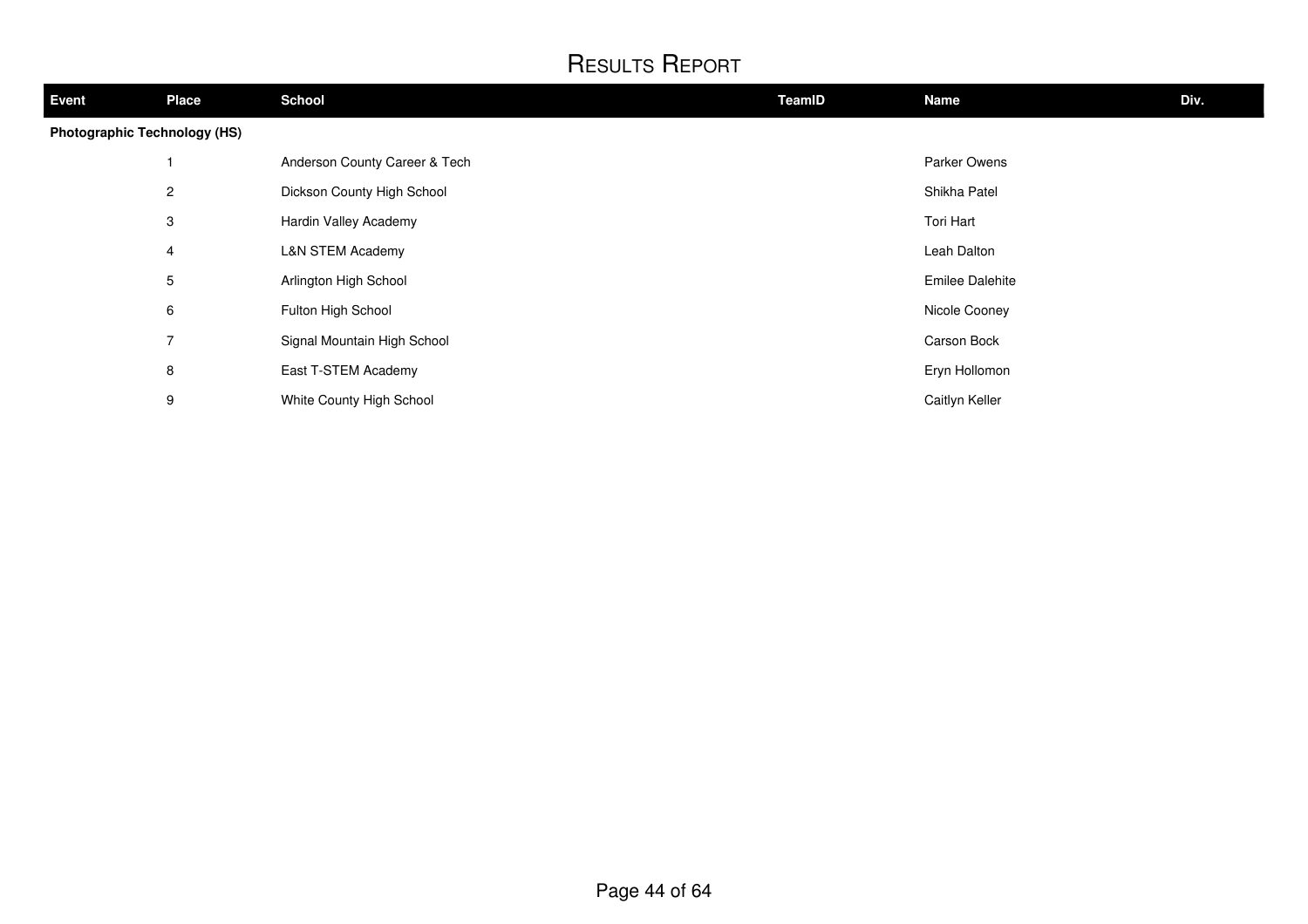| <b>Event</b>                        | <b>Place</b>             | <b>School</b>                 | TeamID | Name                   | Div. |
|-------------------------------------|--------------------------|-------------------------------|--------|------------------------|------|
| <b>Photographic Technology (HS)</b> |                          |                               |        |                        |      |
|                                     |                          | Anderson County Career & Tech |        | Parker Owens           |      |
|                                     | $\overline{2}$           | Dickson County High School    |        | Shikha Patel           |      |
|                                     | 3                        | Hardin Valley Academy         |        | Tori Hart              |      |
|                                     | 4                        | <b>L&amp;N STEM Academy</b>   |        | Leah Dalton            |      |
|                                     | 5                        | Arlington High School         |        | <b>Emilee Dalehite</b> |      |
|                                     | 6                        | Fulton High School            |        | Nicole Cooney          |      |
|                                     | $\overline{\phantom{a}}$ | Signal Mountain High School   |        | Carson Bock            |      |
|                                     | 8                        | East T-STEM Academy           |        | Eryn Hollomon          |      |
|                                     | 9                        | White County High School      |        | Caitlyn Keller         |      |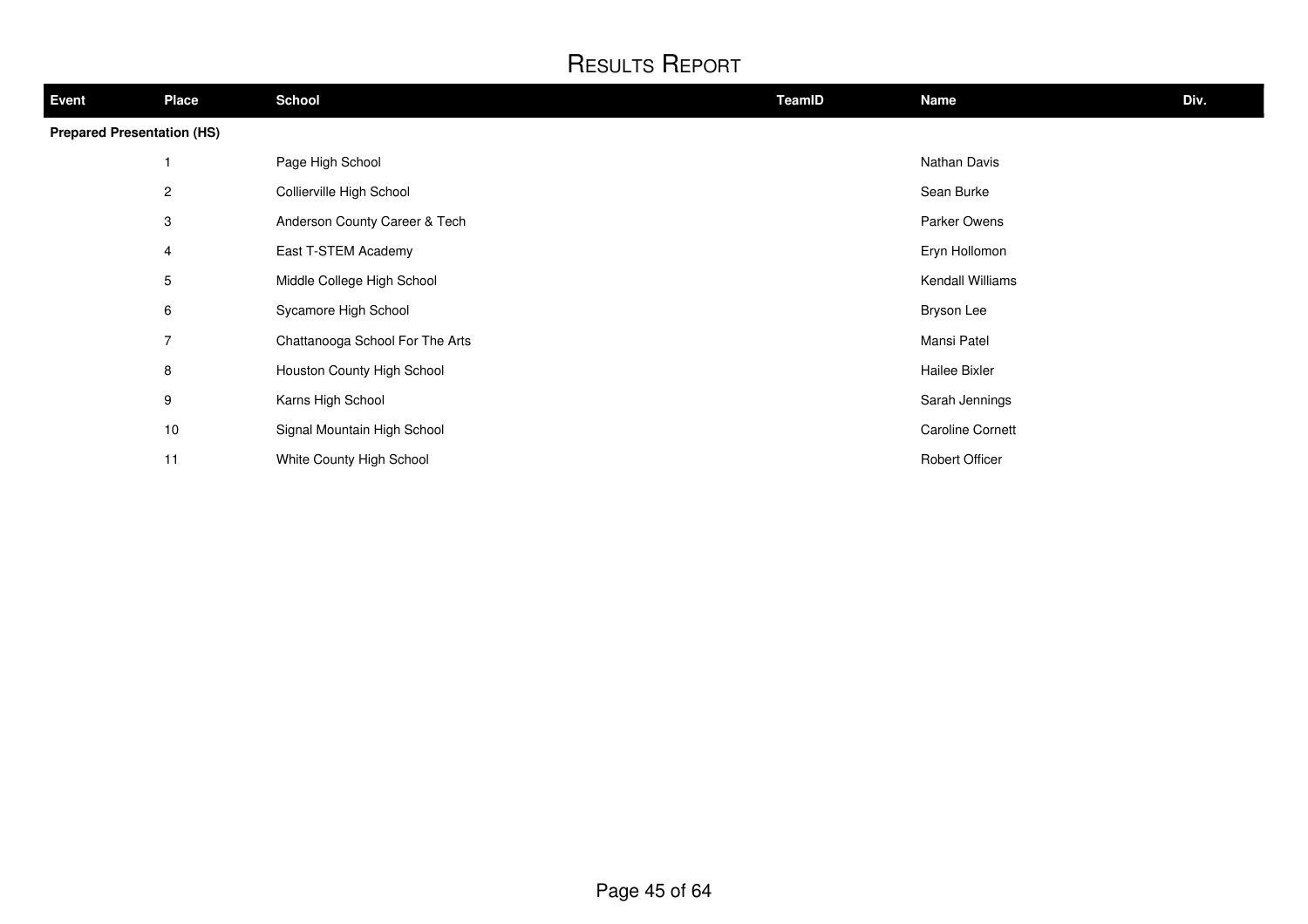| <b>Event</b>                      | <b>Place</b>   | <b>School</b>                   | TeamID | <b>Name</b>             | Div. |
|-----------------------------------|----------------|---------------------------------|--------|-------------------------|------|
| <b>Prepared Presentation (HS)</b> |                |                                 |        |                         |      |
|                                   |                | Page High School                |        | Nathan Davis            |      |
|                                   | $\overline{2}$ | Collierville High School        |        | Sean Burke              |      |
|                                   | 3              | Anderson County Career & Tech   |        | Parker Owens            |      |
|                                   | 4              | East T-STEM Academy             |        | Eryn Hollomon           |      |
|                                   | 5              | Middle College High School      |        | Kendall Williams        |      |
|                                   | 6              | Sycamore High School            |        | Bryson Lee              |      |
|                                   | $\overline{7}$ | Chattanooga School For The Arts |        | Mansi Patel             |      |
|                                   | 8              | Houston County High School      |        | Hailee Bixler           |      |
|                                   | 9              | Karns High School               |        | Sarah Jennings          |      |
|                                   | 10             | Signal Mountain High School     |        | <b>Caroline Cornett</b> |      |
|                                   | 11             | White County High School        |        | Robert Officer          |      |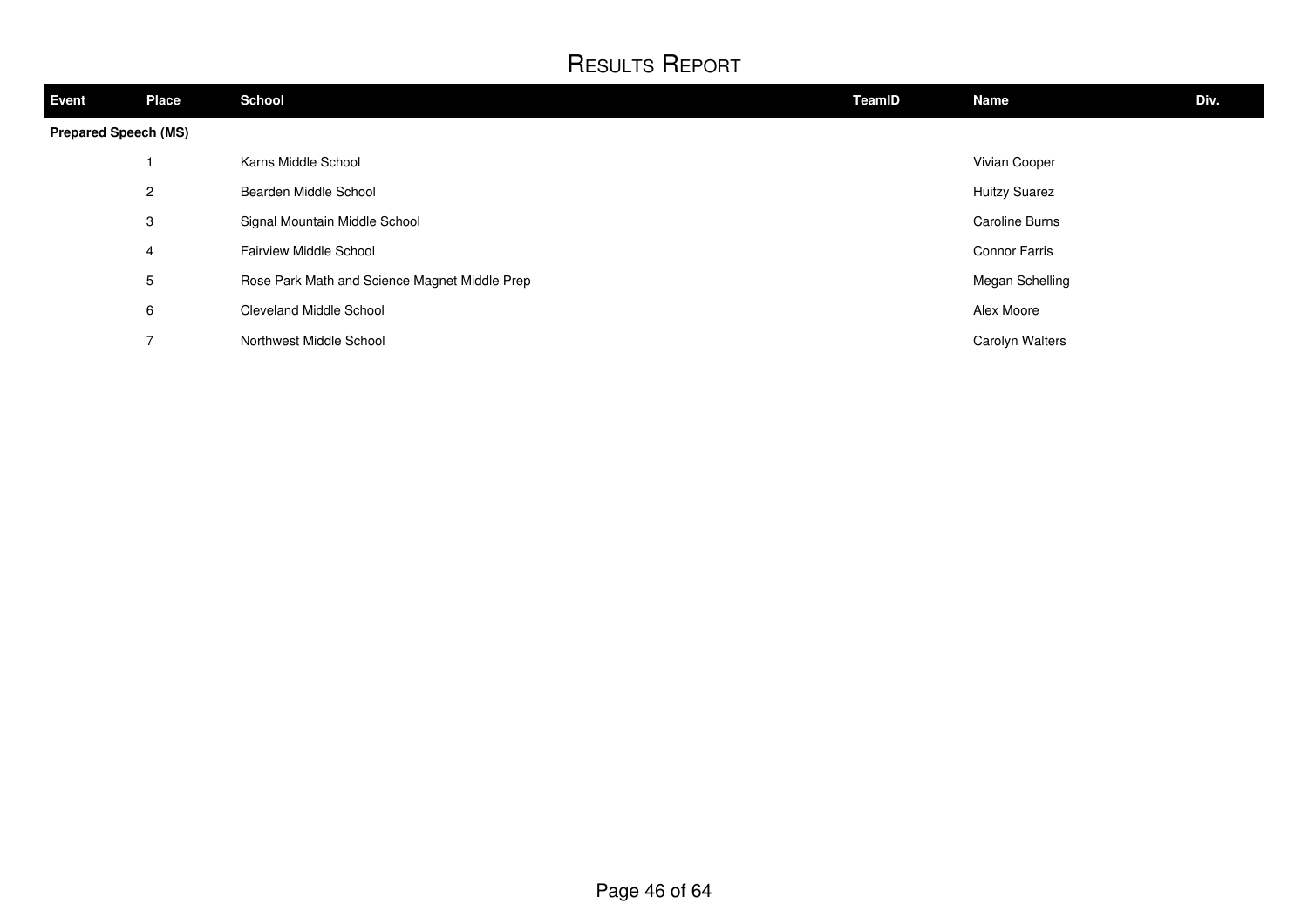| Event                       | <b>Place</b>             | <b>School</b>                                 | TeamID | Name                  | Div. |
|-----------------------------|--------------------------|-----------------------------------------------|--------|-----------------------|------|
| <b>Prepared Speech (MS)</b> |                          |                                               |        |                       |      |
|                             |                          | Karns Middle School                           |        | Vivian Cooper         |      |
|                             | $\overline{c}$           | Bearden Middle School                         |        | <b>Huitzy Suarez</b>  |      |
|                             | 3                        | Signal Mountain Middle School                 |        | <b>Caroline Burns</b> |      |
|                             | 4                        | <b>Fairview Middle School</b>                 |        | <b>Connor Farris</b>  |      |
|                             | 5                        | Rose Park Math and Science Magnet Middle Prep |        | Megan Schelling       |      |
|                             | 6                        | <b>Cleveland Middle School</b>                |        | Alex Moore            |      |
|                             | $\overline{\phantom{a}}$ | Northwest Middle School                       |        | Carolyn Walters       |      |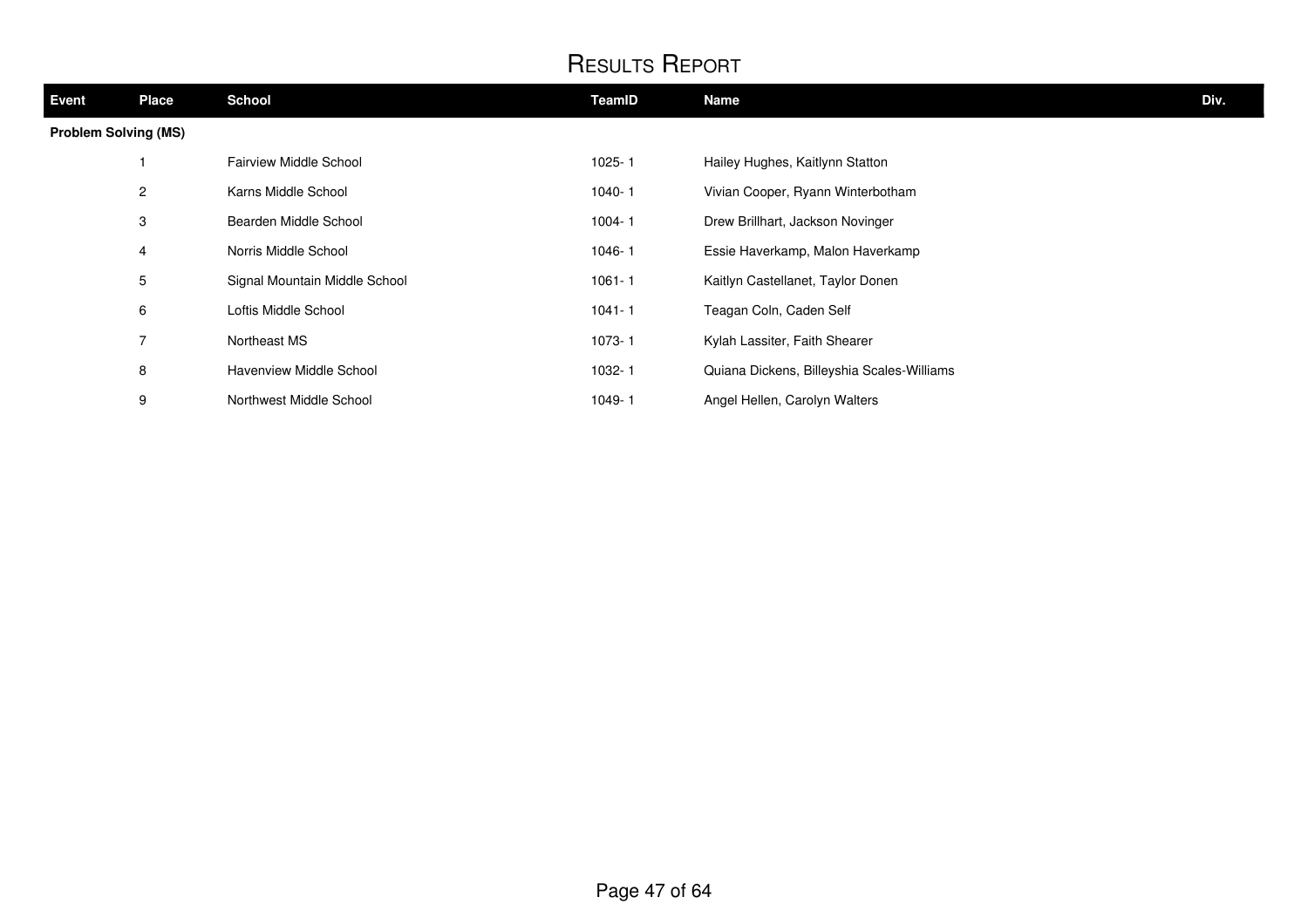| <b>Event</b>                | <b>Place</b> | <b>School</b>                 | TeamID     | <b>Name</b>                                | Div. |
|-----------------------------|--------------|-------------------------------|------------|--------------------------------------------|------|
| <b>Problem Solving (MS)</b> |              |                               |            |                                            |      |
|                             |              | <b>Fairview Middle School</b> | $1025 - 1$ | Hailey Hughes, Kaitlynn Statton            |      |
|                             | 2            | Karns Middle School           | $1040 - 1$ | Vivian Cooper, Ryann Winterbotham          |      |
|                             | 3            | Bearden Middle School         | $1004 - 1$ | Drew Brillhart, Jackson Novinger           |      |
|                             | 4            | Norris Middle School          | 1046-1     | Essie Haverkamp, Malon Haverkamp           |      |
|                             | 5            | Signal Mountain Middle School | $1061 - 1$ | Kaitlyn Castellanet, Taylor Donen          |      |
|                             | 6            | Loftis Middle School          | $1041 - 1$ | Teagan Coln, Caden Self                    |      |
|                             | 7            | Northeast MS                  | 1073-1     | Kylah Lassiter, Faith Shearer              |      |
|                             | 8            | Havenview Middle School       | 1032-1     | Quiana Dickens, Billeyshia Scales-Williams |      |
|                             | 9            | Northwest Middle School       | 1049-1     | Angel Hellen, Carolyn Walters              |      |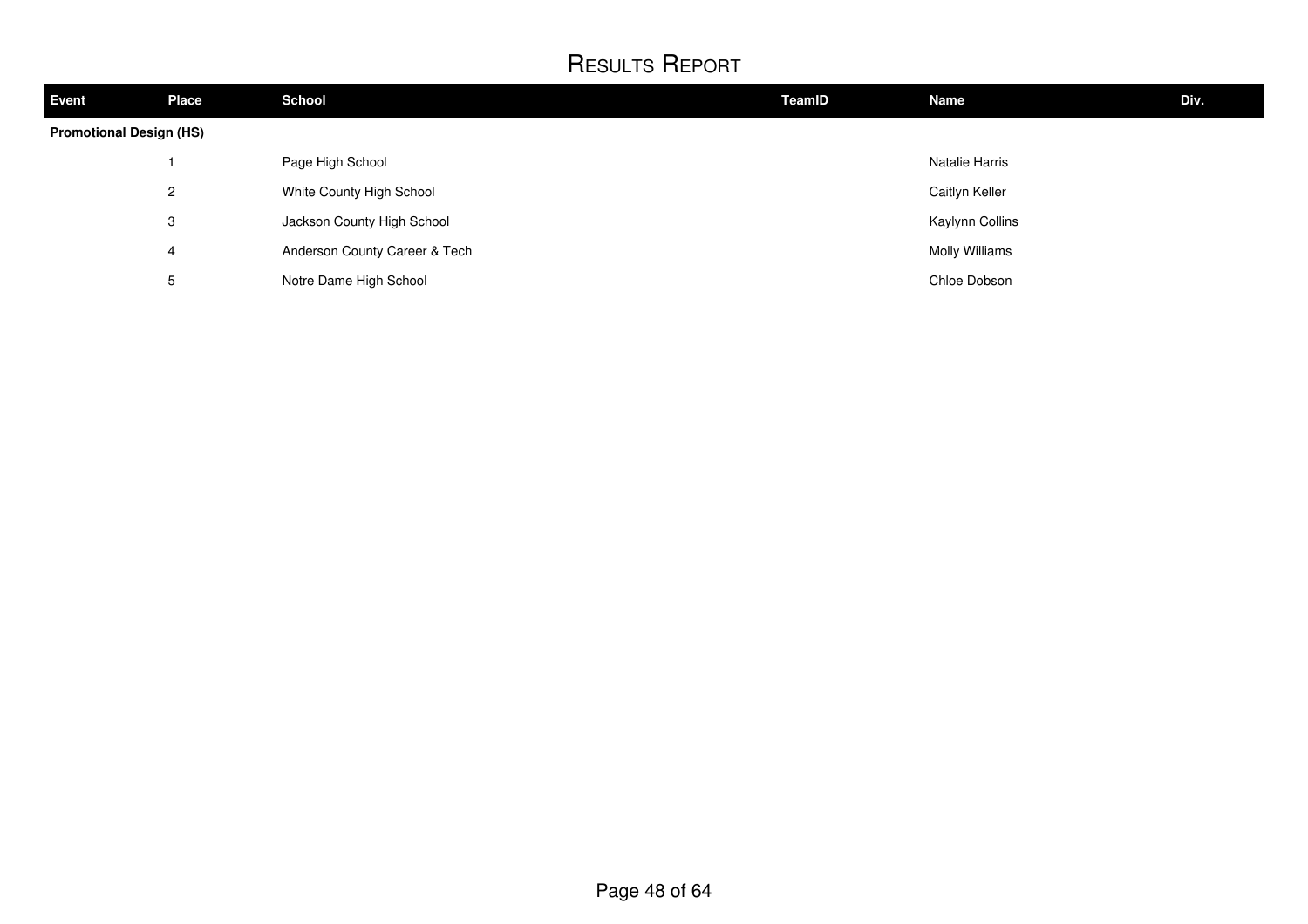| <b>Event</b>                   | <b>Place</b>   | <b>School</b>                 | TeamID | <b>Name</b>     | Div. |  |
|--------------------------------|----------------|-------------------------------|--------|-----------------|------|--|
| <b>Promotional Design (HS)</b> |                |                               |        |                 |      |  |
|                                |                | Page High School              |        | Natalie Harris  |      |  |
|                                | $\overline{2}$ | White County High School      |        | Caitlyn Keller  |      |  |
|                                | 3              | Jackson County High School    |        | Kaylynn Collins |      |  |
|                                | 4              | Anderson County Career & Tech |        | Molly Williams  |      |  |
|                                | 5              | Notre Dame High School        |        | Chloe Dobson    |      |  |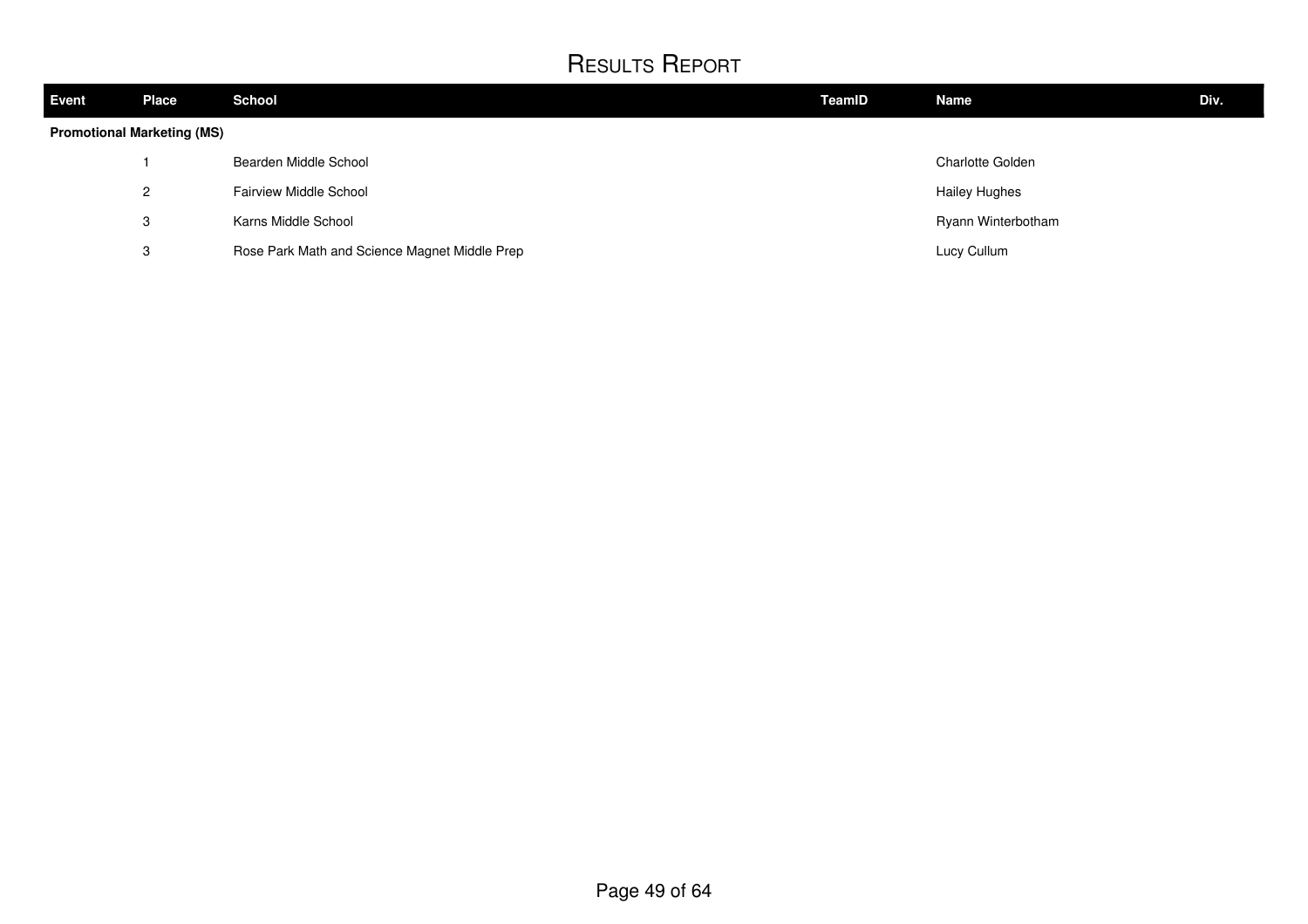| <b>Event</b> | <b>Place</b>                      | <b>School</b>                                 | TeamID | <b>Name</b>             | Div. |  |
|--------------|-----------------------------------|-----------------------------------------------|--------|-------------------------|------|--|
|              | <b>Promotional Marketing (MS)</b> |                                               |        |                         |      |  |
|              |                                   | Bearden Middle School                         |        | <b>Charlotte Golden</b> |      |  |
|              | 2                                 | <b>Fairview Middle School</b>                 |        | <b>Hailey Hughes</b>    |      |  |
|              | 3                                 | Karns Middle School                           |        | Ryann Winterbotham      |      |  |
|              | 3                                 | Rose Park Math and Science Magnet Middle Prep |        | Lucy Cullum             |      |  |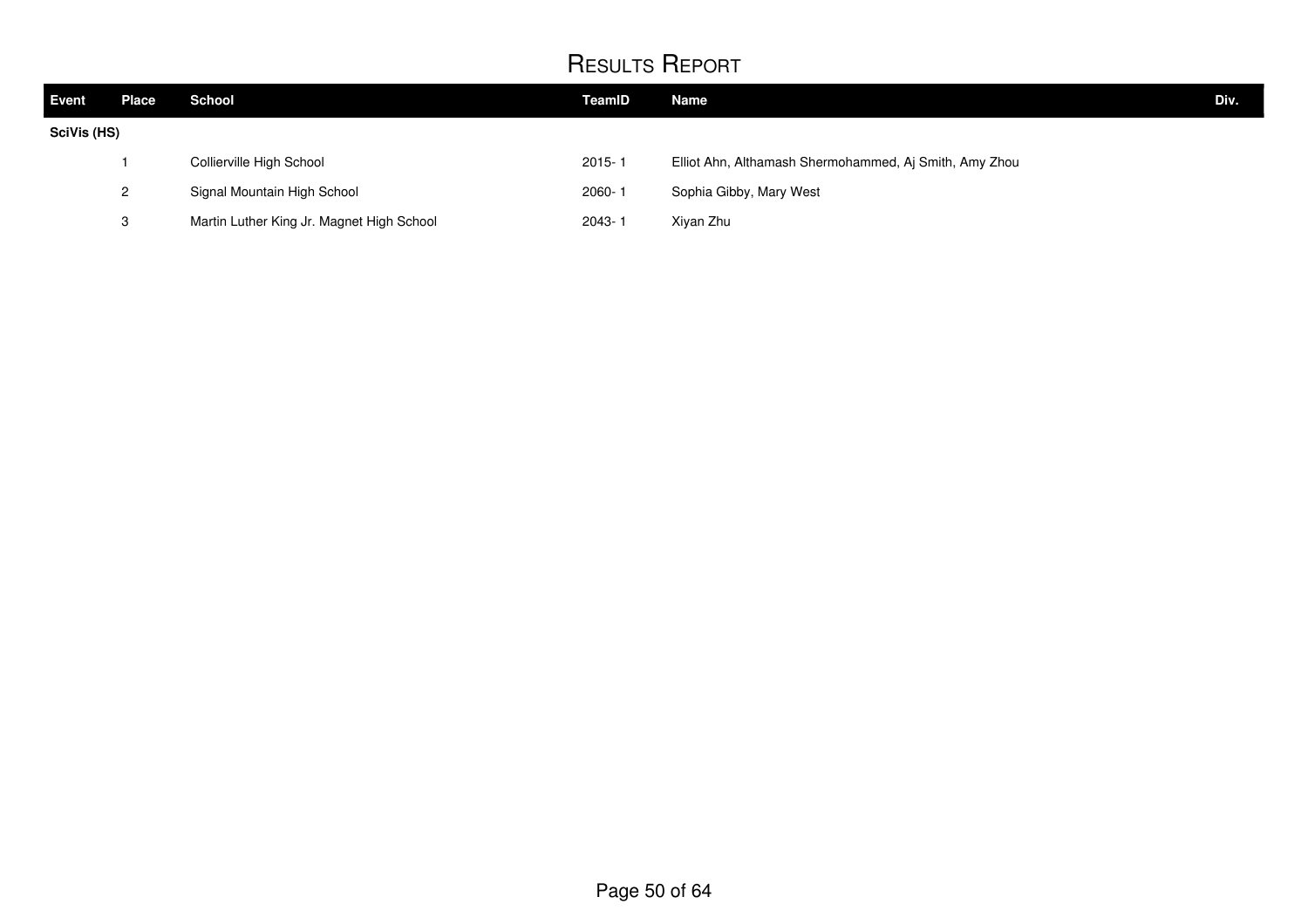| Event       | Place        | <b>School</b>                             | TeamID     | <b>Name</b>                                            | Div. |
|-------------|--------------|-------------------------------------------|------------|--------------------------------------------------------|------|
| SciVis (HS) |              |                                           |            |                                                        |      |
|             |              | Collierville High School                  | $2015 - 1$ | Elliot Ahn, Althamash Shermohammed, Aj Smith, Amy Zhou |      |
|             | $\mathbf{2}$ | Signal Mountain High School               | $2060 -$   | Sophia Gibby, Mary West                                |      |
|             | ↷            | Martin Luther King Jr. Magnet High School | $2043 - 7$ | Xiyan Zhu                                              |      |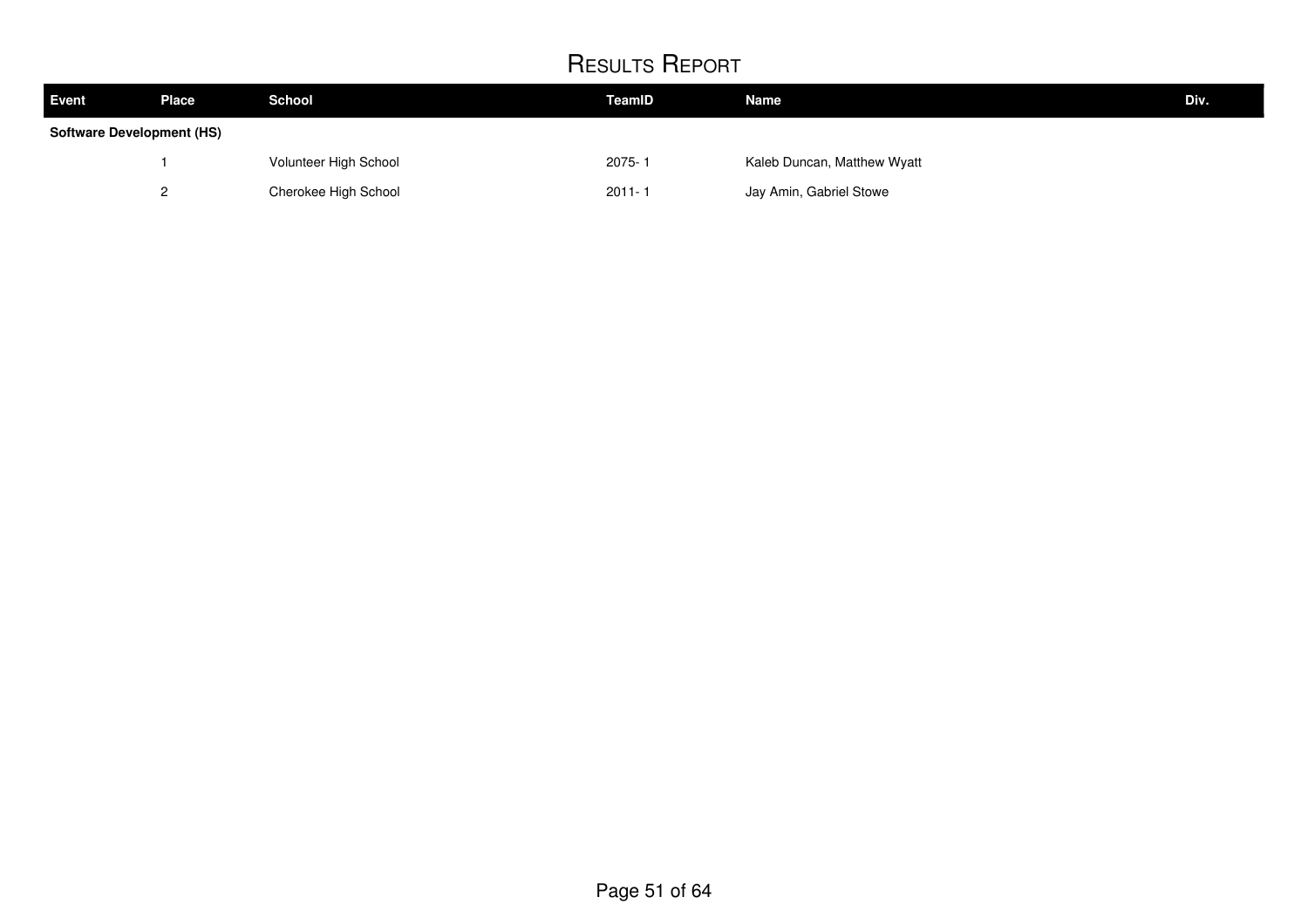| Event                            | <b>Place</b> | <b>School</b>         | TeamID     | <b>Name</b>                 | Div. |
|----------------------------------|--------------|-----------------------|------------|-----------------------------|------|
| <b>Software Development (HS)</b> |              |                       |            |                             |      |
|                                  |              | Volunteer High School | 2075-1     | Kaleb Duncan, Matthew Wyatt |      |
|                                  |              | Cherokee High School  | $2011 - 1$ | Jay Amin, Gabriel Stowe     |      |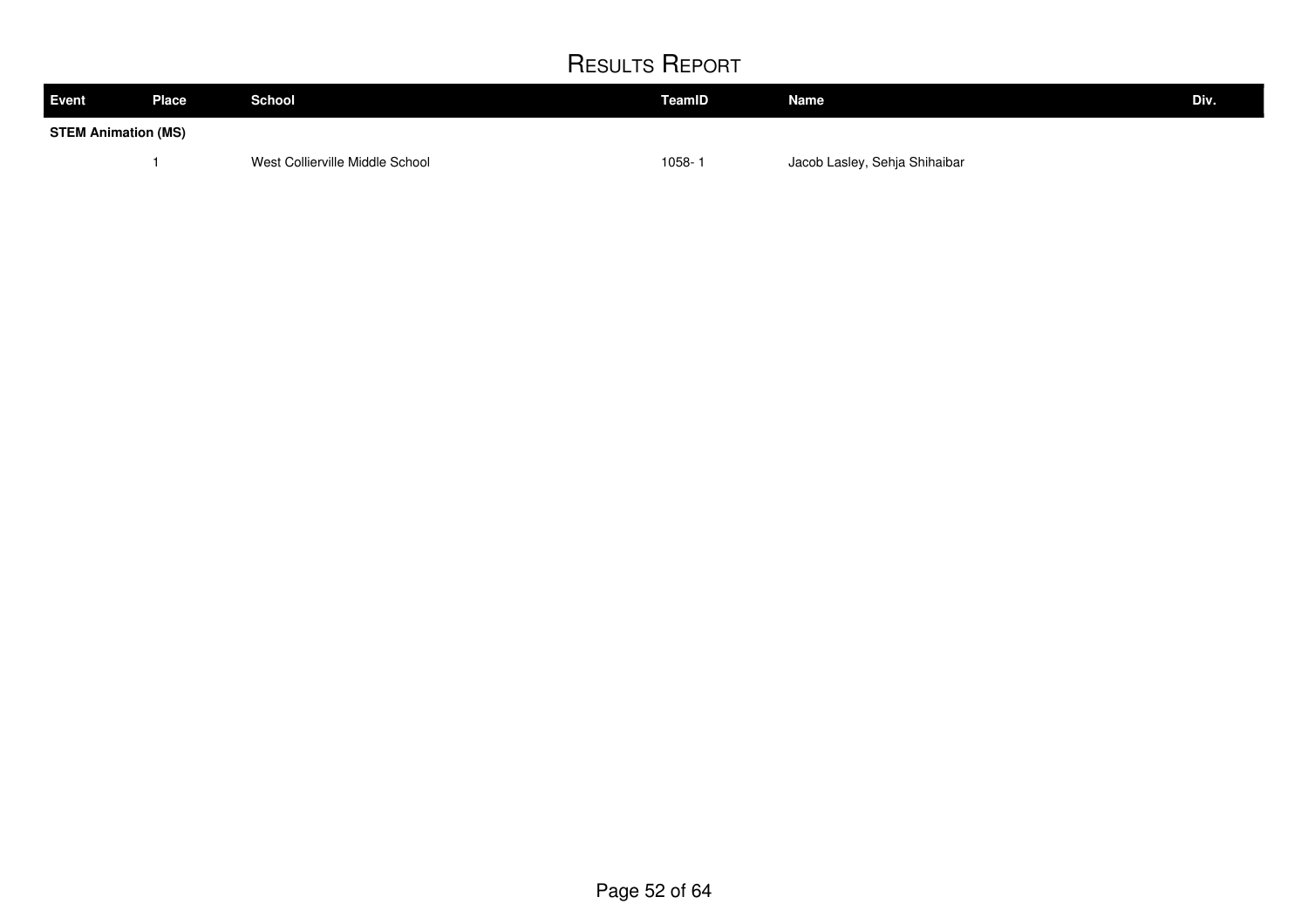| <b>Event</b>               | Place | <b>School</b>                   | TeamID     | Name                          | Div. |
|----------------------------|-------|---------------------------------|------------|-------------------------------|------|
| <b>STEM Animation (MS)</b> |       |                                 |            |                               |      |
|                            |       | West Collierville Middle School | $1058 - 1$ | Jacob Lasley, Sehja Shihaibar |      |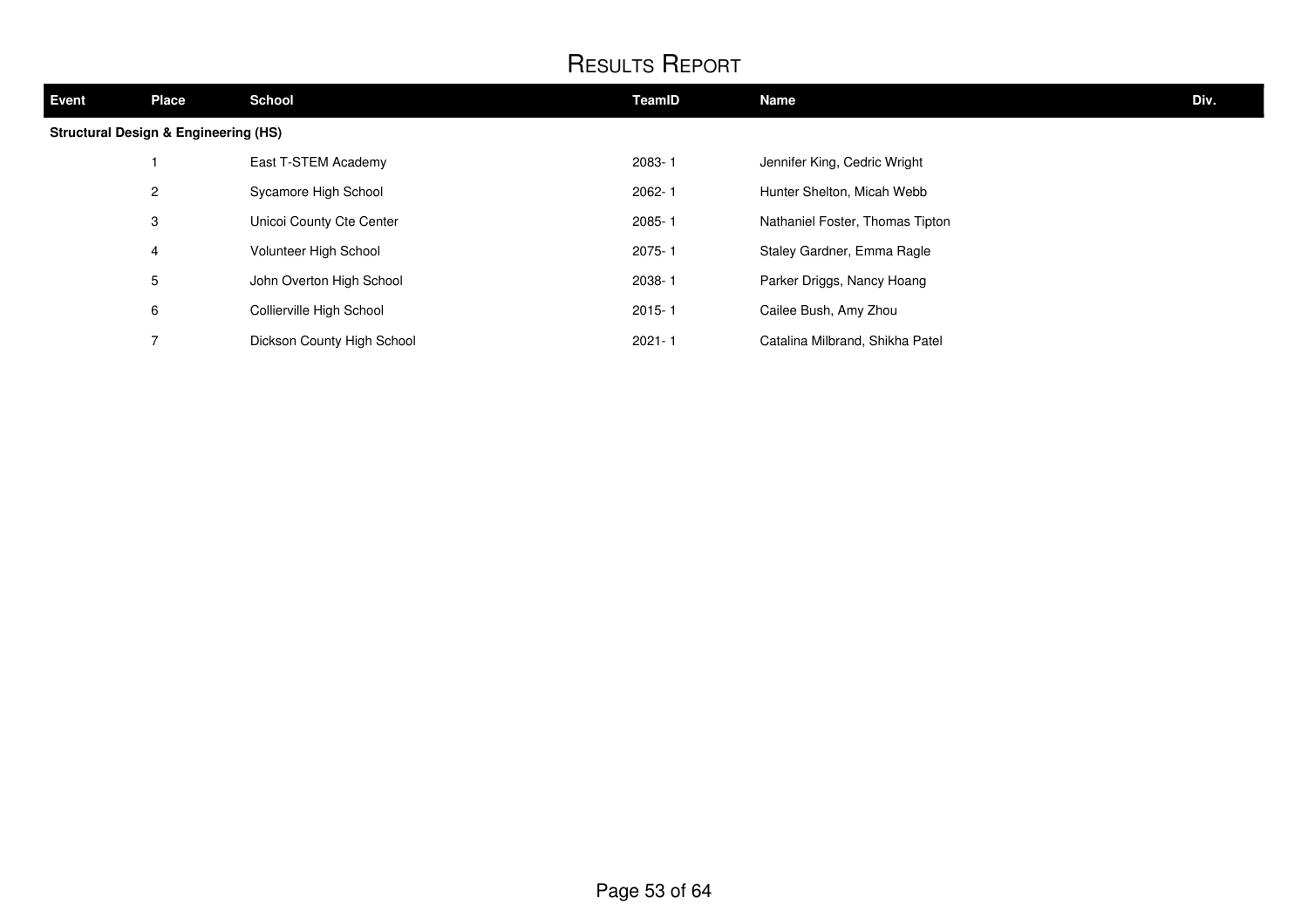| <b>Event</b> | <b>Place</b>                                    | <b>School</b>              | TeamID     | Name                            | Div. |
|--------------|-------------------------------------------------|----------------------------|------------|---------------------------------|------|
|              | <b>Structural Design &amp; Engineering (HS)</b> |                            |            |                                 |      |
|              |                                                 | East T-STEM Academy        | 2083-1     | Jennifer King, Cedric Wright    |      |
|              | $\overline{2}$                                  | Sycamore High School       | 2062-1     | Hunter Shelton, Micah Webb      |      |
|              | 3                                               | Unicoi County Cte Center   | $2085 - 1$ | Nathaniel Foster, Thomas Tipton |      |
|              | 4                                               | Volunteer High School      | $2075 - 1$ | Staley Gardner, Emma Ragle      |      |
|              | 5                                               | John Overton High School   | 2038-1     | Parker Driggs, Nancy Hoang      |      |
|              | 6                                               | Collierville High School   | $2015 - 1$ | Cailee Bush, Amy Zhou           |      |
|              |                                                 | Dickson County High School | $2021 - 1$ | Catalina Milbrand, Shikha Patel |      |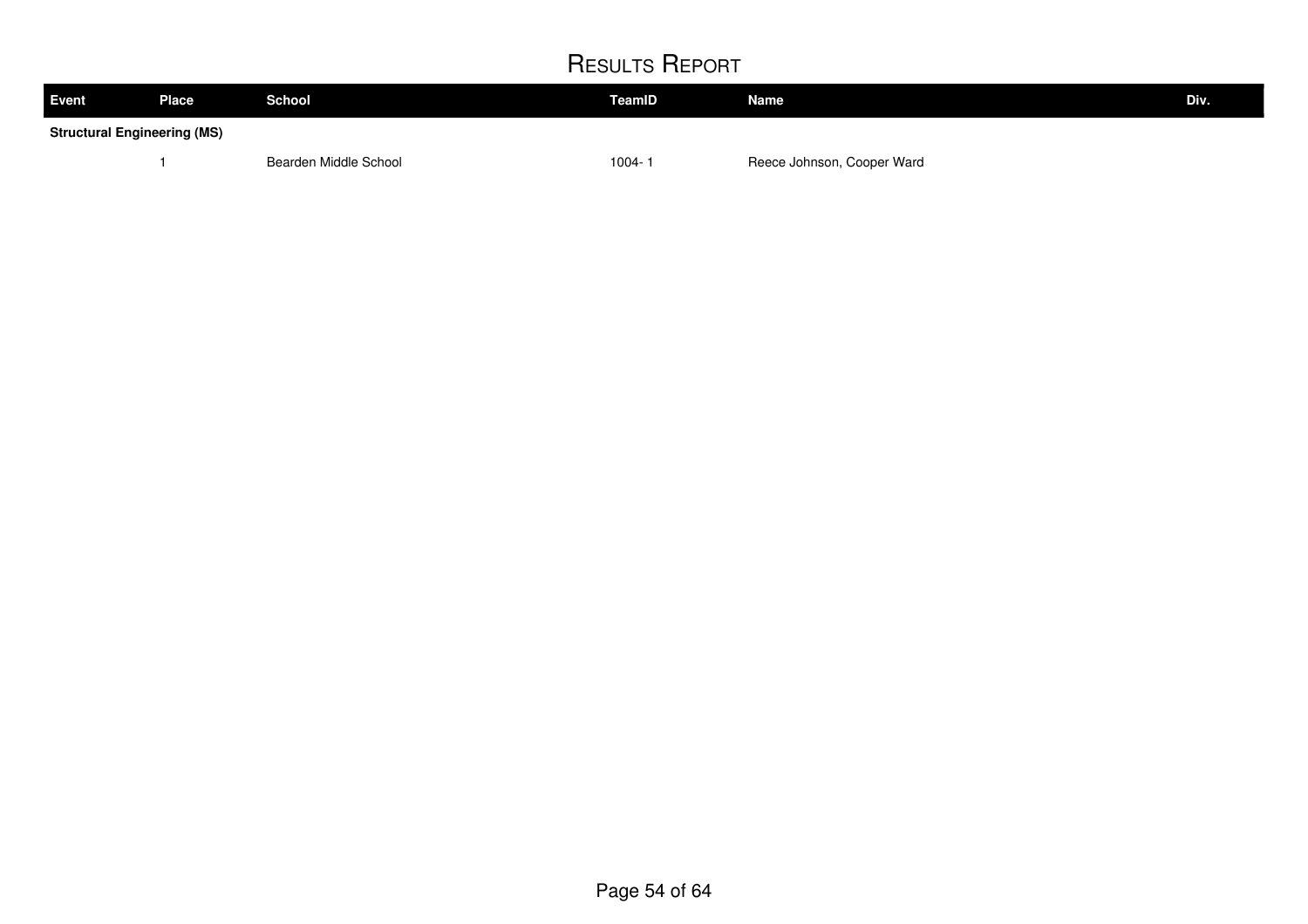| <b>Event</b> | <b>Place</b>                       | <b>School</b>         | TeamID | <b>Name</b>                | Div. |  |
|--------------|------------------------------------|-----------------------|--------|----------------------------|------|--|
|              | <b>Structural Engineering (MS)</b> |                       |        |                            |      |  |
|              |                                    | Bearden Middle School | 1004-  | Reece Johnson, Cooper Ward |      |  |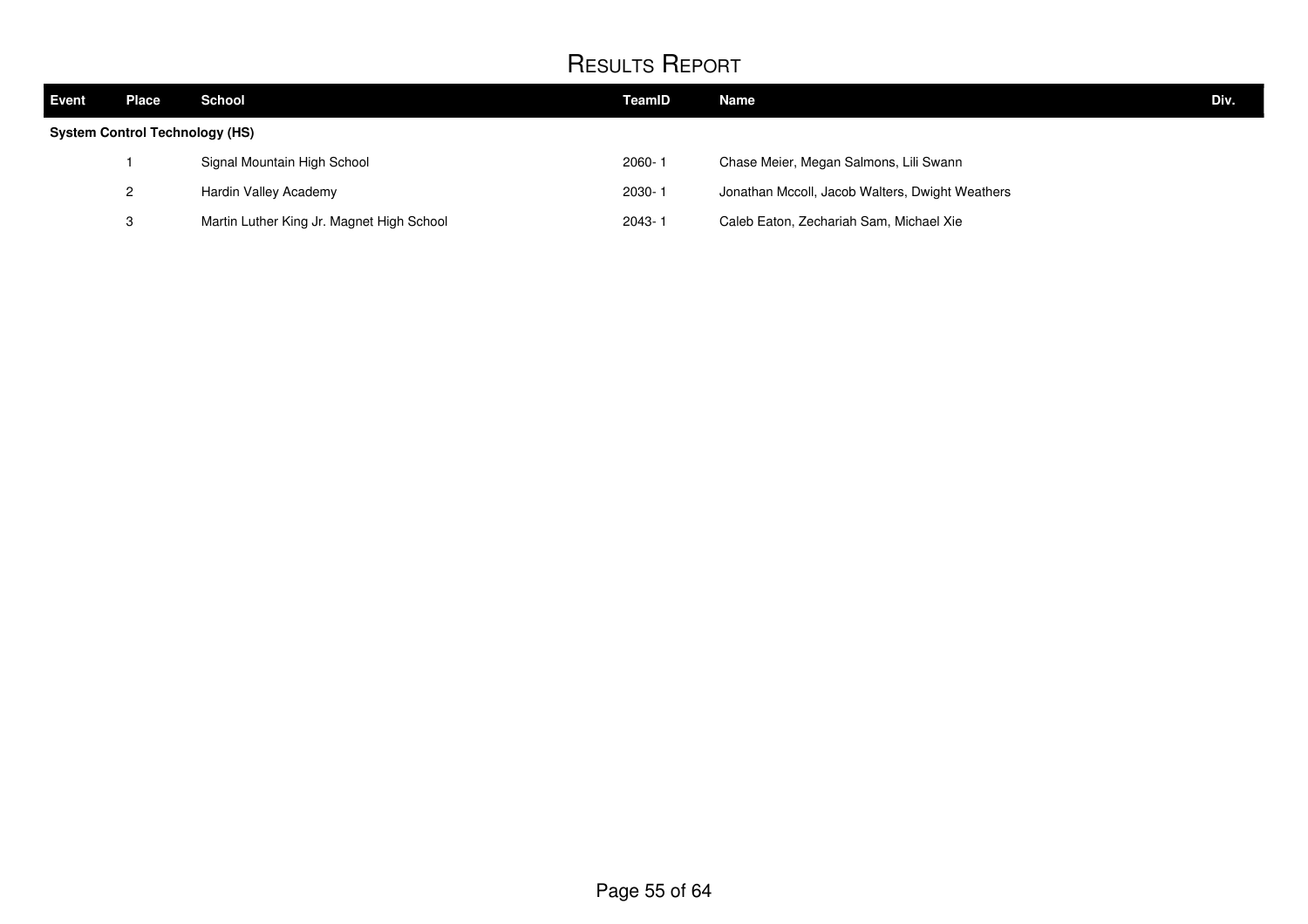| Event                                 | Place | <b>School</b>                             | TeamID | <b>Name</b>                                     | Div. |
|---------------------------------------|-------|-------------------------------------------|--------|-------------------------------------------------|------|
| <b>System Control Technology (HS)</b> |       |                                           |        |                                                 |      |
|                                       |       | Signal Mountain High School               | 2060-1 | Chase Meier, Megan Salmons, Lili Swann          |      |
|                                       | 2     | Hardin Valley Academy                     | 2030-1 | Jonathan Mccoll, Jacob Walters, Dwight Weathers |      |
|                                       | 3     | Martin Luther King Jr. Magnet High School | 2043-1 | Caleb Eaton, Zechariah Sam, Michael Xie         |      |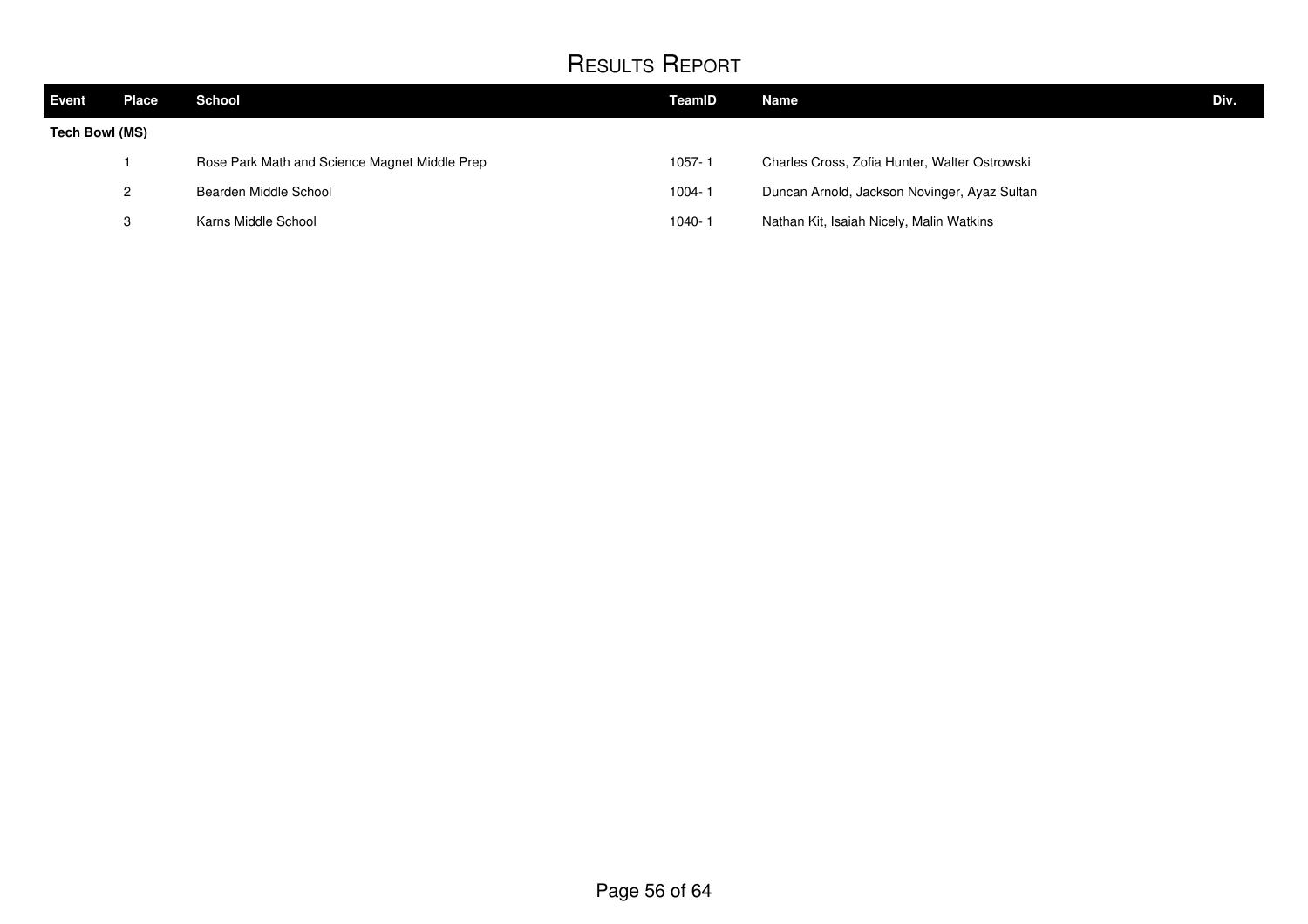| <b>Event</b>          | Place | <b>School</b>                                 | TeamID     | Name                                          | Div. |
|-----------------------|-------|-----------------------------------------------|------------|-----------------------------------------------|------|
| <b>Tech Bowl (MS)</b> |       |                                               |            |                                               |      |
|                       |       | Rose Park Math and Science Magnet Middle Prep | $1057 - 1$ | Charles Cross, Zofia Hunter, Walter Ostrowski |      |
|                       | ≘     | Bearden Middle School                         | $1004 - 1$ | Duncan Arnold, Jackson Novinger, Ayaz Sultan  |      |
|                       | ∘     | Karns Middle School                           | $1040 - 1$ | Nathan Kit, Isaiah Nicely, Malin Watkins      |      |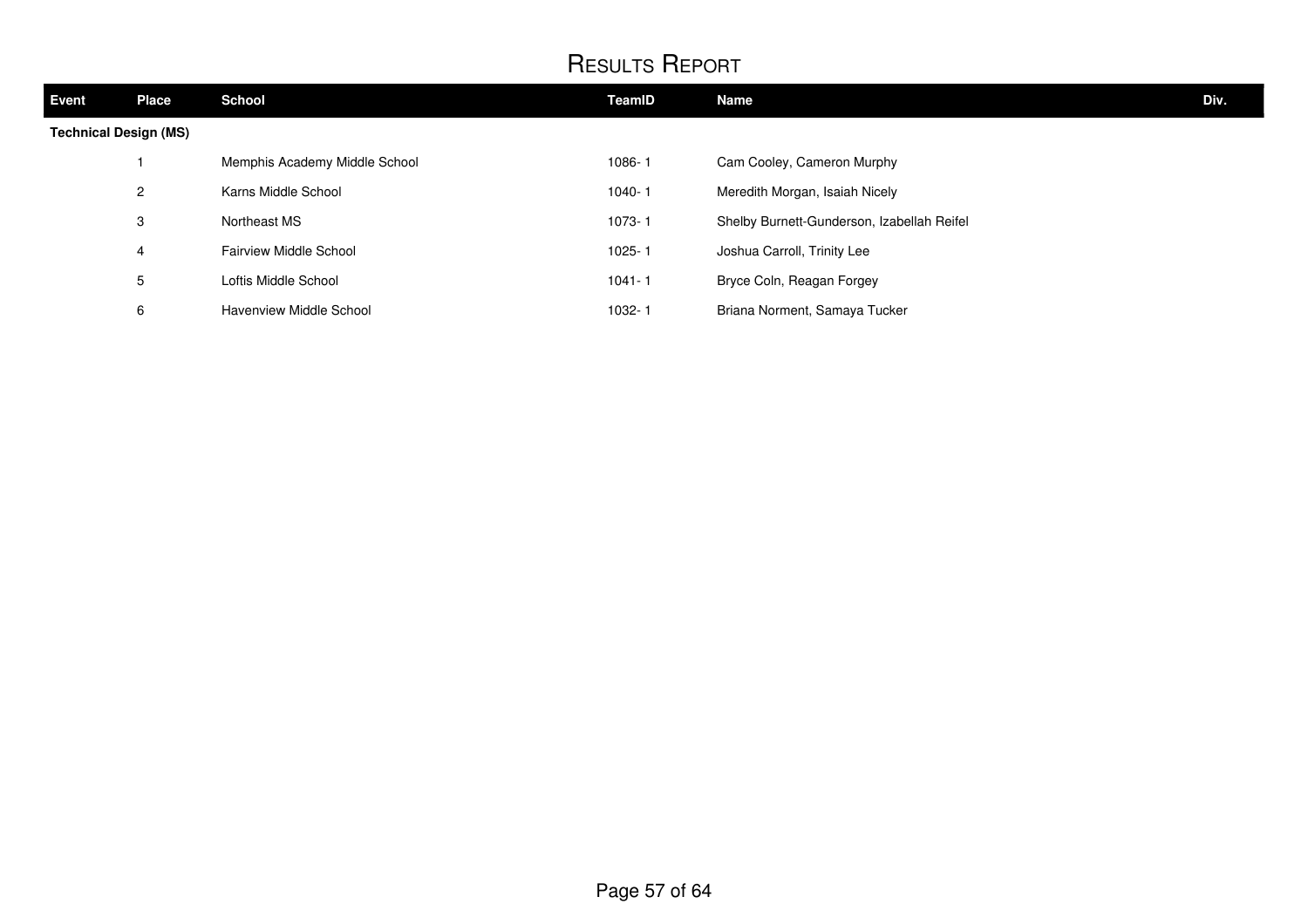| <b>Event</b>                 | <b>Place</b>   | <b>School</b>                 | TeamID     | <b>Name</b>                                | Div. |
|------------------------------|----------------|-------------------------------|------------|--------------------------------------------|------|
| <b>Technical Design (MS)</b> |                |                               |            |                                            |      |
|                              |                | Memphis Academy Middle School | 1086-1     | Cam Cooley, Cameron Murphy                 |      |
|                              | $\overline{2}$ | Karns Middle School           | 1040-1     | Meredith Morgan, Isaiah Nicely             |      |
|                              | 3              | Northeast MS                  | $1073 - 1$ | Shelby Burnett-Gunderson, Izabellah Reifel |      |
|                              | 4              | <b>Fairview Middle School</b> | $1025 - 1$ | Joshua Carroll, Trinity Lee                |      |
|                              | 5              | Loftis Middle School          | $1041 - 1$ | Bryce Coln, Reagan Forgey                  |      |
|                              | 6              | Havenview Middle School       | 1032-1     | Briana Norment, Samaya Tucker              |      |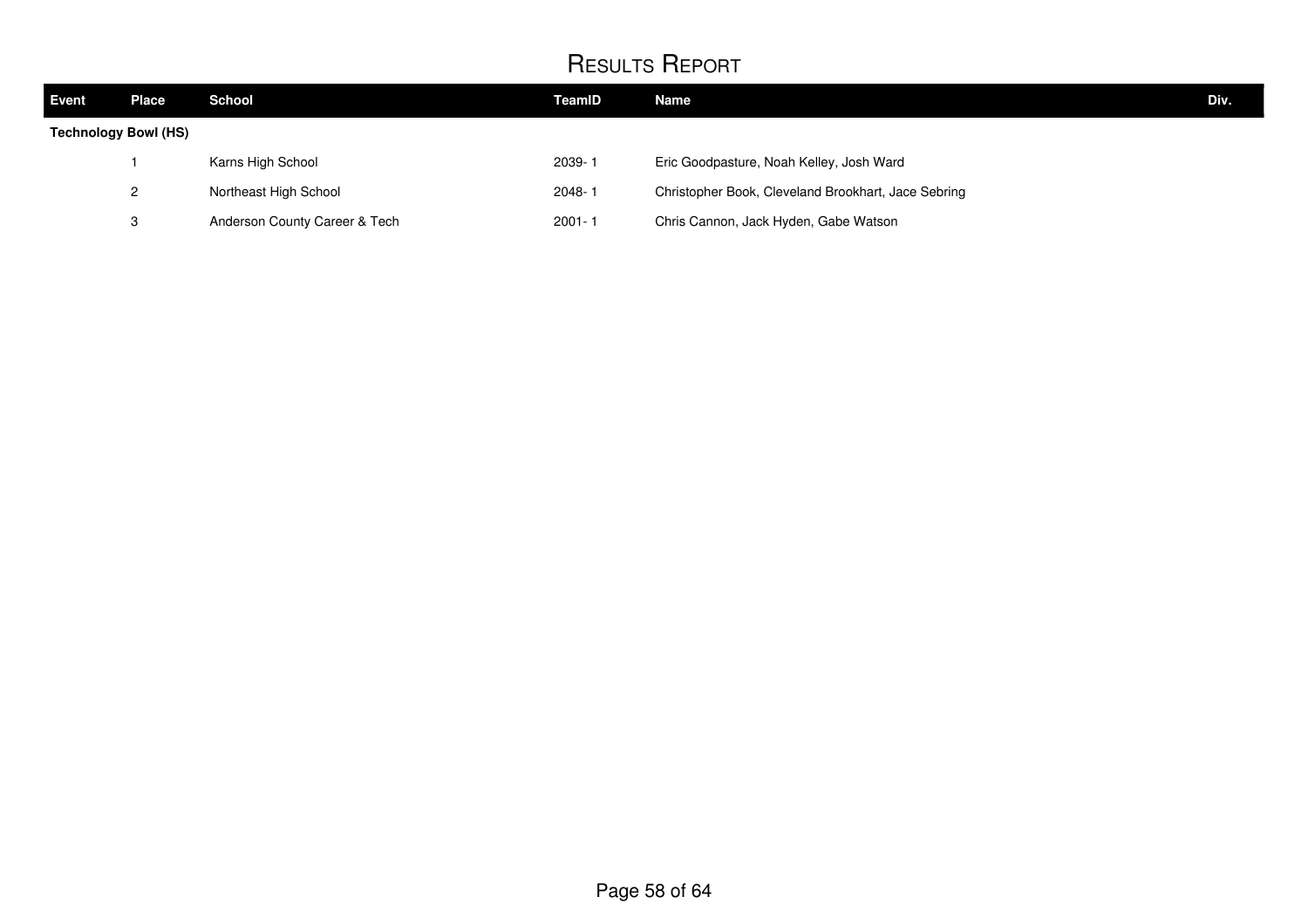| Event                | <b>Place</b> | <b>School</b>                 | TeamID     | Name                                                | Div. |
|----------------------|--------------|-------------------------------|------------|-----------------------------------------------------|------|
| Technology Bowl (HS) |              |                               |            |                                                     |      |
|                      |              | Karns High School             | 2039-1     | Eric Goodpasture, Noah Kelley, Josh Ward            |      |
|                      | 2            | Northeast High School         | 2048-1     | Christopher Book, Cleveland Brookhart, Jace Sebring |      |
|                      | ົ<br>ت       | Anderson County Career & Tech | $2001 - 1$ | Chris Cannon, Jack Hyden, Gabe Watson               |      |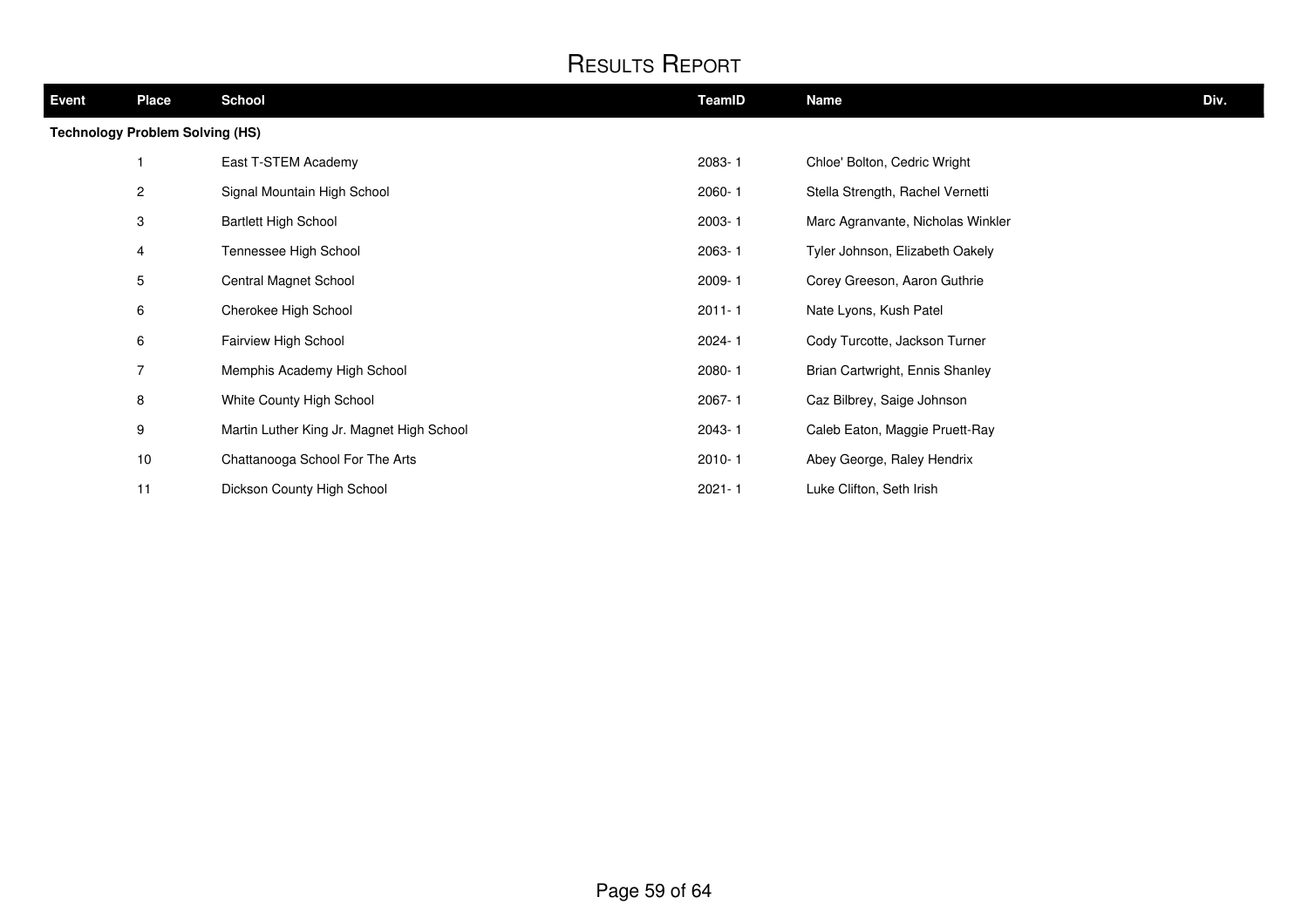| Event                                  | <b>Place</b>   | <b>School</b>                             | TeamID     | <b>Name</b>                       | Div. |  |
|----------------------------------------|----------------|-------------------------------------------|------------|-----------------------------------|------|--|
| <b>Technology Problem Solving (HS)</b> |                |                                           |            |                                   |      |  |
|                                        |                | East T-STEM Academy                       | 2083-1     | Chloe' Bolton, Cedric Wright      |      |  |
|                                        | 2              | Signal Mountain High School               | $2060 - 1$ | Stella Strength, Rachel Vernetti  |      |  |
|                                        | 3              | <b>Bartlett High School</b>               | 2003-1     | Marc Agranvante, Nicholas Winkler |      |  |
|                                        | 4              | Tennessee High School                     | 2063-1     | Tyler Johnson, Elizabeth Oakely   |      |  |
|                                        | 5              | Central Magnet School                     | 2009-1     | Corey Greeson, Aaron Guthrie      |      |  |
|                                        | 6              | Cherokee High School                      | $2011 - 1$ | Nate Lyons, Kush Patel            |      |  |
|                                        | 6              | Fairview High School                      | 2024-1     | Cody Turcotte, Jackson Turner     |      |  |
|                                        | $\overline{7}$ | Memphis Academy High School               | 2080-1     | Brian Cartwright, Ennis Shanley   |      |  |
|                                        | 8              | White County High School                  | 2067-1     | Caz Bilbrey, Saige Johnson        |      |  |
|                                        | 9              | Martin Luther King Jr. Magnet High School | 2043-1     | Caleb Eaton, Maggie Pruett-Ray    |      |  |
|                                        | $10$           | Chattanooga School For The Arts           | $2010 - 1$ | Abey George, Raley Hendrix        |      |  |
|                                        | 11             | Dickson County High School                | $2021 - 1$ | Luke Clifton, Seth Irish          |      |  |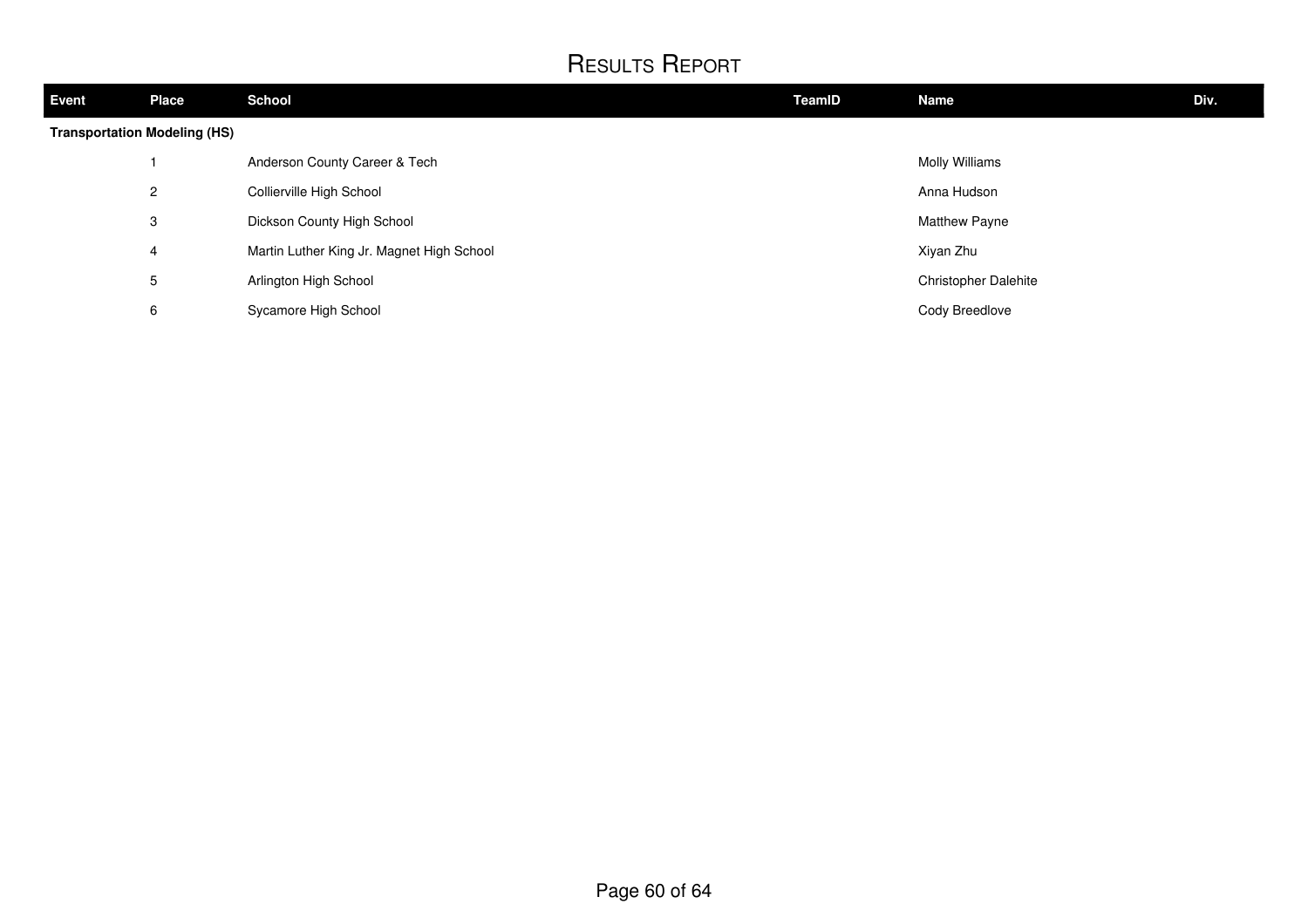| Event                               | <b>Place</b>   | <b>School</b>                             | TeamID | <b>Name</b>                 | Div. |  |
|-------------------------------------|----------------|-------------------------------------------|--------|-----------------------------|------|--|
| <b>Transportation Modeling (HS)</b> |                |                                           |        |                             |      |  |
|                                     |                | Anderson County Career & Tech             |        | <b>Molly Williams</b>       |      |  |
|                                     | $\overline{2}$ | Collierville High School                  |        | Anna Hudson                 |      |  |
|                                     | 3              | Dickson County High School                |        | <b>Matthew Payne</b>        |      |  |
|                                     | 4              | Martin Luther King Jr. Magnet High School |        | Xiyan Zhu                   |      |  |
|                                     | 5              | Arlington High School                     |        | <b>Christopher Dalehite</b> |      |  |
|                                     | 6              | Sycamore High School                      |        | Cody Breedlove              |      |  |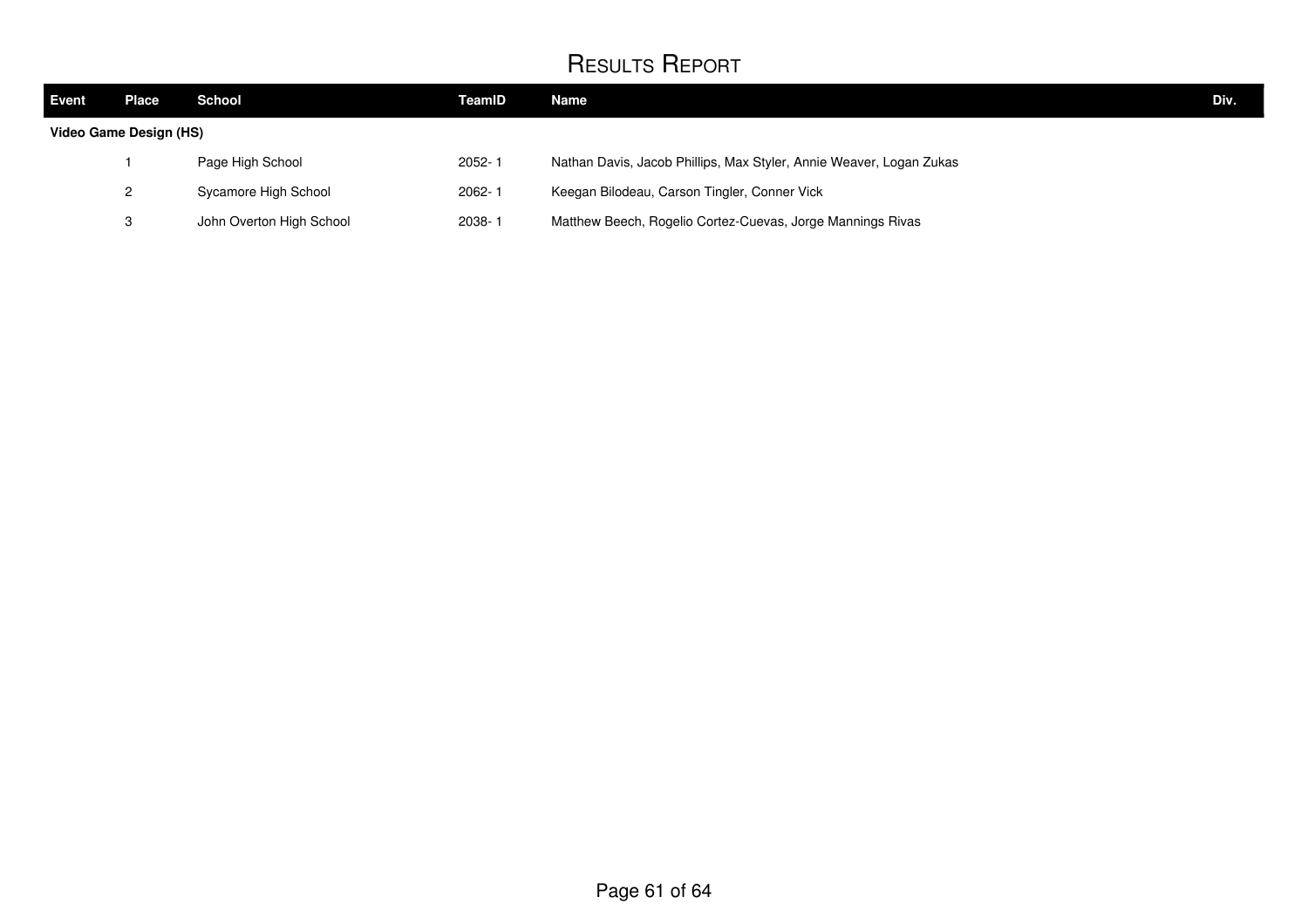| <b>Event</b> | Place                  | School                   | TeamID     | Name                                                                | Div. |
|--------------|------------------------|--------------------------|------------|---------------------------------------------------------------------|------|
|              | Video Game Design (HS) |                          |            |                                                                     |      |
|              |                        | Page High School         | $2052 - 1$ | Nathan Davis, Jacob Phillips, Max Styler, Annie Weaver, Logan Zukas |      |
|              |                        | Sycamore High School     | 2062-1     | Keegan Bilodeau, Carson Tingler, Conner Vick                        |      |
|              |                        | John Overton High School | $2038 - 1$ | Matthew Beech, Rogelio Cortez-Cuevas, Jorge Mannings Rivas          |      |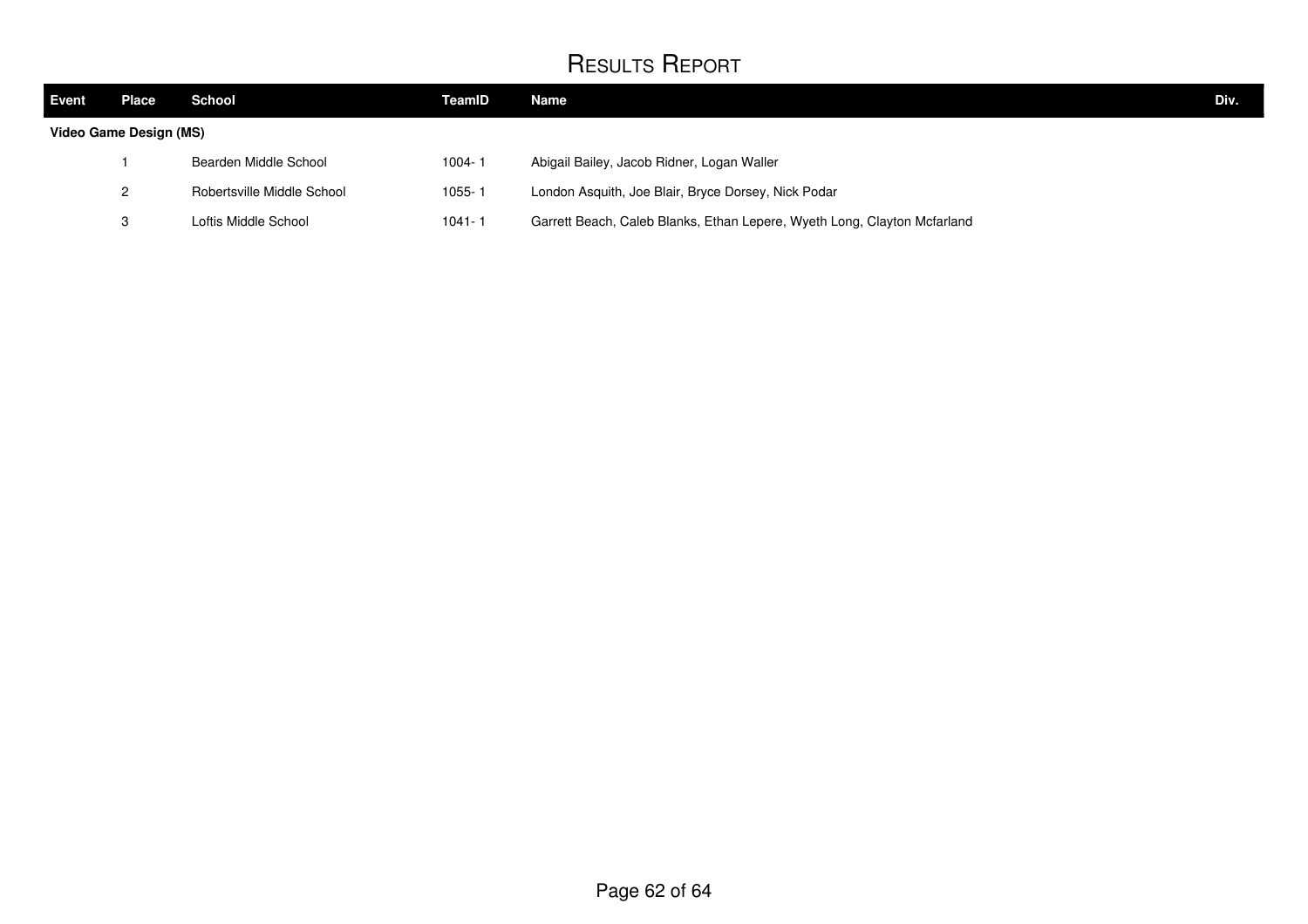| <b>Event</b>           | Place . | School                     | TeamID     | Name                                                                     | Div. |
|------------------------|---------|----------------------------|------------|--------------------------------------------------------------------------|------|
| Video Game Design (MS) |         |                            |            |                                                                          |      |
|                        |         | Bearden Middle School      | 1004-1     | Abigail Bailey, Jacob Ridner, Logan Waller                               |      |
|                        | 2       | Robertsville Middle School | $1055 - 1$ | London Asquith, Joe Blair, Bryce Dorsey, Nick Podar                      |      |
|                        | 3       | Loftis Middle School       | $1041 - 1$ | Garrett Beach, Caleb Blanks, Ethan Lepere, Wyeth Long, Clayton Mcfarland |      |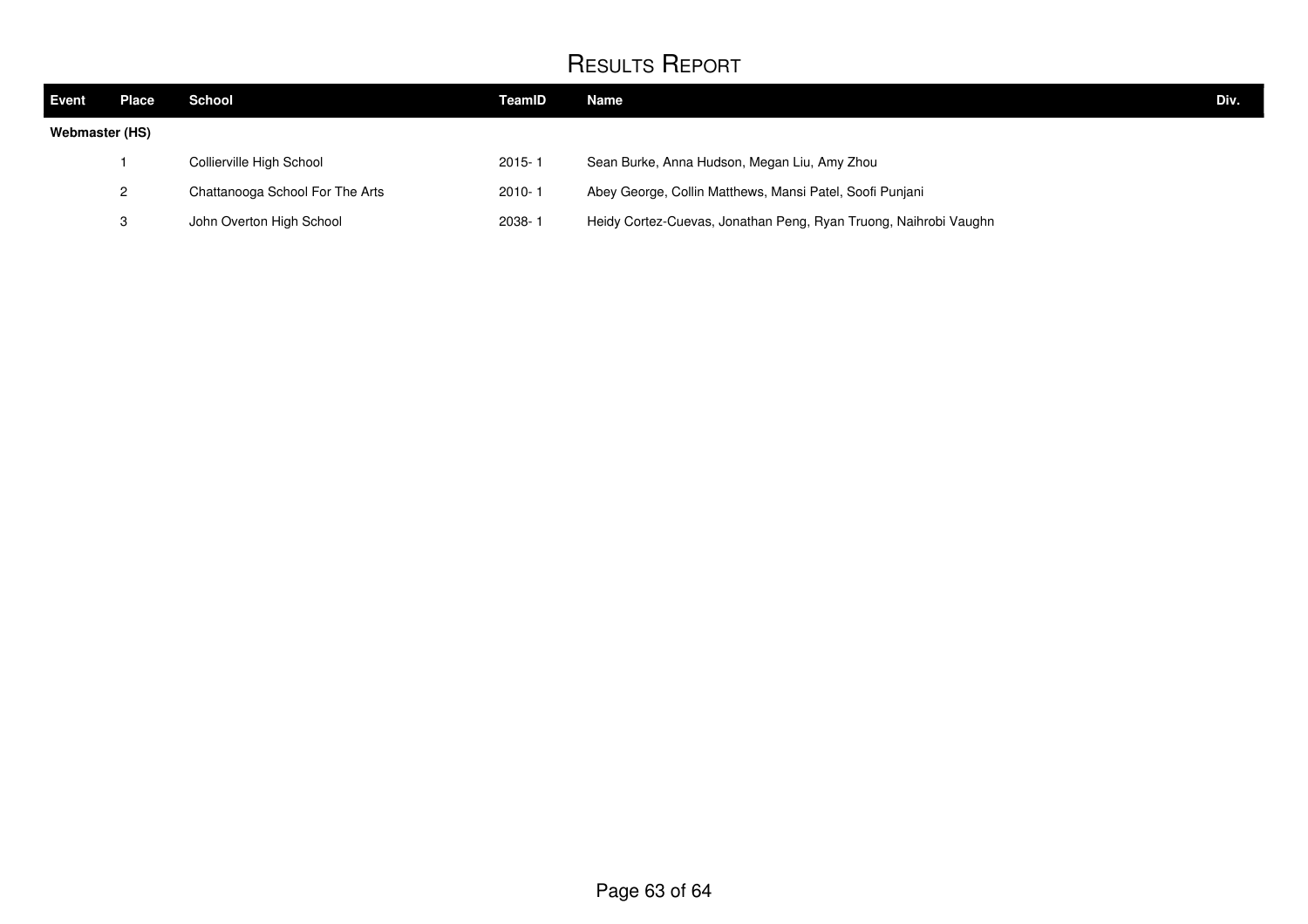| Event          | Place        | School                          | TeamID     | <b>Name</b>                                                      | Div. |
|----------------|--------------|---------------------------------|------------|------------------------------------------------------------------|------|
| Webmaster (HS) |              |                                 |            |                                                                  |      |
|                |              | Collierville High School        | $2015 - 1$ | Sean Burke, Anna Hudson, Megan Liu, Amy Zhou                     |      |
|                | $\mathbf{2}$ | Chattanooga School For The Arts | $2010 - 1$ | Abey George, Collin Matthews, Mansi Patel, Soofi Punjani         |      |
|                | 3            | John Overton High School        | 2038-1     | Heidy Cortez-Cuevas, Jonathan Peng, Ryan Truong, Naihrobi Vaughn |      |